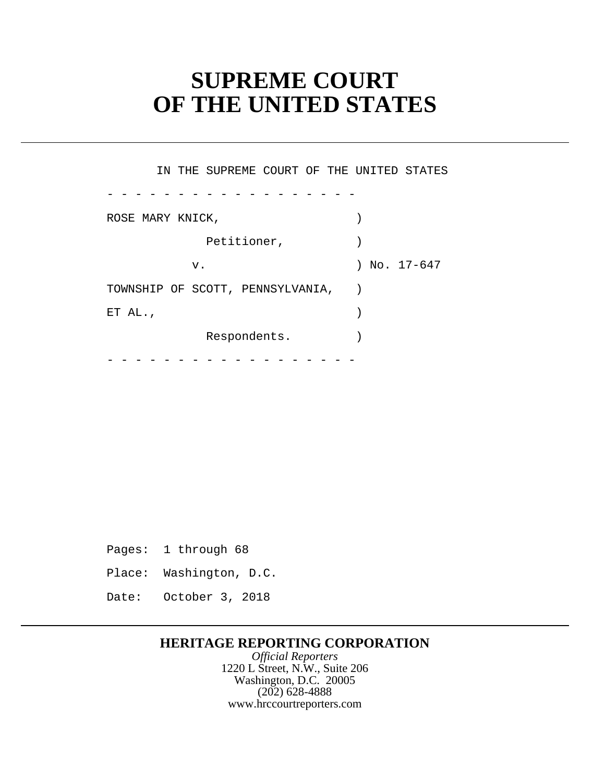# **SUPREME COURT OF THE UNITED STATES**

 Petitioner, ) Respondents. ) - - - - - - - - - - - - - - - - - - - - - - - - - - - - - - - - - - - - IN THE SUPREME COURT OF THE UNITED STATES ROSE MARY KNICK,  $\left( \begin{array}{c} \end{array} \right)$  v. ) No. 17-647 TOWNSHIP OF SCOTT, PENNSYLVANIA, ) ET AL.,  $\qquad \qquad$ 

Pages: 1 through 68

- Place: Washington, D.C.
- Date: October 3, 2018

### **HERITAGE REPORTING CORPORATION**

*Official Reporters* 1220 L Street, N.W., Suite 206 Washington, D.C. 20005 (202) 628-4888 www.hrccourtreporters.com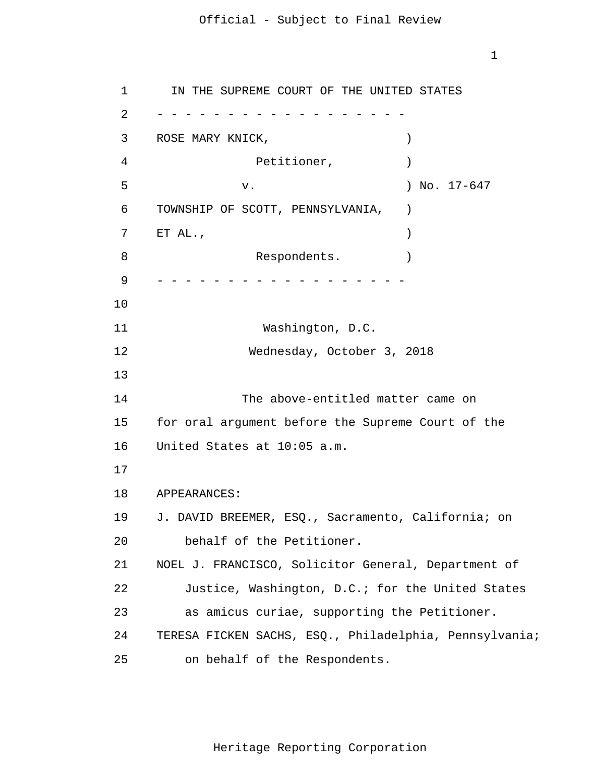1 2 - - - - - - - - - - - - - - - - - - 3 4 **5**  6 7 8 9 - - - - - - - - - - - - - - - - - - 10 11 12 13 14 15 16 17 18 19 20 21 22 23 24 25 IN THE SUPREME COURT OF THE UNITED STATES ROSE MARY KNICK,  $)$ Petitioner,  $)$ v. 17-647 TOWNSHIP OF SCOTT, PENNSYLVANIA, ) ET AL.,  $\qquad \qquad$ Respondents. Washington, D.C. Wednesday, October 3, 2018 The above-entitled matter came on for oral argument before the Supreme Court of the United States at 10:05 a.m. APPEARANCES: J. DAVID BREEMER, ESQ., Sacramento, California; on behalf of the Petitioner. NOEL J. FRANCISCO, Solicitor General, Department of Justice, Washington, D.C.; for the United States as amicus curiae, supporting the Petitioner. TERESA FICKEN SACHS, ESQ., Philadelphia, Pennsylvania; on behalf of the Respondents.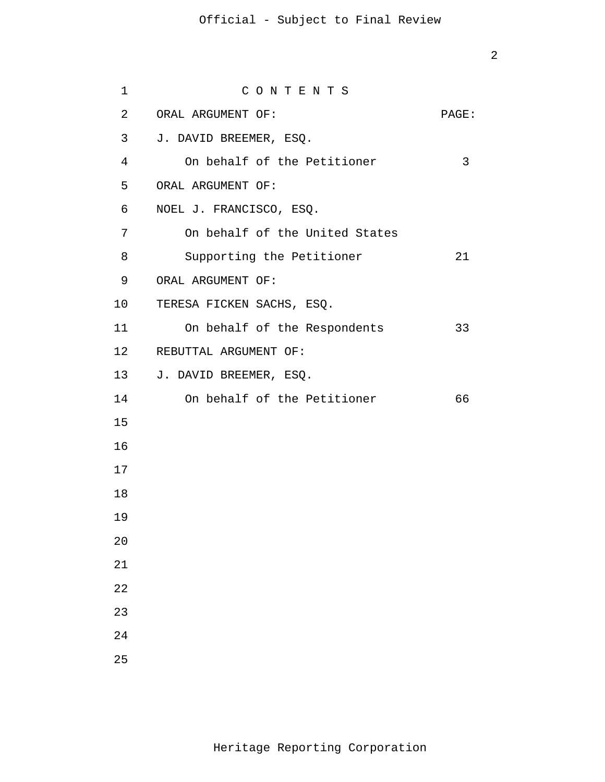| $\mathbf{1}$   | CONTENTS                       |       |
|----------------|--------------------------------|-------|
| $\overline{2}$ | ORAL ARGUMENT OF:              | PAGE: |
| $\mathsf{3}$   | J. DAVID BREEMER, ESQ.         |       |
| $\overline{4}$ | On behalf of the Petitioner    | 3     |
| 5              | ORAL ARGUMENT OF:              |       |
| 6              | NOEL J. FRANCISCO, ESQ.        |       |
| 7              | On behalf of the United States |       |
| 8              | Supporting the Petitioner      | 21    |
| 9              | ORAL ARGUMENT OF:              |       |
| 10             | TERESA FICKEN SACHS, ESQ.      |       |
| 11             | On behalf of the Respondents   | 33    |
| 12             | REBUTTAL ARGUMENT OF:          |       |
| 13             | J. DAVID BREEMER, ESQ.         |       |
| 14             | On behalf of the Petitioner    | 66    |
| 15             |                                |       |
| 16             |                                |       |
| 17             |                                |       |
| 18             |                                |       |
| 19             |                                |       |
| 20             |                                |       |
| 21             |                                |       |
| 22             |                                |       |
| 23             |                                |       |
| 24             |                                |       |
| 25             |                                |       |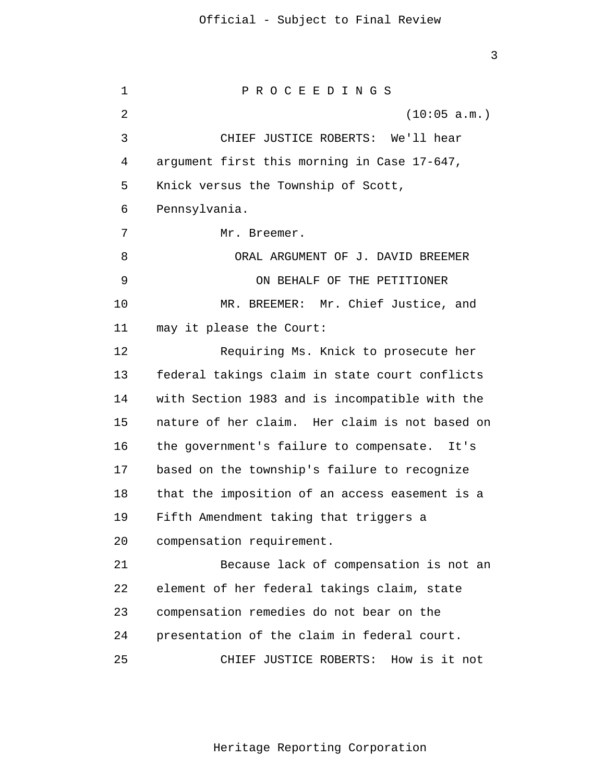3

 1 2 3 4 **5**  $\overline{6}$  7 8 9 10 11 12 13 14 15 16 17 18 19 20 21 22 23 24 25 P R O C E E D I N G S (10:05 a.m.) CHIEF JUSTICE ROBERTS: We'll hear argument first this morning in Case 17-647, Knick versus the Township of Scott, Pennsylvania. Mr. Breemer. ORAL ARGUMENT OF J. DAVID BREEMER ON BEHALF OF THE PETITIONER MR. BREEMER: Mr. Chief Justice, and may it please the Court: Requiring Ms. Knick to prosecute her federal takings claim in state court conflicts with Section 1983 and is incompatible with the nature of her claim. Her claim is not based on the government's failure to compensate. It's based on the township's failure to recognize that the imposition of an access easement is a Fifth Amendment taking that triggers a compensation requirement. Because lack of compensation is not an element of her federal takings claim, state compensation remedies do not bear on the presentation of the claim in federal court. CHIEF JUSTICE ROBERTS: How is it not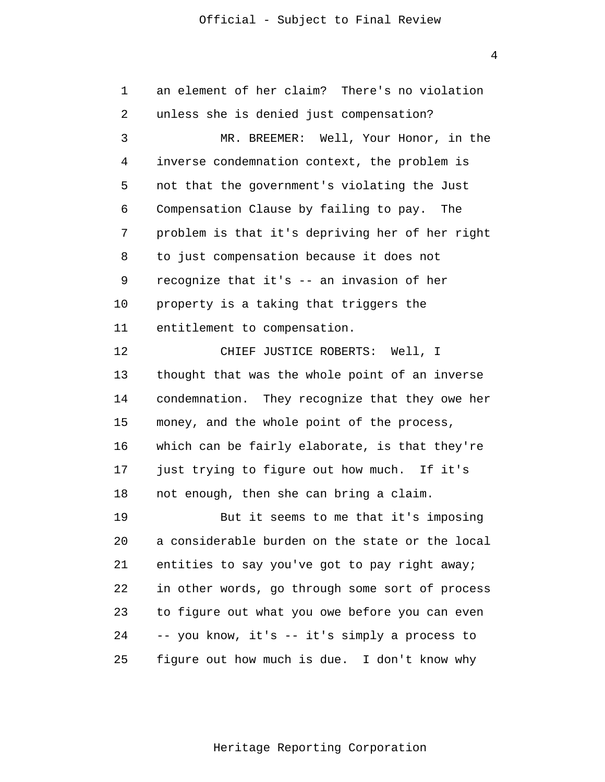1 2 3 4 **5**  $\overline{6}$  7 8 9 10 11 12 13 14 15 16 17 18 19 20 21 22 23 24 25 an element of her claim? There's no violation unless she is denied just compensation? MR. BREEMER: Well, Your Honor, in the inverse condemnation context, the problem is not that the government's violating the Just Compensation Clause by failing to pay. The problem is that it's depriving her of her right to just compensation because it does not recognize that it's -- an invasion of her property is a taking that triggers the entitlement to compensation. CHIEF JUSTICE ROBERTS: Well, I thought that was the whole point of an inverse condemnation. They recognize that they owe her money, and the whole point of the process, which can be fairly elaborate, is that they're just trying to figure out how much. If it's not enough, then she can bring a claim. But it seems to me that it's imposing a considerable burden on the state or the local entities to say you've got to pay right away; in other words, go through some sort of process to figure out what you owe before you can even -- you know, it's -- it's simply a process to figure out how much is due. I don't know why

Heritage Reporting Corporation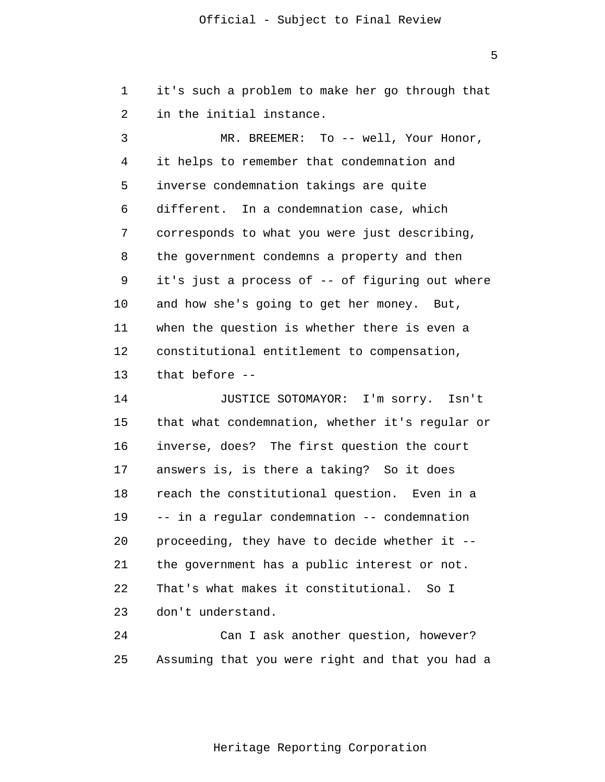1 2 it's such a problem to make her go through that in the initial instance.

 3 4 **5**  $\overline{6}$  7 8 9 10 11 12 13 MR. BREEMER: To -- well, Your Honor, it helps to remember that condemnation and inverse condemnation takings are quite different. In a condemnation case, which corresponds to what you were just describing, the government condemns a property and then it's just a process of -- of figuring out where and how she's going to get her money. But, when the question is whether there is even a constitutional entitlement to compensation, that before -

> 14 15 16 17 18 19 20 21 22 23 JUSTICE SOTOMAYOR: I'm sorry. Isn't that what condemnation, whether it's regular or inverse, does? The first question the court answers is, is there a taking? So it does reach the constitutional question. Even in a -- in a regular condemnation -- condemnation proceeding, they have to decide whether it the government has a public interest or not. That's what makes it constitutional. So I don't understand.

> 24 25 Can I ask another question, however? Assuming that you were right and that you had a

> > Heritage Reporting Corporation

 $\overline{5}$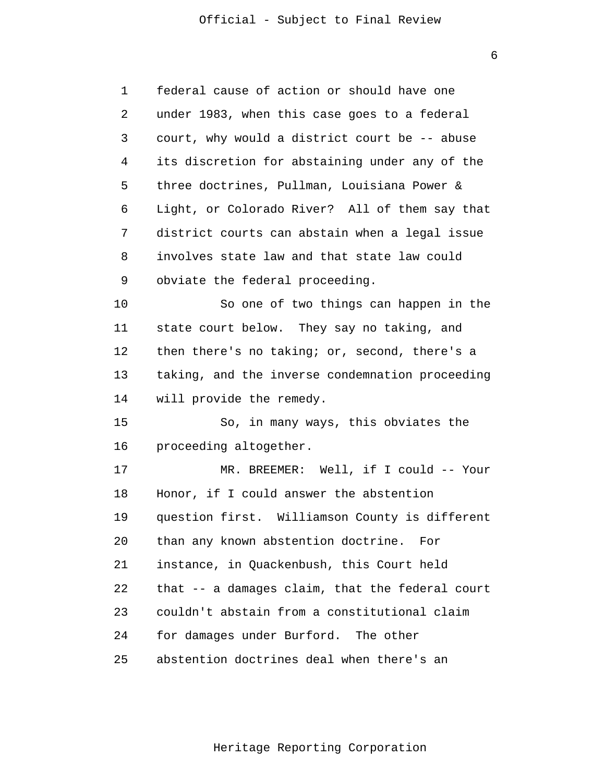$\overline{6}$ 

 1 2 3 4 **5**  $\overline{6}$  7 8 9 10 11 12 13 14 15 16 17 18 19 20 21 22 23 24 25 federal cause of action or should have one under 1983, when this case goes to a federal court, why would a district court be -- abuse its discretion for abstaining under any of the three doctrines, Pullman, Louisiana Power & Light, or Colorado River? All of them say that district courts can abstain when a legal issue involves state law and that state law could obviate the federal proceeding. So one of two things can happen in the state court below. They say no taking, and then there's no taking; or, second, there's a taking, and the inverse condemnation proceeding will provide the remedy. So, in many ways, this obviates the proceeding altogether. MR. BREEMER: Well, if I could -- Your Honor, if I could answer the abstention question first. Williamson County is different than any known abstention doctrine. For instance, in Quackenbush, this Court held that -- a damages claim, that the federal court couldn't abstain from a constitutional claim for damages under Burford. The other abstention doctrines deal when there's an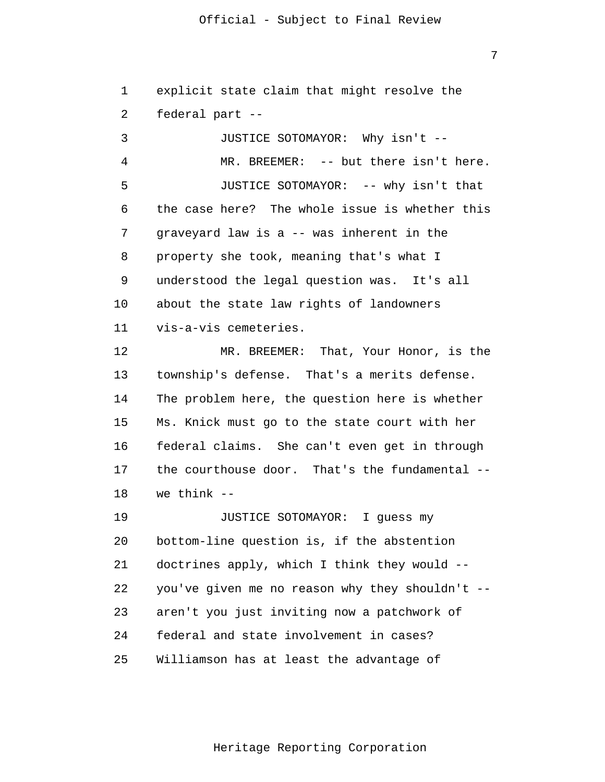1 2 explicit state claim that might resolve the federal part -

 3 4 **5**  $\overline{6}$  7 8 9 10 11 12 13 14 15 16 17 18 19 20 21 JUSTICE SOTOMAYOR: Why isn't - MR. BREEMER: -- but there isn't here. JUSTICE SOTOMAYOR: -- why isn't that the case here? The whole issue is whether this graveyard law is a -- was inherent in the property she took, meaning that's what I understood the legal question was. It's all about the state law rights of landowners vis-a-vis cemeteries. MR. BREEMER: That, Your Honor, is the township's defense. That's a merits defense. The problem here, the question here is whether Ms. Knick must go to the state court with her federal claims. She can't even get in through the courthouse door. That's the fundamental we think  $-$ JUSTICE SOTOMAYOR: I guess my bottom-line question is, if the abstention doctrines apply, which I think they would -

> 22 23 24 25 you've given me no reason why they shouldn't aren't you just inviting now a patchwork of federal and state involvement in cases? Williamson has at least the advantage of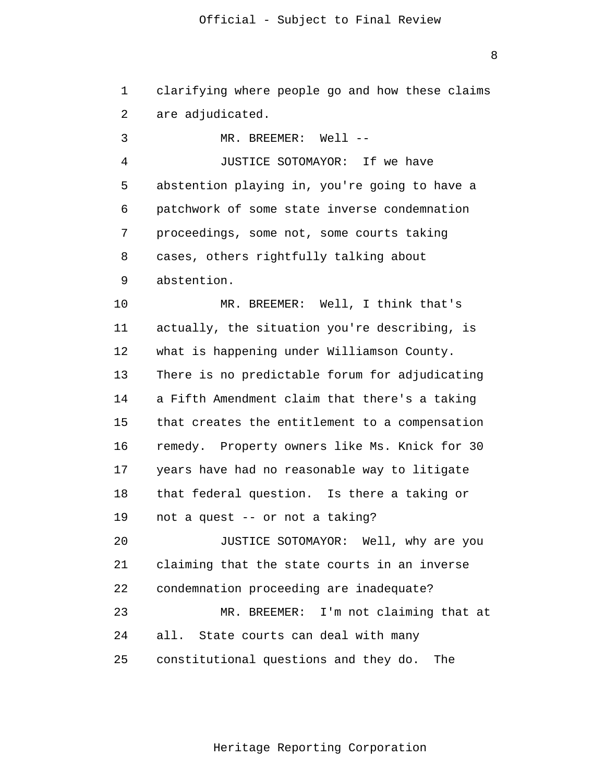1 2 3 4 **5**  6 7 8 9 10 11 12 13 14 15 16 17 18 19 20 21 22 23 24 25 clarifying where people go and how these claims are adjudicated.  $MR$ . BREEMER:  $We11$  --JUSTICE SOTOMAYOR: If we have abstention playing in, you're going to have a patchwork of some state inverse condemnation proceedings, some not, some courts taking cases, others rightfully talking about abstention. MR. BREEMER: Well, I think that's actually, the situation you're describing, is what is happening under Williamson County. There is no predictable forum for adjudicating a Fifth Amendment claim that there's a taking that creates the entitlement to a compensation remedy. Property owners like Ms. Knick for 30 years have had no reasonable way to litigate that federal question. Is there a taking or not a quest -- or not a taking? JUSTICE SOTOMAYOR: Well, why are you claiming that the state courts in an inverse condemnation proceeding are inadequate? MR. BREEMER: I'm not claiming that at all. State courts can deal with many constitutional questions and they do. The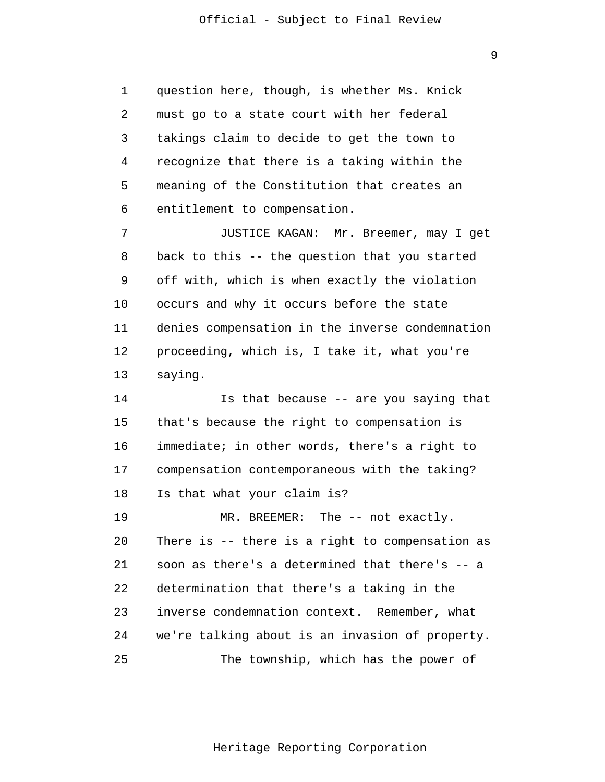1 2 3 4 **5**  6 question here, though, is whether Ms. Knick must go to a state court with her federal takings claim to decide to get the town to recognize that there is a taking within the meaning of the Constitution that creates an entitlement to compensation.

 7 8 9 10 11 12 13 JUSTICE KAGAN: Mr. Breemer, may I get back to this -- the question that you started off with, which is when exactly the violation occurs and why it occurs before the state denies compensation in the inverse condemnation proceeding, which is, I take it, what you're saying.

> 14 15 16 17 18 Is that because -- are you saying that that's because the right to compensation is immediate; in other words, there's a right to compensation contemporaneous with the taking? Is that what your claim is?

> 19 20 21 22 23 24 25 MR. BREEMER: The -- not exactly. There is -- there is a right to compensation as soon as there's a determined that there's -- a determination that there's a taking in the inverse condemnation context. Remember, what we're talking about is an invasion of property. The township, which has the power of

> > Heritage Reporting Corporation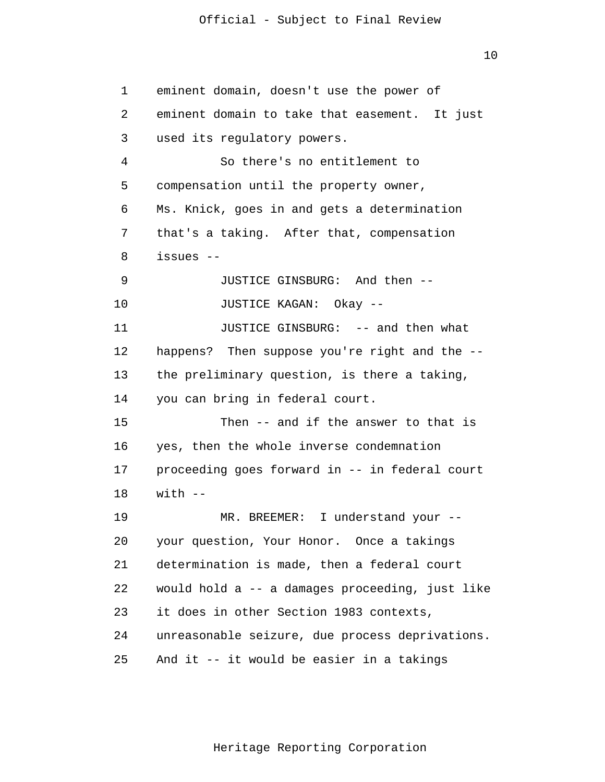10

 1 2 3 4 **5**  6 7 8 9 10 11 12 13 14 15 16 17 18 19 20 21 22 23 24 25 eminent domain, doesn't use the power of eminent domain to take that easement. It just used its regulatory powers. So there's no entitlement to compensation until the property owner, Ms. Knick, goes in and gets a determination that's a taking. After that, compensation issues - JUSTICE GINSBURG: And then - JUSTICE KAGAN: Okay - JUSTICE GINSBURG: -- and then what happens? Then suppose you're right and the -the preliminary question, is there a taking, you can bring in federal court. Then -- and if the answer to that is yes, then the whole inverse condemnation proceeding goes forward in -- in federal court with  $--$ MR. BREEMER: I understand your -your question, Your Honor. Once a takings determination is made, then a federal court would hold a -- a damages proceeding, just like it does in other Section 1983 contexts, unreasonable seizure, due process deprivations. And it -- it would be easier in a takings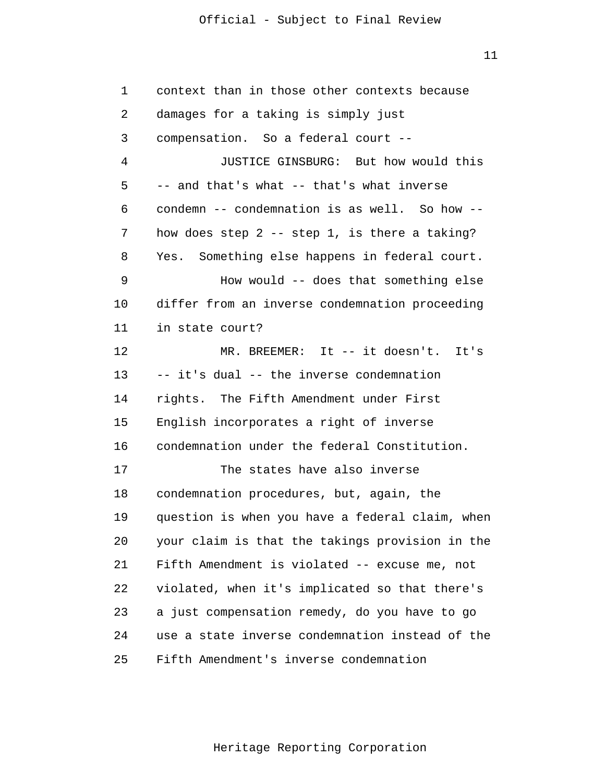| 1       | context than in those other contexts because    |
|---------|-------------------------------------------------|
| 2       | damages for a taking is simply just             |
| 3       | compensation. So a federal court --             |
| 4       | JUSTICE GINSBURG: But how would this            |
| 5       | -- and that's what -- that's what inverse       |
| 6       | condemn -- condemnation is as well. So how --   |
| 7       | how does step $2$ -- step 1, is there a taking? |
| 8       | Yes. Something else happens in federal court.   |
| 9       | How would -- does that something else           |
| $10 \,$ | differ from an inverse condemnation proceeding  |
| 11      | in state court?                                 |
| 12      | MR. BREEMER: It -- it doesn't. It's             |
| 13      | -- it's dual -- the inverse condemnation        |
| 14      | rights. The Fifth Amendment under First         |
| 15      | English incorporates a right of inverse         |
| 16      | condemnation under the federal Constitution.    |
| 17      | The states have also inverse                    |
| 18      | condemnation procedures, but, again, the        |
| 19      | question is when you have a federal claim, when |
| 20      | your claim is that the takings provision in the |
| 21      | Fifth Amendment is violated -- excuse me, not   |
| 22      | violated, when it's implicated so that there's  |
| 23      | a just compensation remedy, do you have to go   |
| 24      | use a state inverse condemnation instead of the |
| 25      | Fifth Amendment's inverse condemnation          |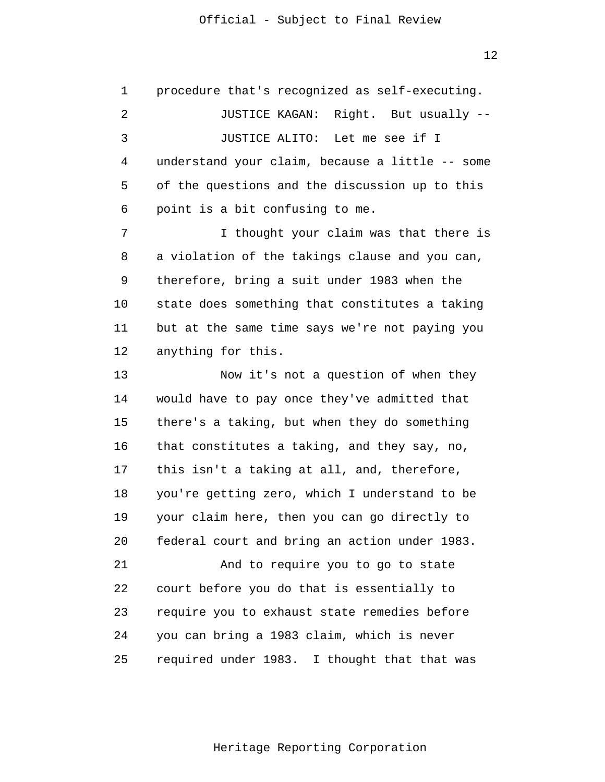$12$ 

 1 2 3 4 **5**  6 7 8 9 10 11 12 13 14 15 16 17 18 19 20 21 22 23 24 25 procedure that's recognized as self-executing. JUSTICE KAGAN: Right. But usually - JUSTICE ALITO: Let me see if I understand your claim, because a little -- some of the questions and the discussion up to this point is a bit confusing to me. I thought your claim was that there is a violation of the takings clause and you can, therefore, bring a suit under 1983 when the state does something that constitutes a taking but at the same time says we're not paying you anything for this. Now it's not a question of when they would have to pay once they've admitted that there's a taking, but when they do something that constitutes a taking, and they say, no, this isn't a taking at all, and, therefore, you're getting zero, which I understand to be your claim here, then you can go directly to federal court and bring an action under 1983. And to require you to go to state court before you do that is essentially to require you to exhaust state remedies before you can bring a 1983 claim, which is never required under 1983. I thought that that was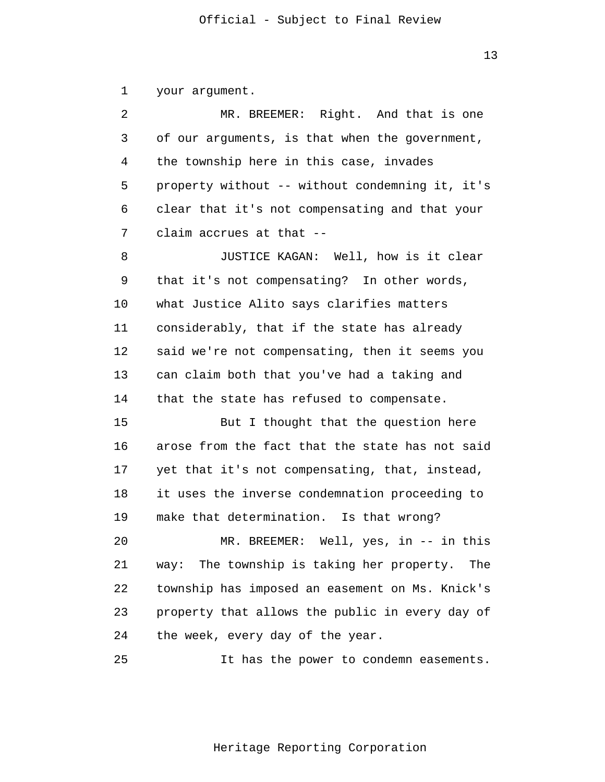1 your argument.

 2 3 4 **5**  6 7 MR. BREEMER: Right. And that is one of our arguments, is that when the government, the township here in this case, invades property without -- without condemning it, it's clear that it's not compensating and that your claim accrues at that -

 8 9 10 11 12 13 14 JUSTICE KAGAN: Well, how is it clear that it's not compensating? In other words, what Justice Alito says clarifies matters considerably, that if the state has already said we're not compensating, then it seems you can claim both that you've had a taking and that the state has refused to compensate.

> 15 16 17 18 19 But I thought that the question here arose from the fact that the state has not said yet that it's not compensating, that, instead, it uses the inverse condemnation proceeding to make that determination. Is that wrong?

> 20 21 22 23 24 MR. BREEMER: Well, yes, in -- in this way: The township is taking her property. The township has imposed an easement on Ms. Knick's property that allows the public in every day of the week, every day of the year.

> 25 It has the power to condemn easements.

> > Heritage Reporting Corporation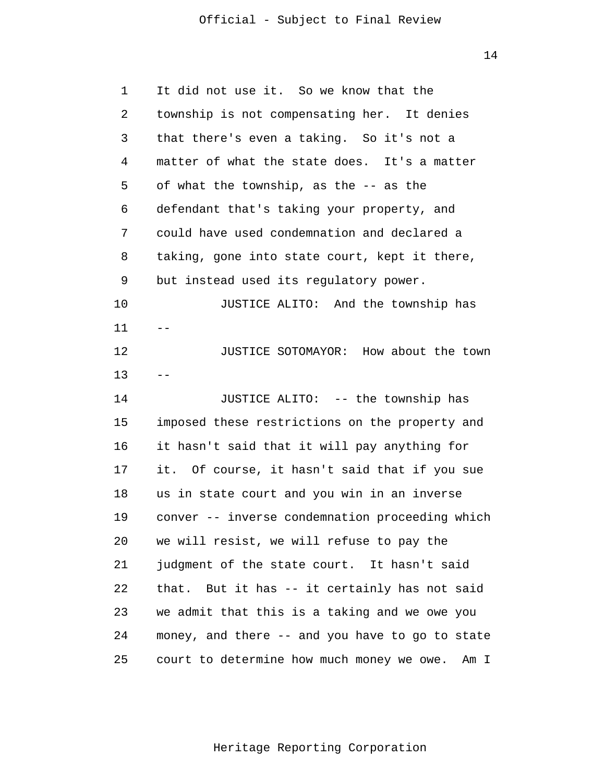14

| 1  | It did not use it. So we know that the          |
|----|-------------------------------------------------|
| 2  | township is not compensating her. It denies     |
| 3  | that there's even a taking. So it's not a       |
| 4  | matter of what the state does. It's a matter    |
| 5  | of what the township, as the -- as the          |
| 6  | defendant that's taking your property, and      |
| 7  | could have used condemnation and declared a     |
| 8  | taking, gone into state court, kept it there,   |
| 9  | but instead used its regulatory power.          |
| 10 | JUSTICE ALITO: And the township has             |
| 11 |                                                 |
| 12 | JUSTICE SOTOMAYOR: How about the town           |
| 13 |                                                 |
| 14 | JUSTICE ALITO: -- the township has              |
| 15 | imposed these restrictions on the property and  |
| 16 | it hasn't said that it will pay anything for    |
| 17 | it. Of course, it hasn't said that if you sue   |
| 18 | us in state court and you win in an inverse     |
| 19 | conver -- inverse condemnation proceeding which |
| 20 | we will resist, we will refuse to pay the       |
| 21 | judgment of the state court. It hasn't said     |
| 22 | that. But it has -- it certainly has not said   |
| 23 | we admit that this is a taking and we owe you   |
| 24 | money, and there -- and you have to go to state |
| 25 | court to determine how much money we owe. Am I  |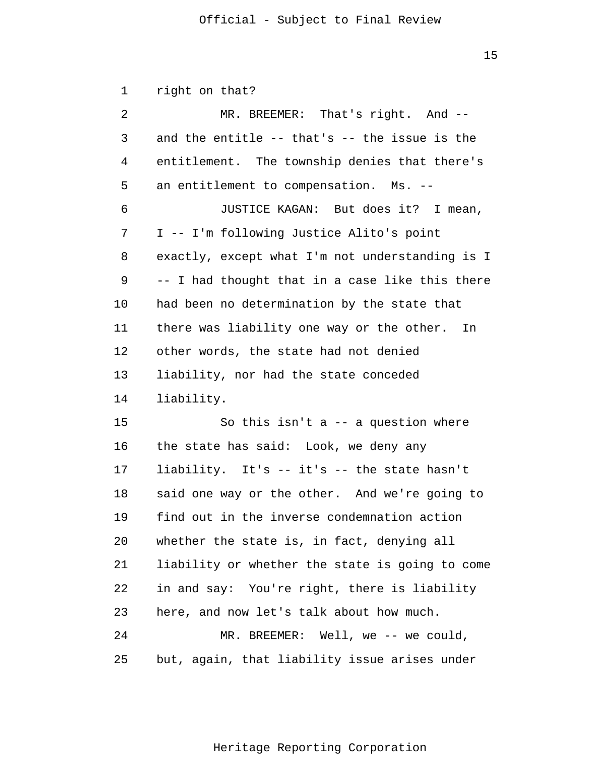15

 1 2 3 4 **5**  6 7 8 9 10 11 12 13 14 15 16 17 18 19 20 21 22 23 24 25 right on that? MR. BREEMER: That's right. And -and the entitle -- that's -- the issue is the entitlement. The township denies that there's an entitlement to compensation. Ms. - JUSTICE KAGAN: But does it? I mean, I -- I'm following Justice Alito's point exactly, except what I'm not understanding is I -- I had thought that in a case like this there had been no determination by the state that there was liability one way or the other. In other words, the state had not denied liability, nor had the state conceded liability. So this isn't  $a$  -- a question where the state has said: Look, we deny any liability. It's -- it's -- the state hasn't said one way or the other. And we're going to find out in the inverse condemnation action whether the state is, in fact, denying all liability or whether the state is going to come in and say: You're right, there is liability here, and now let's talk about how much. MR. BREEMER: Well, we -- we could, but, again, that liability issue arises under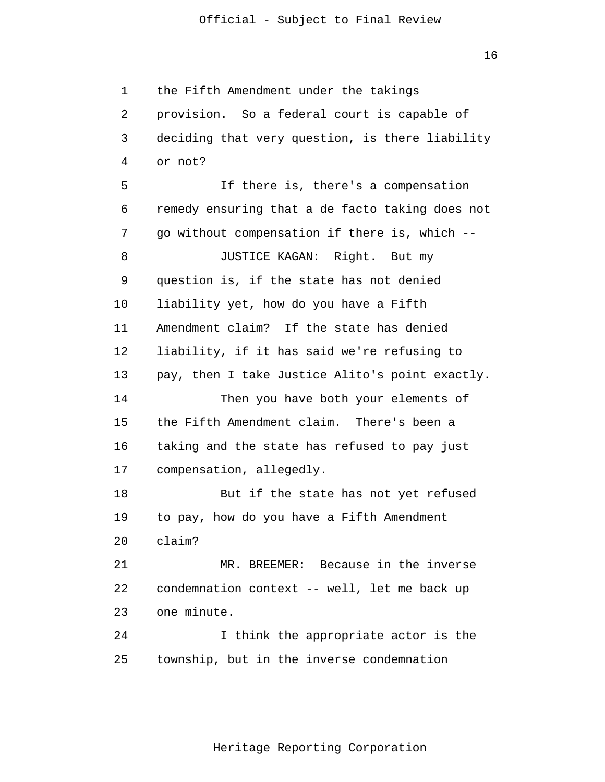16

 1 2 3 4 **5**  $\overline{6}$  7 8 9 10 11 12 13 14 15 16 17 18 19 20 21 22 23 24 25 the Fifth Amendment under the takings provision. So a federal court is capable of deciding that very question, is there liability or not? If there is, there's a compensation remedy ensuring that a de facto taking does not go without compensation if there is, which - JUSTICE KAGAN: Right. But my question is, if the state has not denied liability yet, how do you have a Fifth Amendment claim? If the state has denied liability, if it has said we're refusing to pay, then I take Justice Alito's point exactly. Then you have both your elements of the Fifth Amendment claim. There's been a taking and the state has refused to pay just compensation, allegedly. But if the state has not yet refused to pay, how do you have a Fifth Amendment claim? MR. BREEMER: Because in the inverse condemnation context -- well, let me back up one minute. I think the appropriate actor is the township, but in the inverse condemnation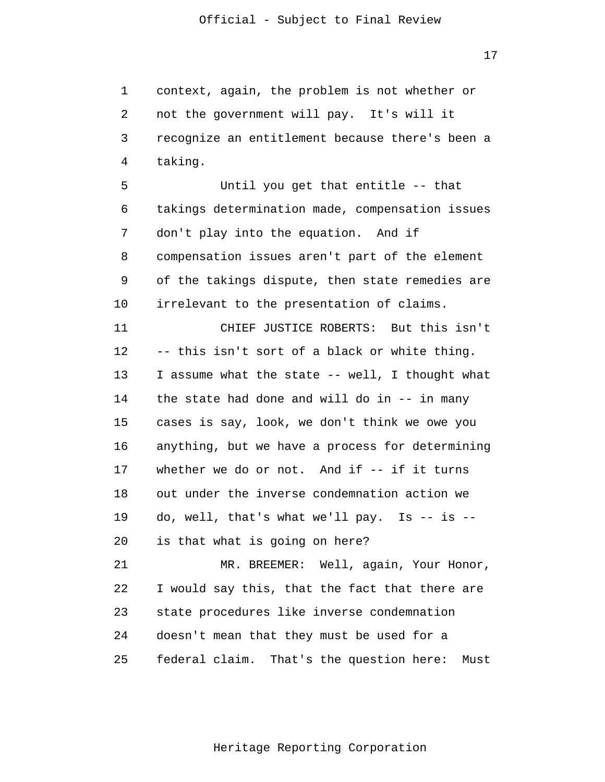17

 1 2 3 4 context, again, the problem is not whether or not the government will pay. It's will it recognize an entitlement because there's been a taking.

**5**  $\overline{6}$  7 8 9 10 Until you get that entitle -- that takings determination made, compensation issues don't play into the equation. And if compensation issues aren't part of the element of the takings dispute, then state remedies are irrelevant to the presentation of claims.

> 11 12 13 14 15 16 17 18 19 20 CHIEF JUSTICE ROBERTS: But this isn't -- this isn't sort of a black or white thing. I assume what the state -- well, I thought what the state had done and will do in -- in many cases is say, look, we don't think we owe you anything, but we have a process for determining whether we do or not. And if -- if it turns out under the inverse condemnation action we do, well, that's what we'll pay. Is  $-$  is  $$ is that what is going on here?

> 21 22 23 24 25 MR. BREEMER: Well, again, Your Honor, I would say this, that the fact that there are state procedures like inverse condemnation doesn't mean that they must be used for a federal claim. That's the question here: Must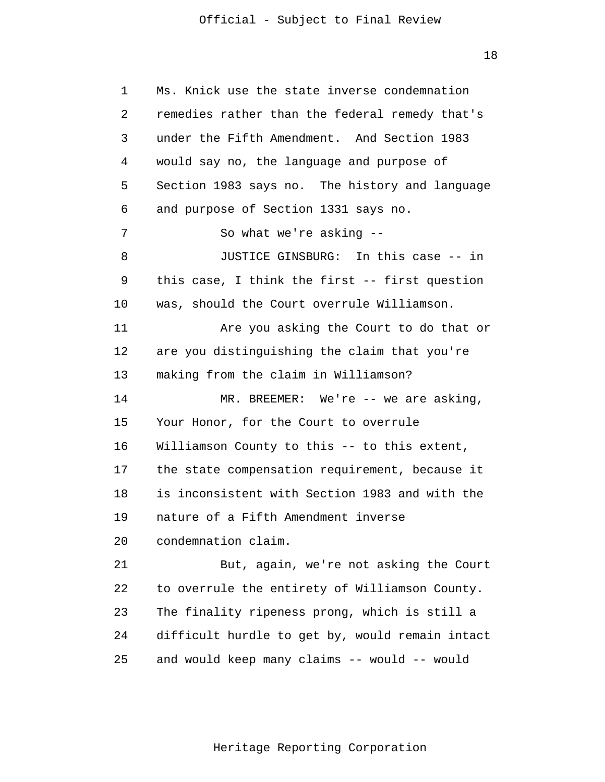18

 1 2 3 4 **5**  $\overline{6}$  7 8 9 10 11 12 13 14 15 16 17 18 19 20 21 22 23 24 25 Ms. Knick use the state inverse condemnation remedies rather than the federal remedy that's under the Fifth Amendment. And Section 1983 would say no, the language and purpose of Section 1983 says no. The history and language and purpose of Section 1331 says no. So what we're asking - JUSTICE GINSBURG: In this case -- in this case, I think the first -- first question was, should the Court overrule Williamson. Are you asking the Court to do that or are you distinguishing the claim that you're making from the claim in Williamson? MR. BREEMER: We're -- we are asking, Your Honor, for the Court to overrule Williamson County to this -- to this extent, the state compensation requirement, because it is inconsistent with Section 1983 and with the nature of a Fifth Amendment inverse condemnation claim. But, again, we're not asking the Court to overrule the entirety of Williamson County. The finality ripeness prong, which is still a difficult hurdle to get by, would remain intact and would keep many claims -- would -- would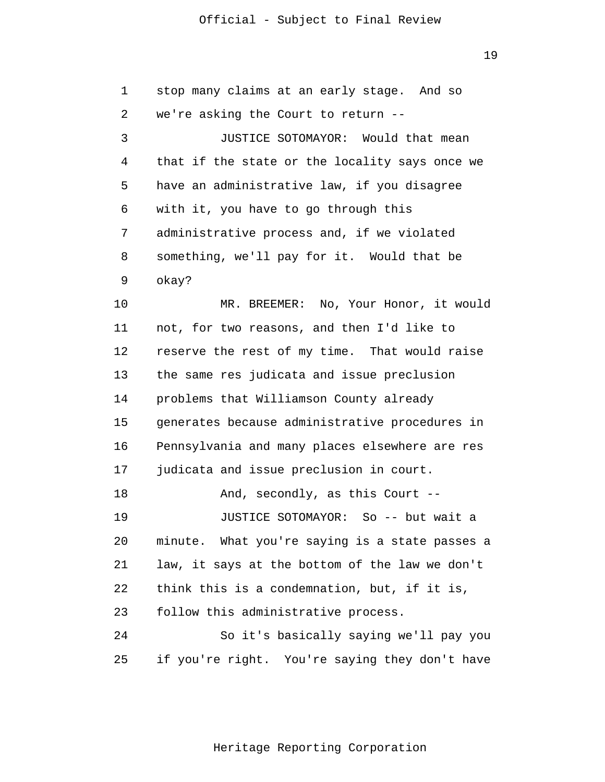19

| $\mathbf 1$ | stop many claims at an early stage. And so     |
|-------------|------------------------------------------------|
| 2           | we're asking the Court to return --            |
| 3           | JUSTICE SOTOMAYOR: Would that mean             |
| 4           | that if the state or the locality says once we |
| 5           | have an administrative law, if you disagree    |
| 6           | with it, you have to go through this           |
| 7           | administrative process and, if we violated     |
| 8           | something, we'll pay for it. Would that be     |
| 9           | okay?                                          |
| 10          | MR. BREEMER: No, Your Honor, it would          |
| 11          | not, for two reasons, and then I'd like to     |
| 12          | reserve the rest of my time. That would raise  |
| 13          | the same res judicata and issue preclusion     |
| 14          | problems that Williamson County already        |
| 15          | generates because administrative procedures in |
| 16          | Pennsylvania and many places elsewhere are res |
| 17          | judicata and issue preclusion in court.        |
| 18          | And, secondly, as this Court --                |
| 19          | JUSTICE SOTOMAYOR: So -- but wait a            |
| 20          | minute. What you're saying is a state passes a |
| 21          | law, it says at the bottom of the law we don't |
| 22          | think this is a condemnation, but, if it is,   |
| 23          | follow this administrative process.            |
| 24          | So it's basically saying we'll pay you         |
| 25          | if you're right. You're saying they don't have |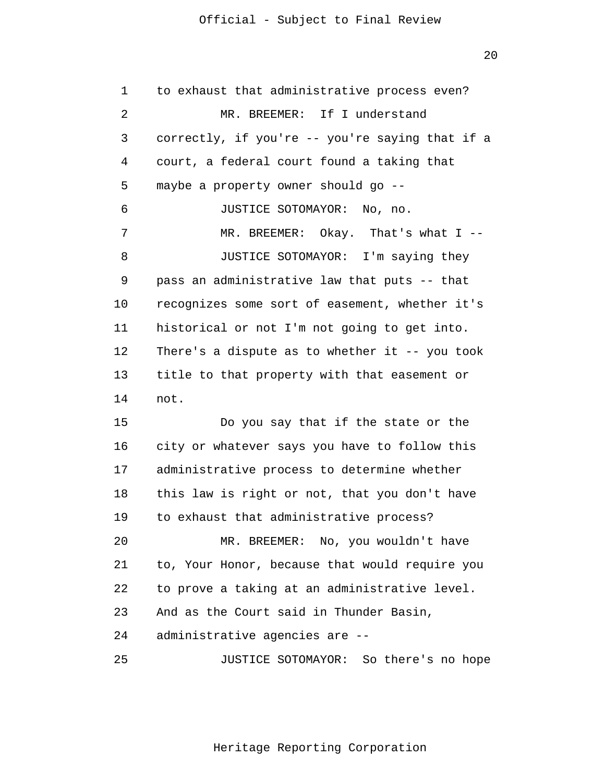1 2 3 4 **5**  6 7 8 9 10 11 12 13 14 15 to exhaust that administrative process even? MR. BREEMER: If I understand correctly, if you're -- you're saying that if a court, a federal court found a taking that maybe a property owner should go - JUSTICE SOTOMAYOR: No, no. MR. BREEMER: Okay. That's what I --JUSTICE SOTOMAYOR: I'm saying they pass an administrative law that puts -- that recognizes some sort of easement, whether it's historical or not I'm not going to get into. There's a dispute as to whether it  $-$ - you took title to that property with that easement or not. Do you say that if the state or the

 16 17 18 19 20 21 22 city or whatever says you have to follow this administrative process to determine whether this law is right or not, that you don't have to exhaust that administrative process? MR. BREEMER: No, you wouldn't have to, Your Honor, because that would require you to prove a taking at an administrative level.

 23 And as the Court said in Thunder Basin,

 24 administrative agencies are -

 25 JUSTICE SOTOMAYOR: So there's no hope

Heritage Reporting Corporation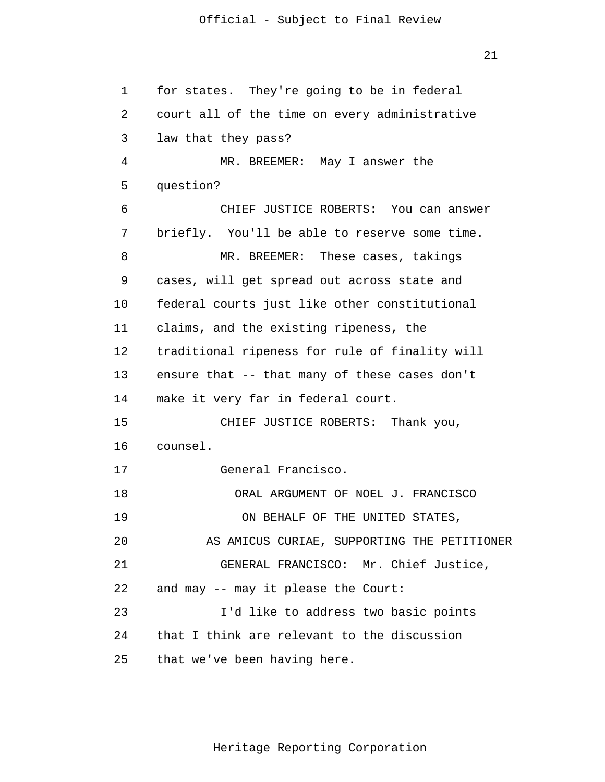21

 1 2 3 4 **5**  $\overline{6}$  7 8 9 10 11 12 13 14 15 16 17 18 19 20 21 22 23 24 25 for states. They're going to be in federal court all of the time on every administrative law that they pass? MR. BREEMER: May I answer the question? CHIEF JUSTICE ROBERTS: You can answer briefly. You'll be able to reserve some time. MR. BREEMER: These cases, takings cases, will get spread out across state and federal courts just like other constitutional claims, and the existing ripeness, the traditional ripeness for rule of finality will ensure that -- that many of these cases don't make it very far in federal court. CHIEF JUSTICE ROBERTS: Thank you, counsel. General Francisco. ORAL ARGUMENT OF NOEL J. FRANCISCO ON BEHALF OF THE UNITED STATES, AS AMICUS CURIAE, SUPPORTING THE PETITIONER GENERAL FRANCISCO: Mr. Chief Justice, and may -- may it please the Court: I'd like to address two basic points that I think are relevant to the discussion that we've been having here.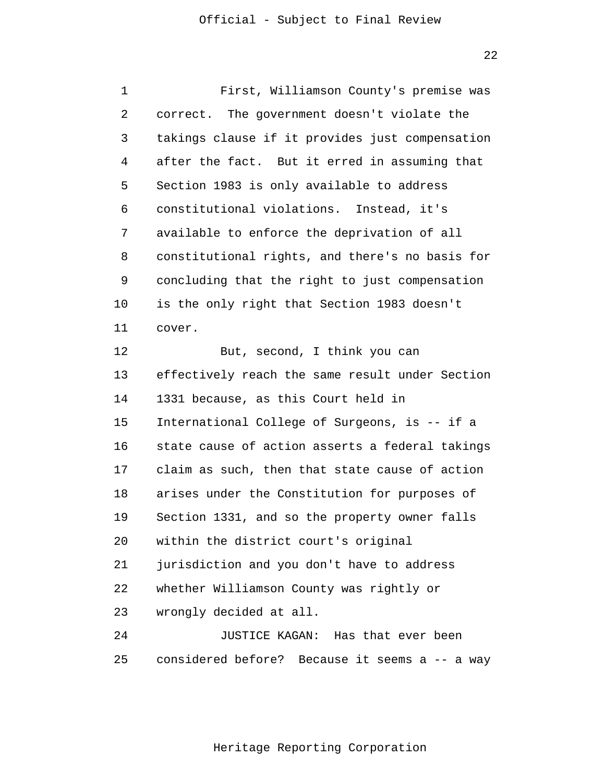22

| 1  | First, Williamson County's premise was          |
|----|-------------------------------------------------|
| 2  | correct. The government doesn't violate the     |
| 3  | takings clause if it provides just compensation |
| 4  | after the fact. But it erred in assuming that   |
| 5  | Section 1983 is only available to address       |
| 6  | constitutional violations. Instead, it's        |
| 7  | available to enforce the deprivation of all     |
| 8  | constitutional rights, and there's no basis for |
| 9  | concluding that the right to just compensation  |
| 10 | is the only right that Section 1983 doesn't     |
| 11 | cover.                                          |
| 12 | But, second, I think you can                    |
| 13 | effectively reach the same result under Section |
| 14 | 1331 because, as this Court held in             |
| 15 | International College of Surgeons, is -- if a   |
| 16 | state cause of action asserts a federal takings |
| 17 | claim as such, then that state cause of action  |
| 18 | arises under the Constitution for purposes of   |
| 19 | Section 1331, and so the property owner falls   |
| 20 | within the district court's original            |
| 21 | jurisdiction and you don't have to address      |
| 22 | whether Williamson County was rightly or        |
| 23 | wrongly decided at all.                         |
| 24 | JUSTICE KAGAN: Has that ever been               |
| 25 | considered before? Because it seems a -- a way  |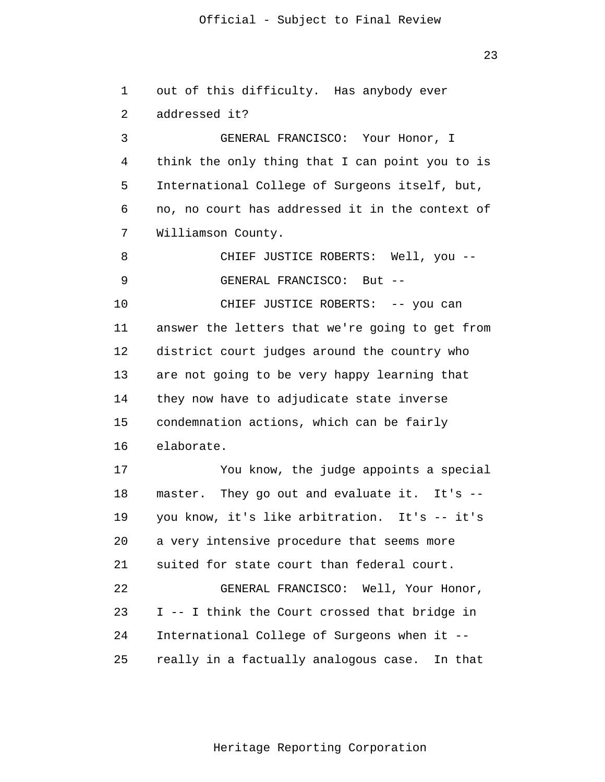1 2 3 4 **5**  $\overline{6}$  7 8 9 10 11 12 13 14 15 16 17 18 19 20 21 22 23 24 25 out of this difficulty. Has anybody ever addressed it? GENERAL FRANCISCO: Your Honor, I think the only thing that I can point you to is International College of Surgeons itself, but, no, no court has addressed it in the context of Williamson County. CHIEF JUSTICE ROBERTS: Well, you - GENERAL FRANCISCO: But - CHIEF JUSTICE ROBERTS: -- you can answer the letters that we're going to get from district court judges around the country who are not going to be very happy learning that they now have to adjudicate state inverse condemnation actions, which can be fairly elaborate. You know, the judge appoints a special master. They go out and evaluate it. It's -you know, it's like arbitration. It's -- it's a very intensive procedure that seems more suited for state court than federal court. GENERAL FRANCISCO: Well, Your Honor, I -- I think the Court crossed that bridge in International College of Surgeons when it really in a factually analogous case. In that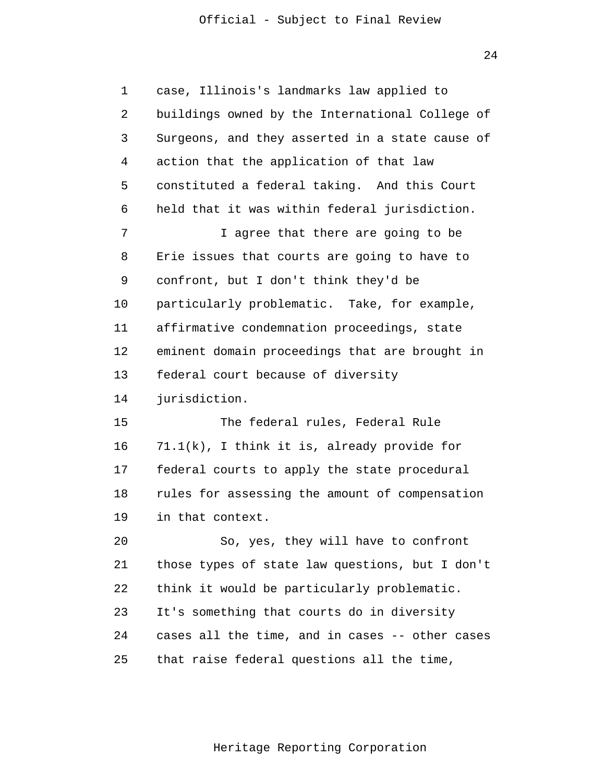24

 1 2 3 4 **5**  $\overline{6}$  7 8 9 10 11 12 13 14 15 16 17 18 19 20 21 22 23 24 25 case, Illinois's landmarks law applied to buildings owned by the International College of Surgeons, and they asserted in a state cause of action that the application of that law constituted a federal taking. And this Court held that it was within federal jurisdiction. I agree that there are going to be Erie issues that courts are going to have to confront, but I don't think they'd be particularly problematic. Take, for example, affirmative condemnation proceedings, state eminent domain proceedings that are brought in federal court because of diversity jurisdiction. The federal rules, Federal Rule 71.1(k), I think it is, already provide for federal courts to apply the state procedural rules for assessing the amount of compensation in that context. So, yes, they will have to confront those types of state law questions, but I don't think it would be particularly problematic. It's something that courts do in diversity cases all the time, and in cases -- other cases that raise federal questions all the time,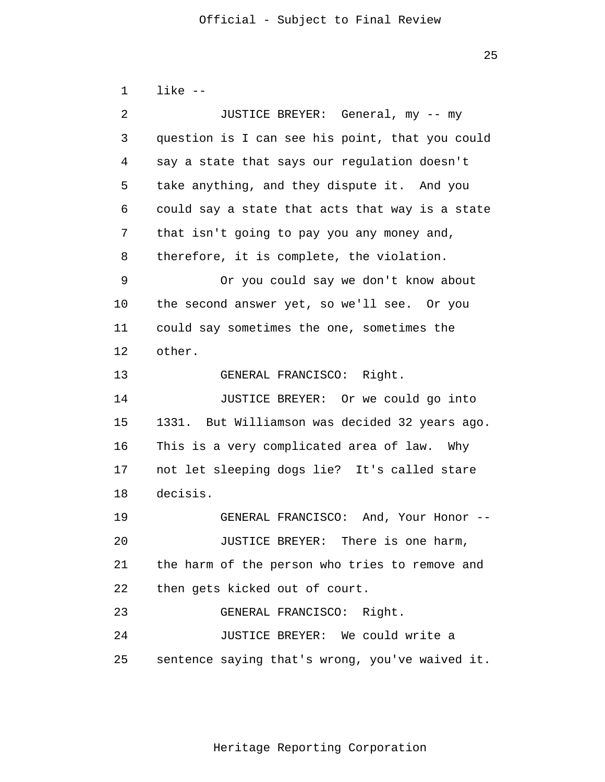1 2 3 4 **5**  $\overline{6}$  7 8 9 10 11 12 13 14 15 16 17 18 19 20 21 22 23 24 like - JUSTICE BREYER: General, my -- my question is I can see his point, that you could say a state that says our regulation doesn't take anything, and they dispute it. And you could say a state that acts that way is a state that isn't going to pay you any money and, therefore, it is complete, the violation. Or you could say we don't know about the second answer yet, so we'll see. Or you could say sometimes the one, sometimes the other. GENERAL FRANCISCO: Right. JUSTICE BREYER: Or we could go into 1331. But Williamson was decided 32 years ago. This is a very complicated area of law. Why not let sleeping dogs lie? It's called stare decisis. GENERAL FRANCISCO: And, Your Honor - JUSTICE BREYER: There is one harm, the harm of the person who tries to remove and then gets kicked out of court. GENERAL FRANCISCO: Right. JUSTICE BREYER: We could write a

> 25 sentence saying that's wrong, you've waived it.

<u>25 and 25 and 25 and 25 and 25 and 25 and 25 and 25 and 25 and 25 and 25 and 25 and 25 and 25 and 25 and 25 and 25 and 25 and 25 and 25 and 25 and 25 and 25 and 25 and 25 and 26 and 26 and 26 and 26 and 26 and 26 and 26 a</u>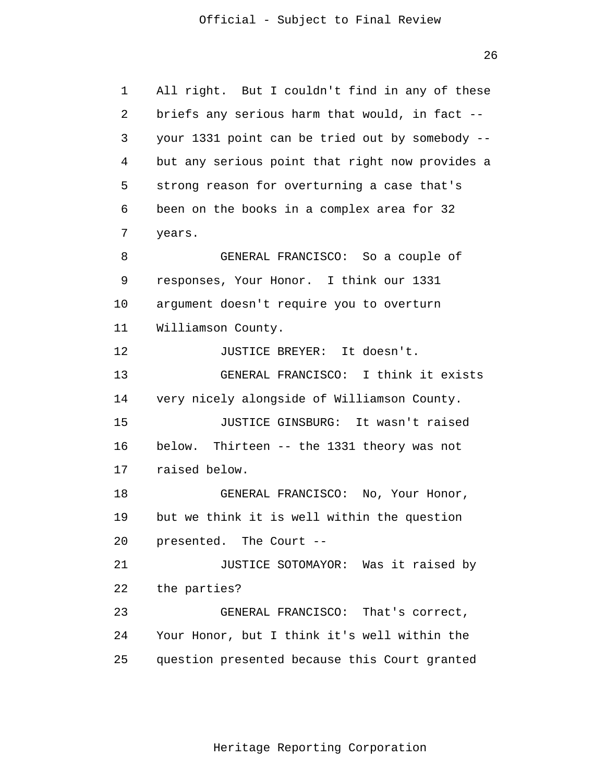26

```
 1 
 2 
 3 
 4 
5
\overline{6} 7 
 8 
 9 
            10 
            11 
            12 
            13 
            14 
            15 
            16 
            17 
            18 
            19 
            20 
            21 
            22 
            23 
            24 
            25 
                All right. But I couldn't find in any of these
                briefs any serious harm that would, in fact -
                your 1331 point can be tried out by somebody -
                but any serious point that right now provides a
                strong reason for overturning a case that's
                been on the books in a complex area for 32
                years.
                         GENERAL FRANCISCO: So a couple of
                responses, Your Honor. I think our 1331
                argument doesn't require you to overturn
                Williamson County.
                         JUSTICE BREYER: It doesn't.
                         GENERAL FRANCISCO: I think it exists
                very nicely alongside of Williamson County.
                         JUSTICE GINSBURG: It wasn't raised
                below. Thirteen -- the 1331 theory was not
                raised below.
                         GENERAL FRANCISCO: No, Your Honor,
                but we think it is well within the question
                presented. The Court -
                         JUSTICE SOTOMAYOR: Was it raised by 
                the parties? 
                         GENERAL FRANCISCO: That's correct, 
                Your Honor, but I think it's well within the
                question presented because this Court granted
```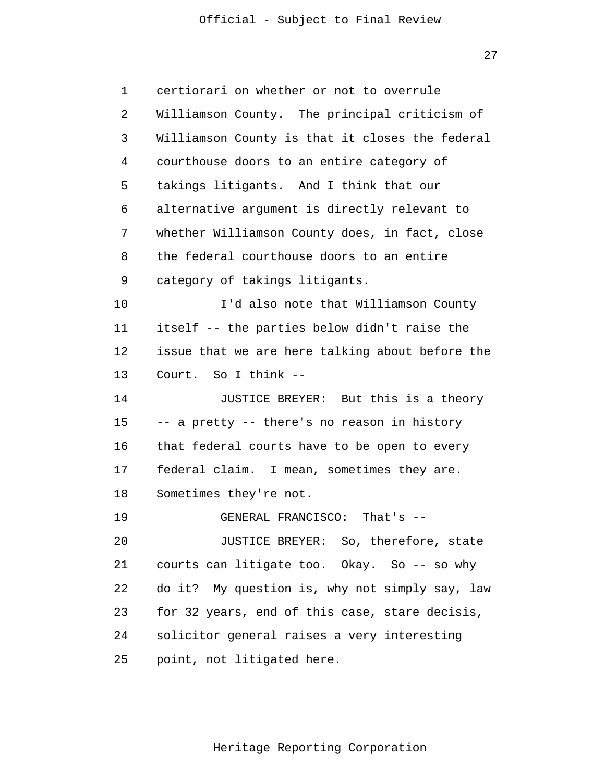27

| 1  | certiorari on whether or not to overrule        |
|----|-------------------------------------------------|
| 2  | Williamson County. The principal criticism of   |
| 3  | Williamson County is that it closes the federal |
| 4  | courthouse doors to an entire category of       |
| 5  | takings litigants. And I think that our         |
| 6  | alternative argument is directly relevant to    |
| 7  | whether Williamson County does, in fact, close  |
| 8  | the federal courthouse doors to an entire       |
| 9  | category of takings litigants.                  |
| 10 | I'd also note that Williamson County            |
| 11 | itself -- the parties below didn't raise the    |
| 12 | issue that we are here talking about before the |
| 13 | Court. So I think --                            |
| 14 | JUSTICE BREYER: But this is a theory            |
| 15 | -- a pretty -- there's no reason in history     |
| 16 | that federal courts have to be open to every    |
| 17 | federal claim. I mean, sometimes they are.      |
| 18 | Sometimes they're not.                          |
| 19 | GENERAL FRANCISCO: That's --                    |
| 20 | JUSTICE BREYER: So, therefore, state            |
| 21 | courts can litigate too. Okay. So -- so why     |
| 22 | do it? My question is, why not simply say, law  |
| 23 | for 32 years, end of this case, stare decisis,  |
| 24 | solicitor general raises a very interesting     |
| 25 | point, not litigated here.                      |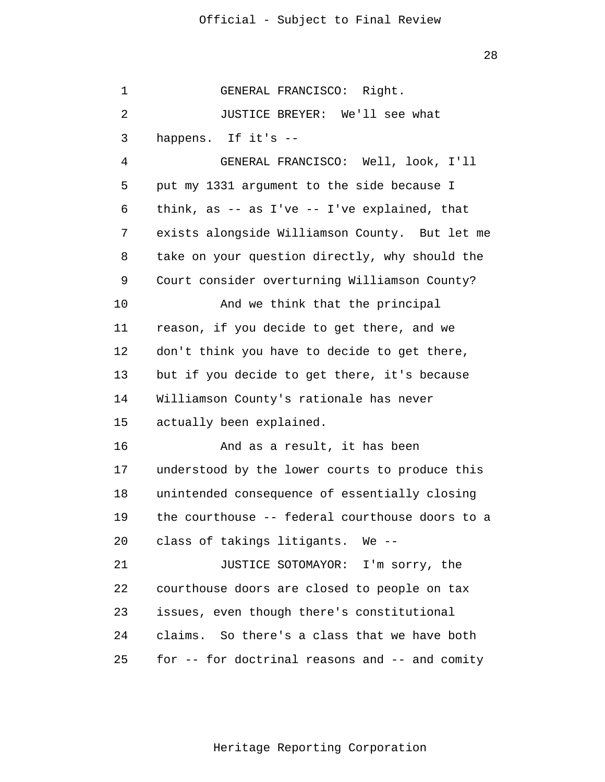28

 1 2 3 4 **5**  $\overline{6}$  7 8 9 10 11 12 13 14 15 16 17 18 19 20 21 22 23 24 25 GENERAL FRANCISCO: Right. JUSTICE BREYER: We'll see what happens. If it's - GENERAL FRANCISCO: Well, look, I'll put my 1331 argument to the side because I think, as -- as I've -- I've explained, that exists alongside Williamson County. But let me take on your question directly, why should the Court consider overturning Williamson County? And we think that the principal reason, if you decide to get there, and we don't think you have to decide to get there, but if you decide to get there, it's because Williamson County's rationale has never actually been explained. And as a result, it has been understood by the lower courts to produce this unintended consequence of essentially closing the courthouse -- federal courthouse doors to a class of takings litigants. We - JUSTICE SOTOMAYOR: I'm sorry, the courthouse doors are closed to people on tax issues, even though there's constitutional claims. So there's a class that we have both for -- for doctrinal reasons and -- and comity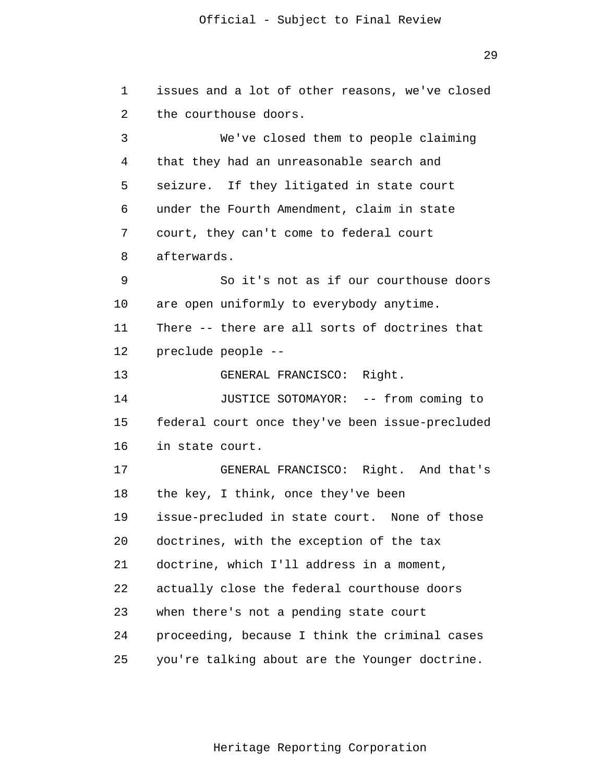1 2 3 4 **5**  $\overline{6}$  7 8 9 10 11 12 13 14 15 16 17 18 19 20 21 22 23 24 25 issues and a lot of other reasons, we've closed the courthouse doors. We've closed them to people claiming that they had an unreasonable search and seizure. If they litigated in state court under the Fourth Amendment, claim in state court, they can't come to federal court afterwards. So it's not as if our courthouse doors are open uniformly to everybody anytime. There -- there are all sorts of doctrines that preclude people - GENERAL FRANCISCO: Right. JUSTICE SOTOMAYOR: -- from coming to federal court once they've been issue-precluded in state court. GENERAL FRANCISCO: Right. And that's the key, I think, once they've been issue-precluded in state court. None of those doctrines, with the exception of the tax doctrine, which I'll address in a moment, actually close the federal courthouse doors when there's not a pending state court proceeding, because I think the criminal cases you're talking about are the Younger doctrine.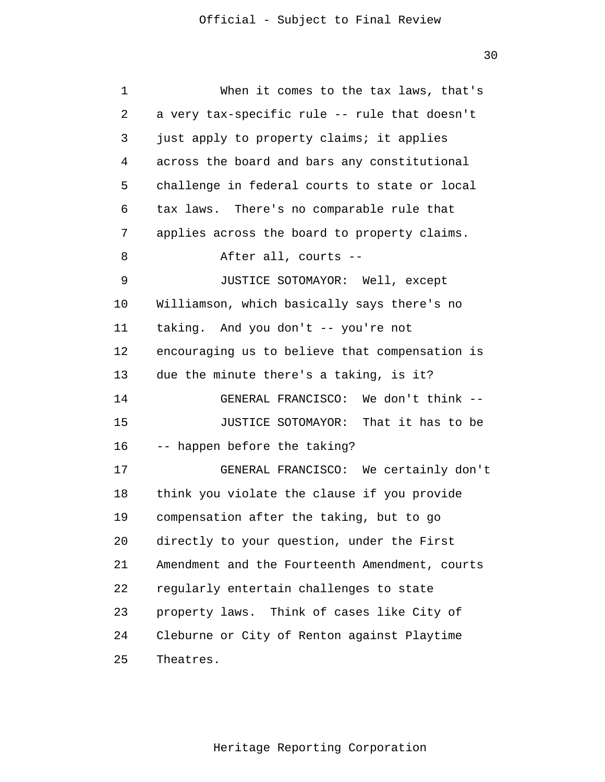| 1  | When it comes to the tax laws, that's          |
|----|------------------------------------------------|
| 2  | a very tax-specific rule -- rule that doesn't  |
| 3  | just apply to property claims; it applies      |
| 4  | across the board and bars any constitutional   |
| 5  | challenge in federal courts to state or local  |
| 6  | tax laws. There's no comparable rule that      |
| 7  | applies across the board to property claims.   |
| 8  | After all, courts --                           |
| 9  | JUSTICE SOTOMAYOR: Well, except                |
| 10 | Williamson, which basically says there's no    |
| 11 | taking. And you don't -- you're not            |
| 12 | encouraging us to believe that compensation is |
| 13 | due the minute there's a taking, is it?        |
| 14 | GENERAL FRANCISCO: We don't think --           |
| 15 | JUSTICE SOTOMAYOR: That it has to be           |
| 16 | -- happen before the taking?                   |
| 17 | GENERAL FRANCISCO: We certainly don't          |
| 18 | think you violate the clause if you provide    |
| 19 | compensation after the taking, but to go       |
| 20 | directly to your question, under the First     |
| 21 | Amendment and the Fourteenth Amendment, courts |
| 22 | regularly entertain challenges to state        |
| 23 | property laws. Think of cases like City of     |
| 24 | Cleburne or City of Renton against Playtime    |
| 25 | Theatres.                                      |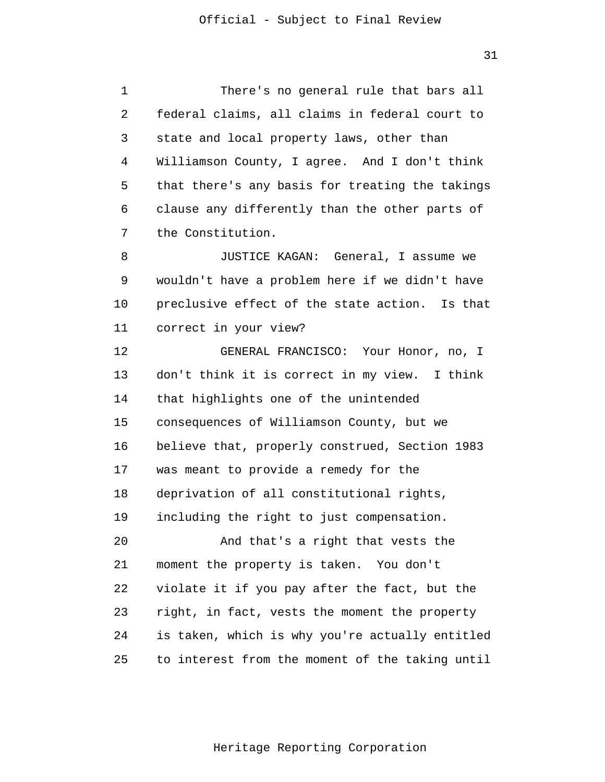1 2 3 4 **5**  $\overline{6}$  7 There's no general rule that bars all federal claims, all claims in federal court to state and local property laws, other than Williamson County, I agree. And I don't think that there's any basis for treating the takings clause any differently than the other parts of the Constitution.

 8 9 10 11 JUSTICE KAGAN: General, I assume we wouldn't have a problem here if we didn't have preclusive effect of the state action. Is that correct in your view?

> 12 13 14 15 16 17 18 19 20 21 22 23 24 25 GENERAL FRANCISCO: Your Honor, no, I don't think it is correct in my view. I think that highlights one of the unintended consequences of Williamson County, but we believe that, properly construed, Section 1983 was meant to provide a remedy for the deprivation of all constitutional rights, including the right to just compensation. And that's a right that vests the moment the property is taken. You don't violate it if you pay after the fact, but the right, in fact, vests the moment the property is taken, which is why you're actually entitled to interest from the moment of the taking until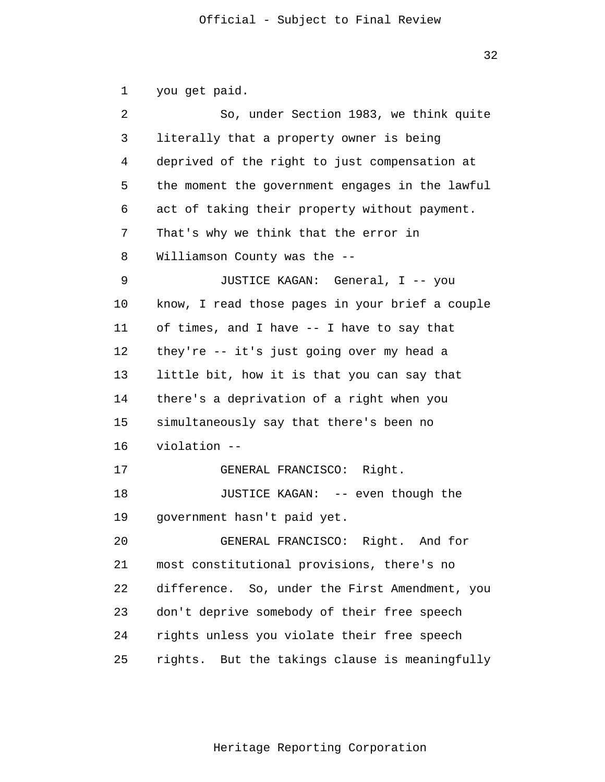1 2 3 4 **5**  $\overline{6}$  7 8 9 10 11 12 13 14 15 16 17 18 19 20 21 22 23 24 25 you get paid. So, under Section 1983, we think quite literally that a property owner is being deprived of the right to just compensation at the moment the government engages in the lawful act of taking their property without payment. That's why we think that the error in Williamson County was the --JUSTICE KAGAN: General, I -- you know, I read those pages in your brief a couple of times, and I have -- I have to say that they're -- it's just going over my head a little bit, how it is that you can say that there's a deprivation of a right when you simultaneously say that there's been no violation - GENERAL FRANCISCO: Right. JUSTICE KAGAN: -- even though the government hasn't paid yet. GENERAL FRANCISCO: Right. And for most constitutional provisions, there's no difference. So, under the First Amendment, you don't deprive somebody of their free speech rights unless you violate their free speech rights. But the takings clause is meaningfully

Heritage Reporting Corporation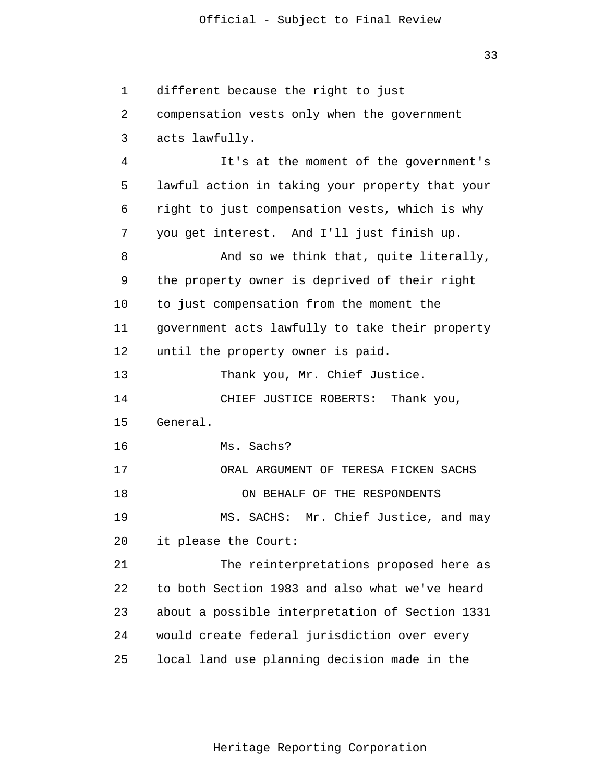33

 1 2 3 4 **5**  $\overline{6}$  7 8 9 10 11 12 13 14 15 16 17 18 19 20 21 22 23 24 25 different because the right to just compensation vests only when the government acts lawfully. It's at the moment of the government's lawful action in taking your property that your right to just compensation vests, which is why you get interest. And I'll just finish up. And so we think that, quite literally, the property owner is deprived of their right to just compensation from the moment the government acts lawfully to take their property until the property owner is paid. Thank you, Mr. Chief Justice. CHIEF JUSTICE ROBERTS: Thank you, General. Ms. Sachs? ORAL ARGUMENT OF TERESA FICKEN SACHS ON BEHALF OF THE RESPONDENTS MS. SACHS: Mr. Chief Justice, and may it please the Court: The reinterpretations proposed here as to both Section 1983 and also what we've heard about a possible interpretation of Section 1331 would create federal jurisdiction over every local land use planning decision made in the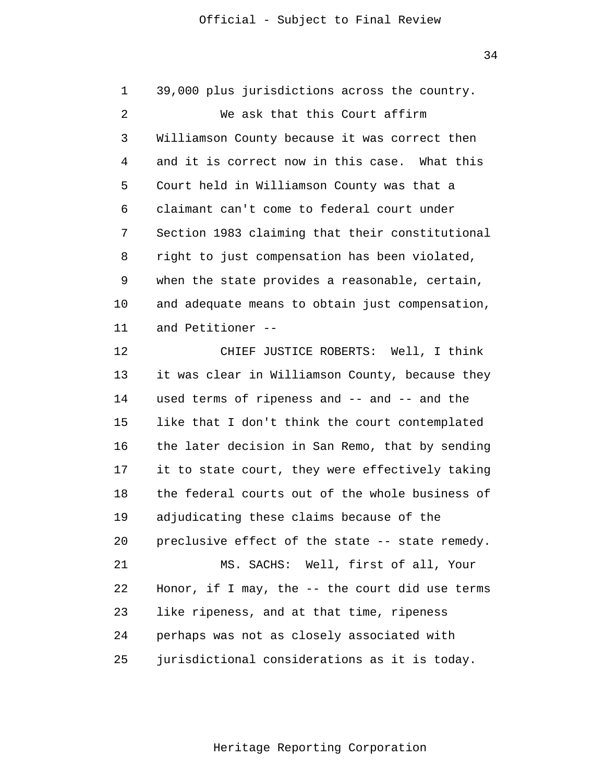34

 1 2 3 4 **5**  $\overline{6}$  7 8 9 10 11 12 13 14 15 16 17 18 19 20 21 22 23 24 25 39,000 plus jurisdictions across the country. We ask that this Court affirm Williamson County because it was correct then and it is correct now in this case. What this Court held in Williamson County was that a claimant can't come to federal court under Section 1983 claiming that their constitutional right to just compensation has been violated, when the state provides a reasonable, certain, and adequate means to obtain just compensation, and Petitioner - CHIEF JUSTICE ROBERTS: Well, I think it was clear in Williamson County, because they used terms of ripeness and -- and -- and the like that I don't think the court contemplated the later decision in San Remo, that by sending it to state court, they were effectively taking the federal courts out of the whole business of adjudicating these claims because of the preclusive effect of the state -- state remedy. MS. SACHS: Well, first of all, Your Honor, if I may, the -- the court did use terms like ripeness, and at that time, ripeness perhaps was not as closely associated with jurisdictional considerations as it is today.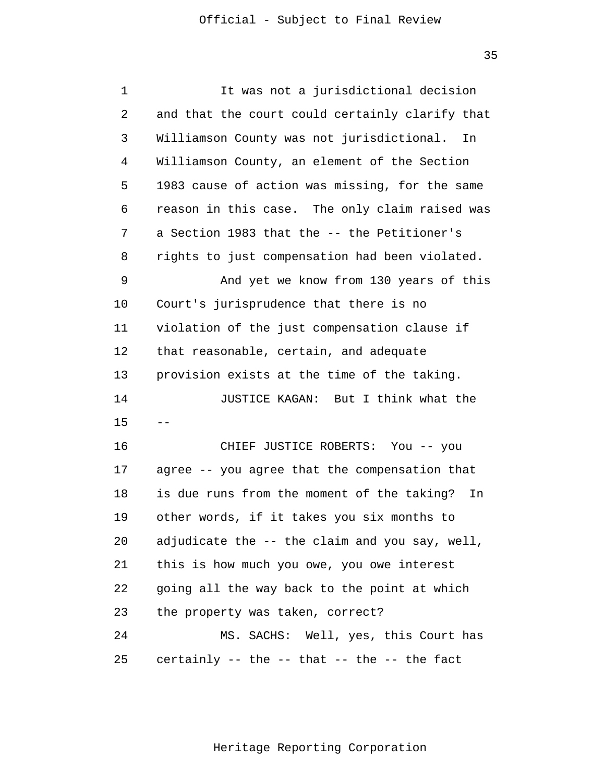35

| $\mathbf 1$ | It was not a jurisdictional decision                |
|-------------|-----------------------------------------------------|
| 2           | and that the court could certainly clarify that     |
| 3           | Williamson County was not jurisdictional.<br>In     |
| 4           | Williamson County, an element of the Section        |
| 5           | 1983 cause of action was missing, for the same      |
| 6           | reason in this case. The only claim raised was      |
| 7           | a Section 1983 that the -- the Petitioner's         |
| 8           | rights to just compensation had been violated.      |
| 9           | And yet we know from 130 years of this              |
| 10          | Court's jurisprudence that there is no              |
| 11          | violation of the just compensation clause if        |
| 12          | that reasonable, certain, and adequate              |
| 13          | provision exists at the time of the taking.         |
| 14          | JUSTICE KAGAN: But I think what the                 |
| 15          |                                                     |
| 16          | CHIEF JUSTICE ROBERTS: You -- you                   |
| 17          | agree -- you agree that the compensation that       |
| 18          | is due runs from the moment of the taking?<br>In    |
| 19          | other words, if it takes you six months to          |
| 20          | adjudicate the -- the claim and you say, well,      |
| 21          | this is how much you owe, you owe interest          |
| 22          | going all the way back to the point at which        |
| 23          | the property was taken, correct?                    |
| 24          | MS. SACHS: Well, yes, this Court has                |
| 25          | certainly $--$ the $--$ that $--$ the $--$ the fact |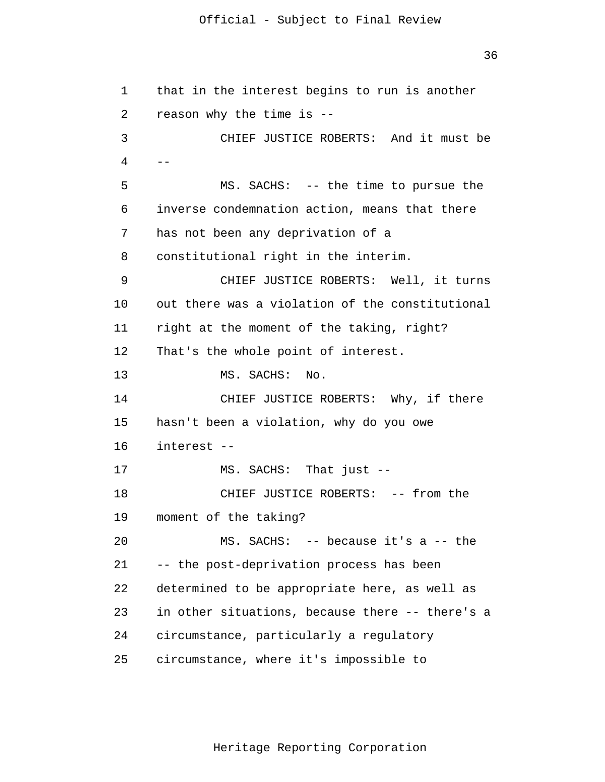36

```
 1 
 2 
 3 
4 --
5
 6 
 7 
 8 
 9 
            10 
            11 
            12 
            13 
            14 
            15 
            16 
            17 
            18 
            19 
            20 
            21 
            22 
            23 
            24 
            25 
                that in the interest begins to run is another
                reason why the time is -
                         CHIEF JUSTICE ROBERTS: And it must be
                        MS. SACHS: -- the time to pursue the
                inverse condemnation action, means that there
                has not been any deprivation of a
                constitutional right in the interim.
                         CHIEF JUSTICE ROBERTS: Well, it turns
                out there was a violation of the constitutional
                right at the moment of the taking, right?
                That's the whole point of interest.
                        MS. SACHS: No.
                         CHIEF JUSTICE ROBERTS: Why, if there
                hasn't been a violation, why do you owe
                interest -
                        MS. SACHS: That just -
                         CHIEF JUSTICE ROBERTS: -- from the
                moment of the taking?
                         MS. SACHS: -- because it's a -- the
                -- the post-deprivation process has been
                determined to be appropriate here, as well as
                in other situations, because there -- there's a
                circumstance, particularly a regulatory
                circumstance, where it's impossible to
```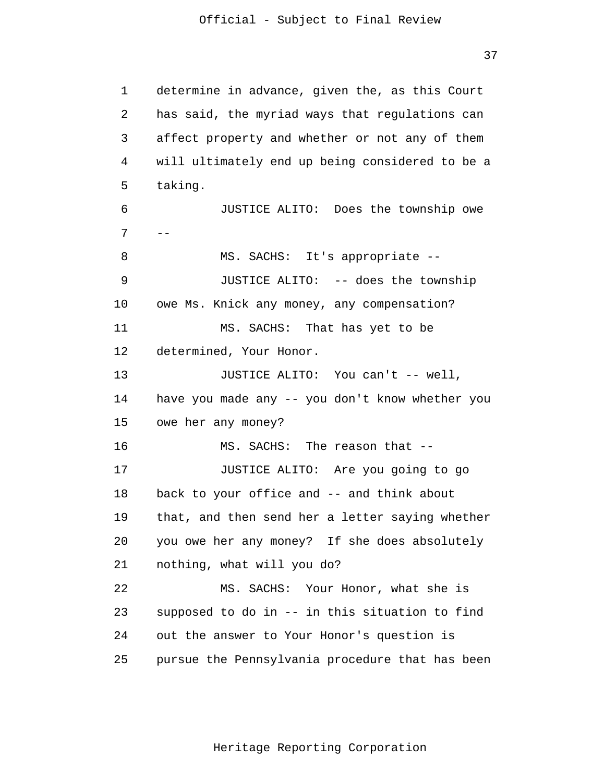37

 1 2 3 4 **5**  $\overline{6}$  7 8 9 10 11 12 13 14 15 16 17 18 19 20 21 22 23 24 25 determine in advance, given the, as this Court has said, the myriad ways that regulations can affect property and whether or not any of them will ultimately end up being considered to be a taking. JUSTICE ALITO: Does the township owe  $-$ MS. SACHS: It' s appropriate - JUSTICE ALITO: -- does the township owe Ms. Knick any money, any compensation? MS. SACHS: That has yet to be determined, Your Honor. JUSTICE ALITO: You can't -- well, have you made any -- you don't know whether you owe her any money? MS. SACHS: The reason that --JUSTICE ALITO: Are you going to go back to your office and -- and think about that, and then send her a letter saying whether you owe her any money? If she does absolutely nothing, what will you do? MS. SACHS: Your Honor, what she is supposed to do in -- in this situation to find out the answer to Your Honor's question is pursue the Pennsylvania procedure that has been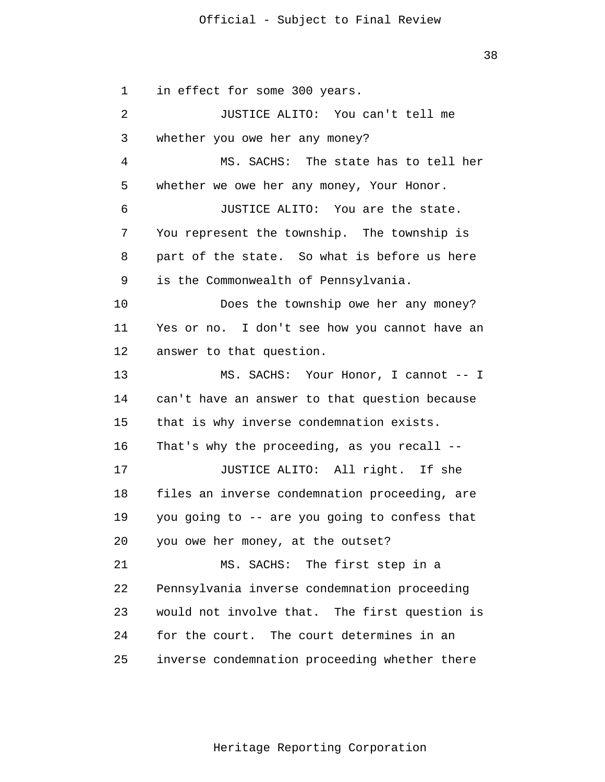1 2 3 4 **5**  $\overline{6}$  7 8 9 10 11 12 13 14 15 16 17 18 19 20 21 22 23 24 in effect for some 300 years. JUSTICE ALITO: You can't tell me whether you owe her any money? MS. SACHS: The state has to tell her whether we owe her any money, Your Honor. JUSTICE ALITO: You are the state. You represent the township. The township is part of the state. So what is before us here is the Commonwealth of Pennsylvania. Does the township owe her any money? Yes or no. I don't see how you cannot have an answer to that question. MS. SACHS: Your Honor, I cannot -- I can't have an answer to that question because that is why inverse condemnation exists. That's why the proceeding, as you recall - JUSTICE ALITO: All right. If she files an inverse condemnation proceeding, are you going to -- are you going to confess that you owe her money, at the outset? MS. SACHS: The first step in a Pennsylvania inverse condemnation proceeding would not involve that. The first question is for the court. The court determines in an

 25 inverse condemnation proceeding whether there

38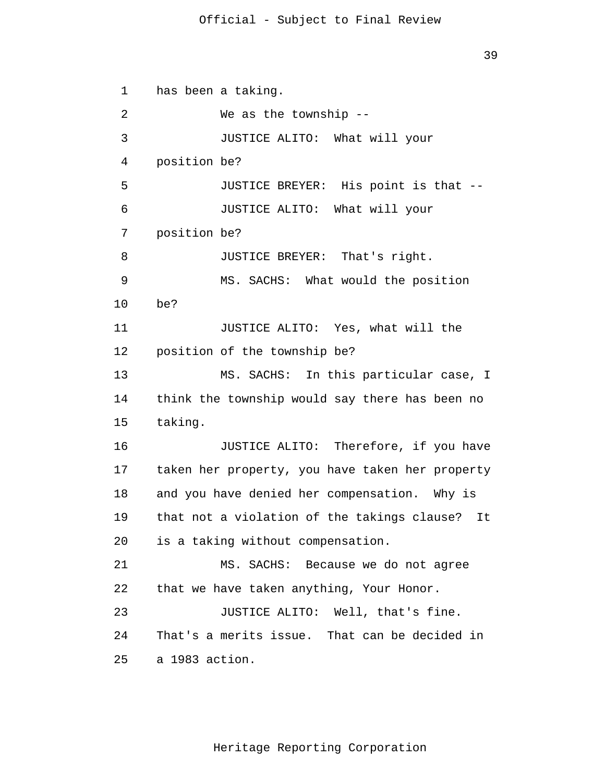```
 1 
 2 
 3 
 4 
5
\overline{6} 7 
 8 
 9 
            10 
            11 
            12 
            13 
            14 
            15 
            16 
            17 
            18 
            19 
            20 
            21 
            22 
            23 
            24 
            25 
                has been a taking.
                         We as the township --
                         JUSTICE ALITO: What will your
                position be?
                         JUSTICE BREYER: His point is that -
                         JUSTICE ALITO: What will your
                position be?
                         JUSTICE BREYER: That's right.
                         MS. SACHS: What would the position
                be?
                         JUSTICE ALITO: Yes, what will the
                position of the township be?
                         MS. SACHS: In this particular case, I
                think the township would say there has been no
                taking.
                         JUSTICE ALITO: Therefore, if you have
                taken her property, you have taken her property
                and you have denied her compensation. Why is
                that not a violation of the takings clause? It
                is a taking without compensation.
                         MS. SACHS: Because we do not agree
                that we have taken anything, Your Honor.
                         JUSTICE ALITO: Well, that's fine.
                That's a merits issue. That can be decided in
                a 1983 action.
```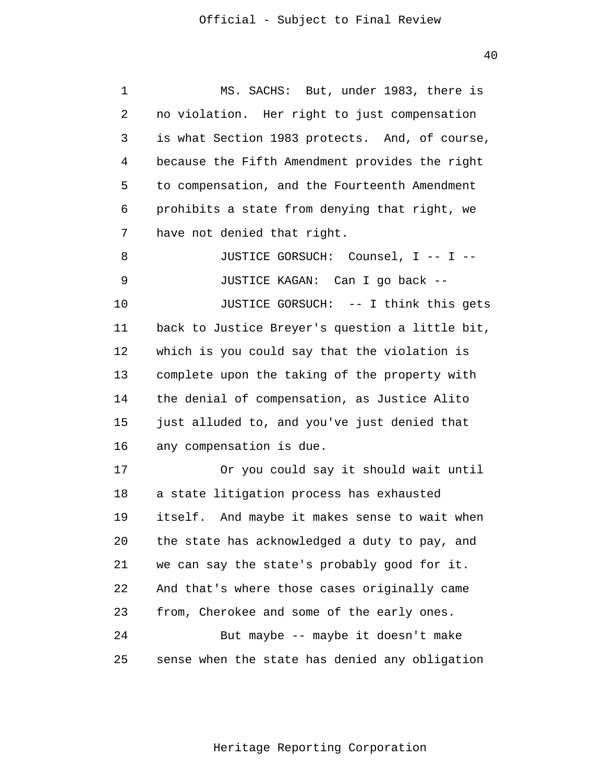1 2 3 4 **5**  $\overline{6}$  7 8 MS. SACHS: But, under 1983, there is no violation. Her right to just compensation is what Section 1983 protects. And, of course, because the Fifth Amendment provides the right to compensation, and the Fourteenth Amendment prohibits a state from denying that right, we have not denied that right. JUSTICE GORSUCH: Counsel, I -- I --

 9 10 11 12 13 14 15 16 JUSTICE KAGAN: Can I go back - JUSTICE GORSUCH: -- I think this gets back to Justice Breyer's question a little bit, which is you could say that the violation is complete upon the taking of the property with the denial of compensation, as Justice Alito just alluded to, and you've just denied that any compensation is due.

> 17 18 19 20 21 22 23 24 25 Or you could say it should wait until a state litigation process has exhausted itself. And maybe it makes sense to wait when the state has acknowledged a duty to pay, and we can say the state's probably good for it. And that's where those cases originally came from, Cherokee and some of the early ones. But maybe -- maybe it doesn't make sense when the state has denied any obligation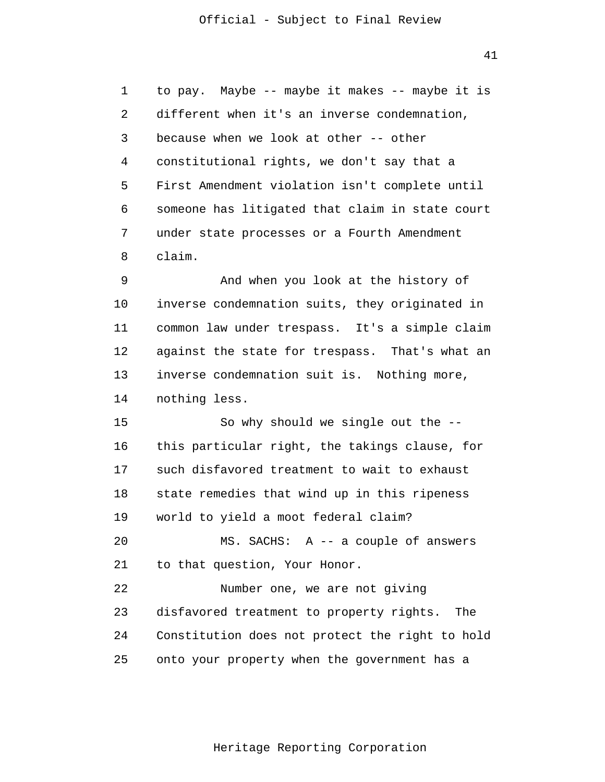41

 1 2 3 4 **5**  $\overline{6}$  7 8 to pay. Maybe -- maybe it makes -- maybe it is different when it's an inverse condemnation, because when we look at other -- other constitutional rights, we don't say that a First Amendment violation isn't complete until someone has litigated that claim in state court under state processes or a Fourth Amendment claim.

 9 10 11 12 13 14 And when you look at the history of inverse condemnation suits, they originated in common law under trespass. It's a simple claim against the state for trespass. That's what an inverse condemnation suit is. Nothing more, nothing less.

> 15 16 17 18 19 20 21 22 23 So why should we single out the this particular right, the takings clause, for such disfavored treatment to wait to exhaust state remedies that wind up in this ripeness world to yield a moot federal claim? MS. SACHS: A -- a couple of answers to that question, Your Honor. Number one, we are not giving disfavored treatment to property rights. The

 25 Constitution does not protect the right to hold onto your property when the government has a

24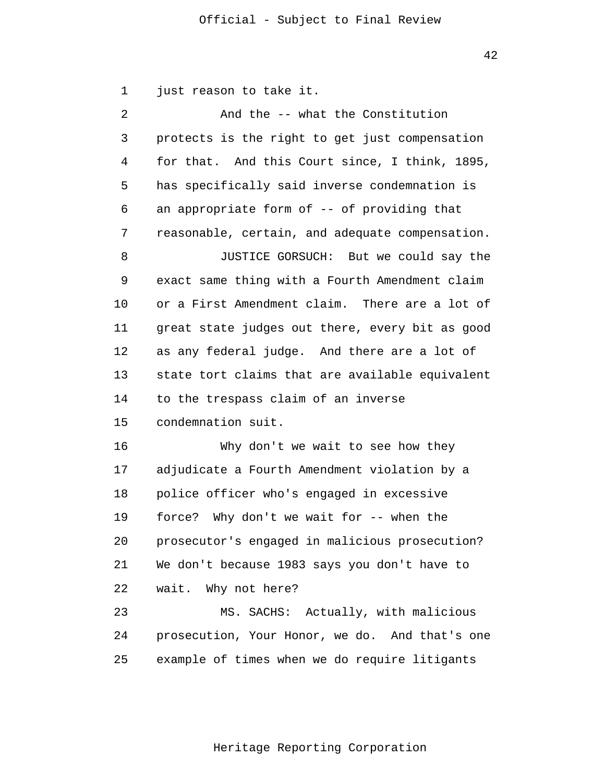42

1 just reason to take it.

| 2  | And the -- what the Constitution                |
|----|-------------------------------------------------|
| 3  | protects is the right to get just compensation  |
| 4  | for that. And this Court since, I think, 1895,  |
| 5  | has specifically said inverse condemnation is   |
| 6  | an appropriate form of -- of providing that     |
| 7  | reasonable, certain, and adequate compensation. |
| 8  | JUSTICE GORSUCH: But we could say the           |
| 9  | exact same thing with a Fourth Amendment claim  |
| 10 | or a First Amendment claim. There are a lot of  |
| 11 | great state judges out there, every bit as good |
| 12 | as any federal judge. And there are a lot of    |
| 13 | state tort claims that are available equivalent |
| 14 | to the trespass claim of an inverse             |
| 15 | condemnation suit.                              |
| 16 | Why don't we wait to see how they               |
| 17 | adjudicate a Fourth Amendment violation by a    |
| 18 | police officer who's engaged in excessive       |
| 19 | force? Why don't we wait for -- when the        |
| 20 | prosecutor's engaged in malicious prosecution?  |
| 21 | We don't because 1983 says you don't have to    |
| 22 | wait.<br>Why not here?                          |
| 23 | MS. SACHS: Actually, with malicious             |
| 24 | prosecution, Your Honor, we do. And that's one  |
| 25 | example of times when we do require litigants   |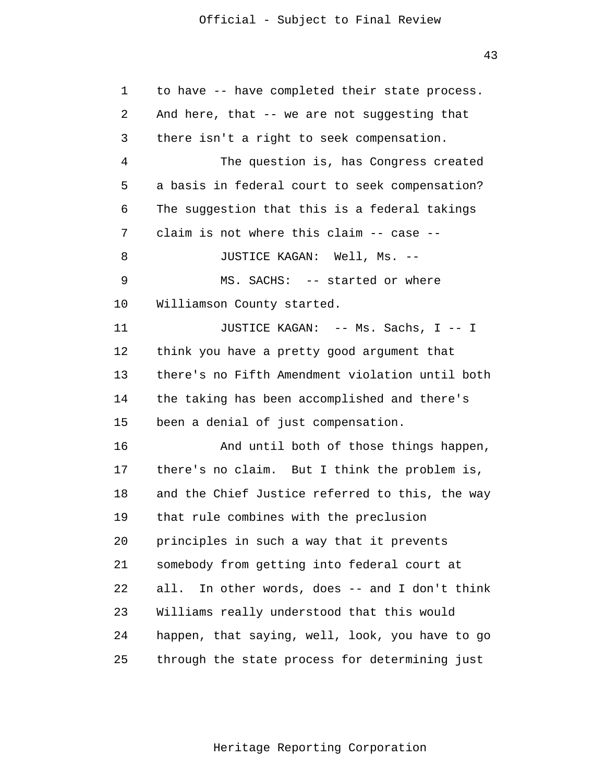1 2 3 4 **5**  $\overline{6}$  7 8 9 10 11 12 13 14 15 16 17 18 19 20 21 22 23 24 25 to have -- have completed their state process. And here, that  $-$ - we are not suggesting that there isn't a right to seek compensation. The question is, has Congress created a basis in federal court to seek compensation? The suggestion that this is a federal takings claim is not where this claim -- case - JUSTICE KAGAN: Well, Ms. - MS. SACHS: -- started or where Williamson County started. JUSTICE KAGAN: -- Ms. Sachs, I -- I think you have a pretty good argument that there's no Fifth Amendment violation until both the taking has been accomplished and there's been a denial of just compensation. And until both of those things happen, there's no claim. But I think the problem is, and the Chief Justice referred to this, the way that rule combines with the preclusion principles in such a way that it prevents somebody from getting into federal court at all. In other words, does -- and I don't think Williams really understood that this would happen, that saying, well, look, you have to go through the state process for determining just

43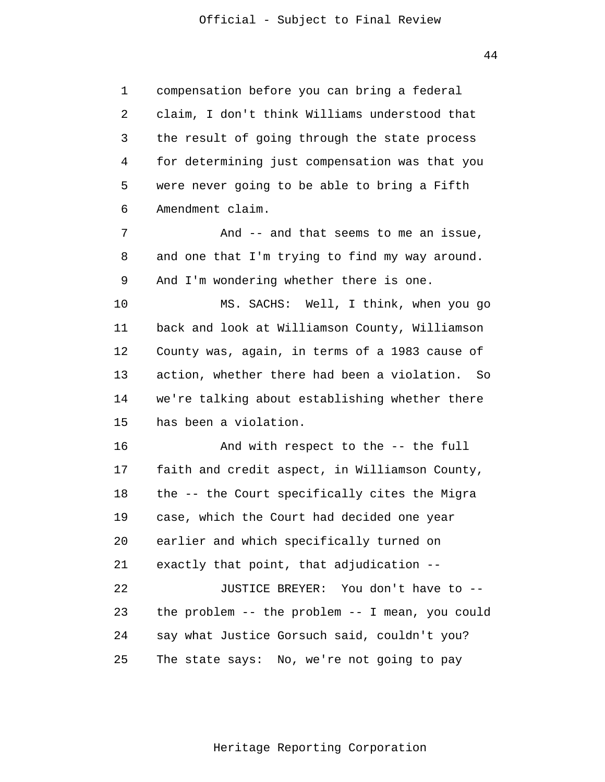44

 1 2 3 4 **5**  6 compensation before you can bring a federal claim, I don't think Williams understood that the result of going through the state process for determining just compensation was that you were never going to be able to bring a Fifth Amendment claim.

 7 8 9 And -- and that seems to me an issue, and one that I'm trying to find my way around. And I'm wondering whether there is one.

> 10 11 12 13 14 15 MS. SACHS: Well, I think, when you go back and look at Williamson County, Williamson County was, again, in terms of a 1983 cause of action, whether there had been a violation. So we're talking about establishing whether there has been a violation.

> 16 17 18 19 20 21 22 23 24 25 And with respect to the -- the full faith and credit aspect, in Williamson County, the -- the Court specifically cites the Migra case, which the Court had decided one year earlier and which specifically turned on exactly that point, that adjudication - JUSTICE BREYER: You don't have to the problem -- the problem -- I mean, you could say what Justice Gorsuch said, couldn't you? The state says: No, we're not going to pay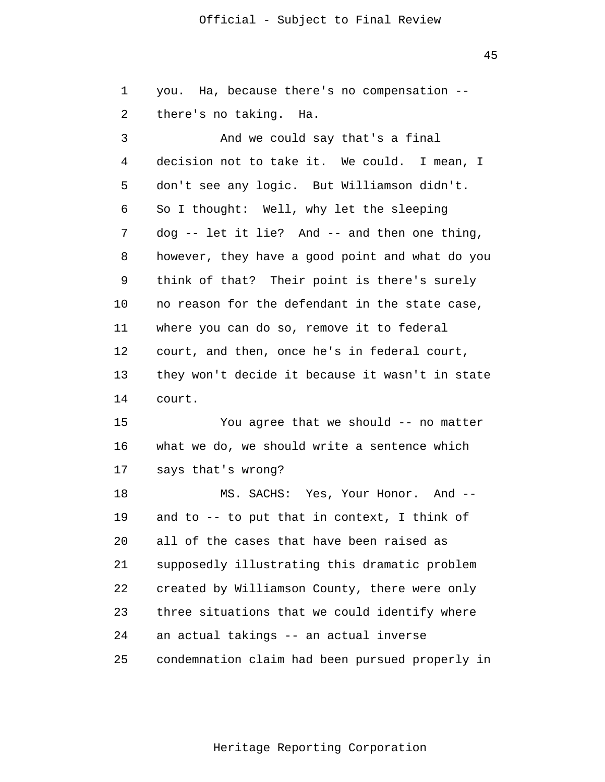45

| 1       | you. Ha, because there's no compensation --     |
|---------|-------------------------------------------------|
| 2       | there's no taking. Ha.                          |
| 3       | And we could say that's a final                 |
| 4       | decision not to take it. We could. I mean, I    |
| 5       | don't see any logic. But Williamson didn't.     |
| 6       | So I thought: Well, why let the sleeping        |
| 7       | dog -- let it lie? And -- and then one thing,   |
| 8       | however, they have a good point and what do you |
| 9       | think of that? Their point is there's surely    |
| $10 \,$ | no reason for the defendant in the state case,  |
| 11      | where you can do so, remove it to federal       |
| 12      | court, and then, once he's in federal court,    |
| 13      | they won't decide it because it wasn't in state |
| 14      | court.                                          |
| 15      | You agree that we should -- no matter           |
| 16      | what we do, we should write a sentence which    |
| 17      | says that's wrong?                              |
| 18      | MS. SACHS: Yes, Your Honor. And --              |
| 19      | and to -- to put that in context, I think of    |
| 20      | all of the cases that have been raised as       |
| 21      | supposedly illustrating this dramatic problem   |
| 22      | created by Williamson County, there were only   |
| 23      | three situations that we could identify where   |
| 24      | an actual takings -- an actual inverse          |
| 25      | condemnation claim had been pursued properly in |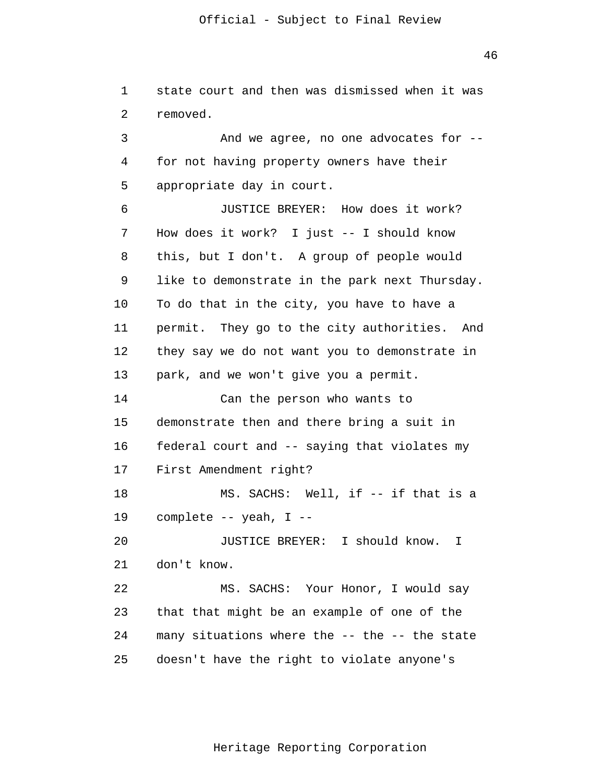1 2 3 4 **5**  6 7 8 9 10 11 12 13 14 15 16 17 18 19 20 21 22 23 24 state court and then was dismissed when it was removed. And we agree, no one advocates for for not having property owners have their appropriate day in court. JUSTICE BREYER: How does it work? How does it work? I just -- I should know this, but I don't. A group of people would like to demonstrate in the park next Thursday. To do that in the city, you have to have a permit. They go to the city authorities. And they say we do not want you to demonstrate in park, and we won't give you a permit. Can the person who wants to demonstrate then and there bring a suit in federal court and -- saying that violates my First Amendment right? MS. SACHS: Well, if -- if that is a complete -- yeah, I - JUSTICE BREYER: I should know. I don't know. MS. SACHS: Your Honor, I would say that that might be an example of one of the many situations where the -- the -- the state

Heritage Reporting Corporation

doesn't have the right to violate anyone's

25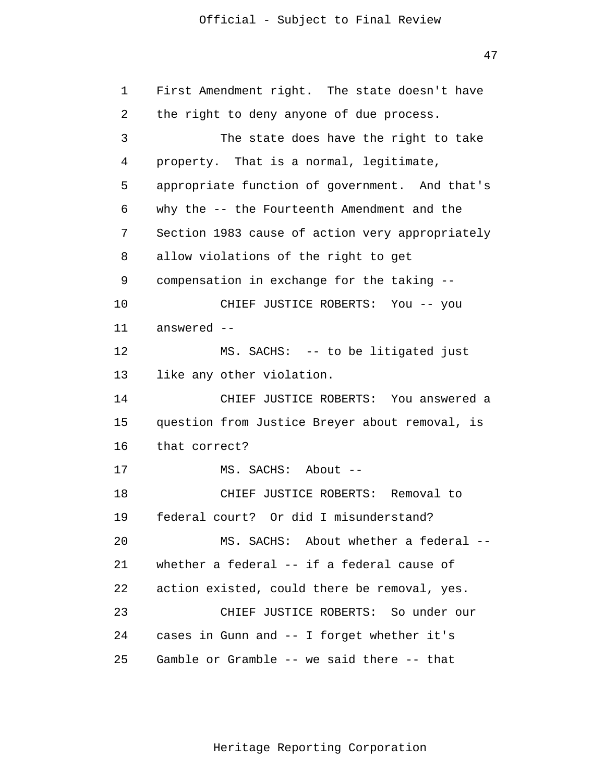47

| 1  | First Amendment right. The state doesn't have   |
|----|-------------------------------------------------|
| 2  | the right to deny anyone of due process.        |
| 3  | The state does have the right to take           |
| 4  | property. That is a normal, legitimate,         |
| 5  | appropriate function of government. And that's  |
| 6  | why the -- the Fourteenth Amendment and the     |
| 7  | Section 1983 cause of action very appropriately |
| 8  | allow violations of the right to get            |
| 9  | compensation in exchange for the taking --      |
| 10 | CHIEF JUSTICE ROBERTS: You -- you               |
| 11 | answered --                                     |
| 12 | MS. SACHS: -- to be litigated just              |
| 13 | like any other violation.                       |
| 14 | CHIEF JUSTICE ROBERTS: You answered a           |
| 15 | question from Justice Breyer about removal, is  |
| 16 | that correct?                                   |
| 17 | MS. SACHS: About --                             |
| 18 | CHIEF JUSTICE ROBERTS: Removal to               |
| 19 | federal court? Or did I misunderstand?          |
| 20 | MS. SACHS: About whether a federal --           |
| 21 | whether a federal -- if a federal cause of      |
| 22 | action existed, could there be removal, yes.    |
| 23 | CHIEF JUSTICE ROBERTS: So under our             |
| 24 | cases in Gunn and -- I forget whether it's      |
| 25 | Gamble or Gramble -- we said there -- that      |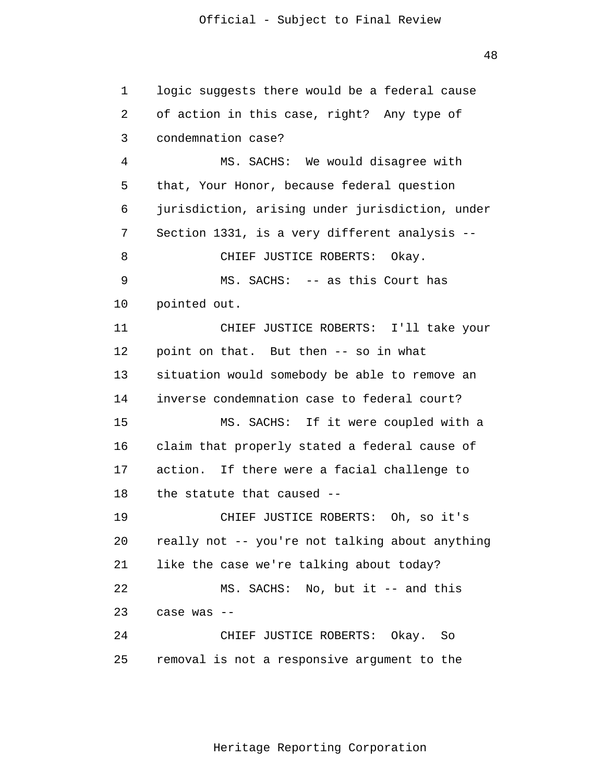48

 1 2 3 4 **5**  6 7 8 9 10 11 12 13 14 15 16 17 18 19 20 21 22 23 24 25 logic suggests there would be a federal cause of action in this case, right? Any type of condemnation case? MS. SACHS: We would disagree with that, Your Honor, because federal question jurisdiction, arising under jurisdiction, under Section 1331, is a very different analysis - CHIEF JUSTICE ROBERTS: Okay. MS. SACHS: -- as this Court has pointed out. CHIEF JUSTICE ROBERTS: I'll take your point on that. But then -- so in what situation would somebody be able to remove an inverse condemnation case to federal court? MS. SACHS: If it were coupled with a claim that properly stated a federal cause of action. If there were a facial challenge to the statute that caused - CHIEF JUSTICE ROBERTS: Oh, so it's really not -- you're not talking about anything like the case we're talking about today? MS. SACHS: No, but it -- and this case was - CHIEF JUSTICE ROBERTS: Okay. So removal is not a responsive argument to the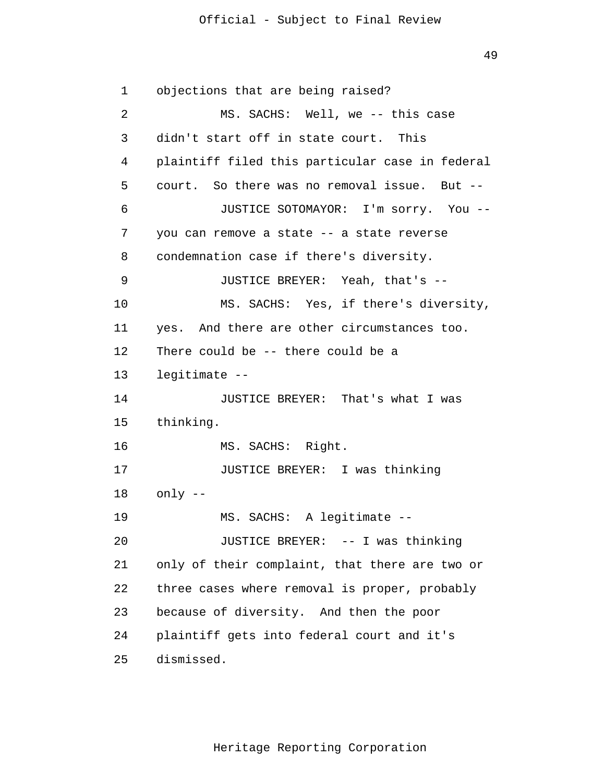```
 1 
 2 
 3 
 4 
5
 6 
 7 
 8 
 9 
            10 
           11 
           12 
           13 
           14 
           15 
           16 
           17 
           18 
           19 
            20 
            21 
            22 
            23 
            24 
            25 
                objections that are being raised?
                        MS. SACHS: Well, we -- this case
                didn't start off in state court. This
                plaintiff filed this particular case in federal
                court. So there was no removal issue. But -
                        JUSTICE SOTOMAYOR: I'm sorry. You -
                you can remove a state -- a state reverse
                condemnation case if there's diversity.
                        JUSTICE BREYER: Yeah, that's -
                        MS. SACHS: Yes, if there's diversity,
                yes. And there are other circumstances too.
                There could be -- there could be a
                legitimate -
                        JUSTICE BREYER: That's what I was
                thinking.
                        MS. SACHS: Right.
                        JUSTICE BREYER: I was thinking
                only -
                        MS. SACHS: A legitimate -
                        JUSTICE BREYER: -- I was thinking
                only of their complaint, that there are two or
                three cases where removal is proper, probably
                because of diversity. And then the poor
                plaintiff gets into federal court and it's
                dismissed.
```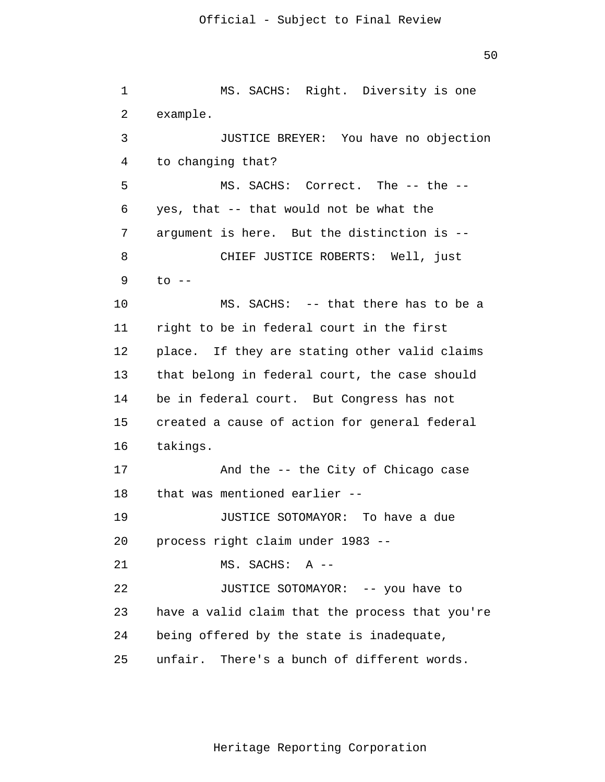1 2 3 4 **5**  6 7 8 9 10 11 12 13 14 15 16 17 18 19 20 21 22 23 24 25 MS. SACHS: Right. Diversity is one example. JUSTICE BREYER: You have no objection to changing that? MS. SACHS: Correct. The -- the -yes, that -- that would not be what the argument is here. But the distinction is - CHIEF JUSTICE ROBERTS: Well, just  $to$   $--$ MS. SACHS: -- that there has to be a right to be in federal court in the first place. If they are stating other valid claims that belong in federal court, the case should be in federal court. But Congress has not created a cause of action for general federal takings. And the -- the City of Chicago case that was mentioned earlier - JUSTICE SOTOMAYOR: To have a due process right claim under 1983 - MS. SACHS: A - JUSTICE SOTOMAYOR: -- you have to have a valid claim that the process that you're being offered by the state is inadequate, unfair. There's a bunch of different words.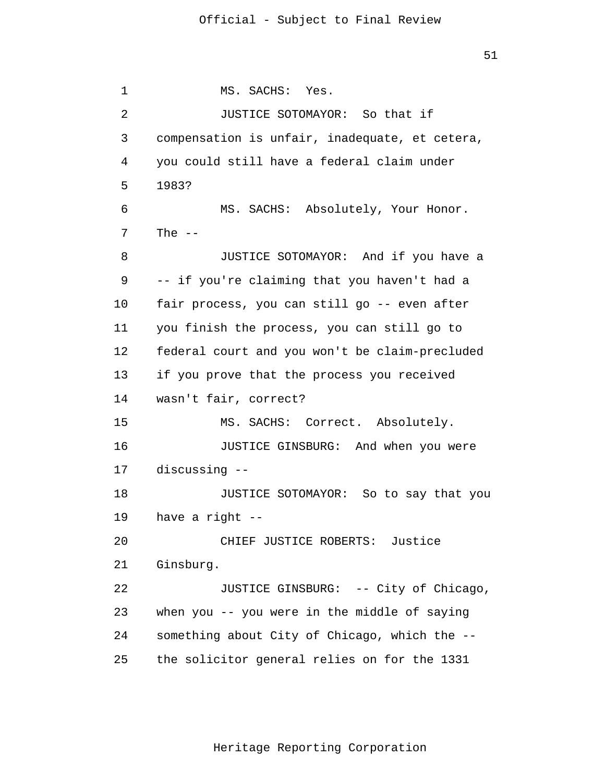1 2 3 4 **5**  6 7 8 9 10 11 12 13 14 15 16 17 18 19 20 21 22 23 24 MS. SACHS: Yes. JUSTICE SOTOMAYOR: So that if compensation is unfair, inadequate, et cetera, you could still have a federal claim under 1983? MS. SACHS: Absolutely, Your Honor. The  $--$ JUSTICE SOTOMAYOR: And if you have a -- if you're claiming that you haven't had a fair process, you can still go -- even after you finish the process, you can still go to federal court and you won't be claim-precluded if you prove that the process you received wasn't fair, correct? MS. SACHS: Correct. Absolutely. JUSTICE GINSBURG: And when you were discussing - JUSTICE SOTOMAYOR: So to say that you have a right - CHIEF JUSTICE ROBERTS: Justice Ginsburg. JUSTICE GINSBURG: -- City of Chicago, when you -- you were in the middle of saying something about City of Chicago, which the -

> 25 the solicitor general relies on for the 1331

> > Heritage Reporting Corporation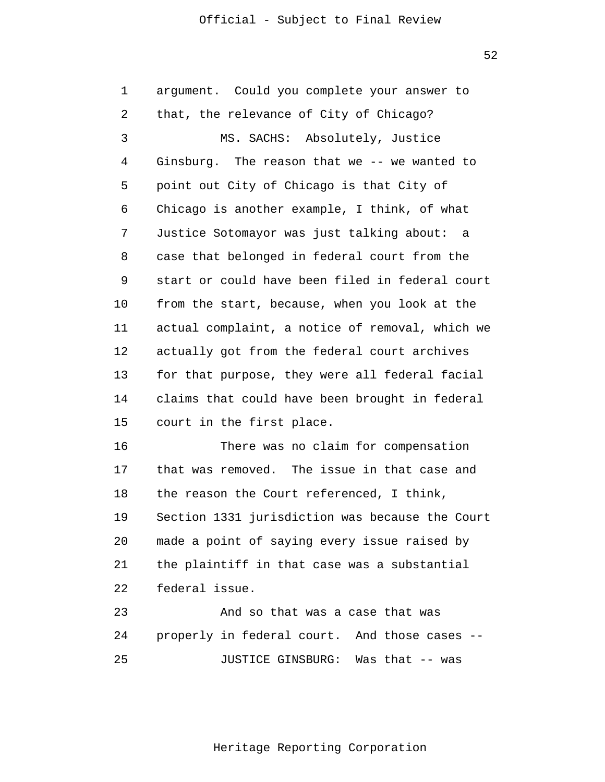52

| $\mathbf 1$ | argument. Could you complete your answer to     |
|-------------|-------------------------------------------------|
| 2           | that, the relevance of City of Chicago?         |
| 3           | MS. SACHS: Absolutely, Justice                  |
| 4           | Ginsburg. The reason that we -- we wanted to    |
| 5           | point out City of Chicago is that City of       |
| 6           | Chicago is another example, I think, of what    |
| 7           | Justice Sotomayor was just talking about: a     |
| 8           | case that belonged in federal court from the    |
| 9           | start or could have been filed in federal court |
| $10 \,$     | from the start, because, when you look at the   |
| 11          | actual complaint, a notice of removal, which we |
| 12          | actually got from the federal court archives    |
| 13          | for that purpose, they were all federal facial  |
| 14          | claims that could have been brought in federal  |
| 15          | court in the first place.                       |
| 16          | There was no claim for compensation             |
| 17          | that was removed. The issue in that case and    |
| 18          | the reason the Court referenced, I think,       |
| 19          | Section 1331 jurisdiction was because the Court |
| 20          | made a point of saying every issue raised by    |
| 21          | the plaintiff in that case was a substantial    |
| 22          | federal issue.                                  |
| 23          | And so that was a case that was                 |
| 24          | properly in federal court. And those cases --   |
| 25          | Was that -- was<br>JUSTICE GINSBURG:            |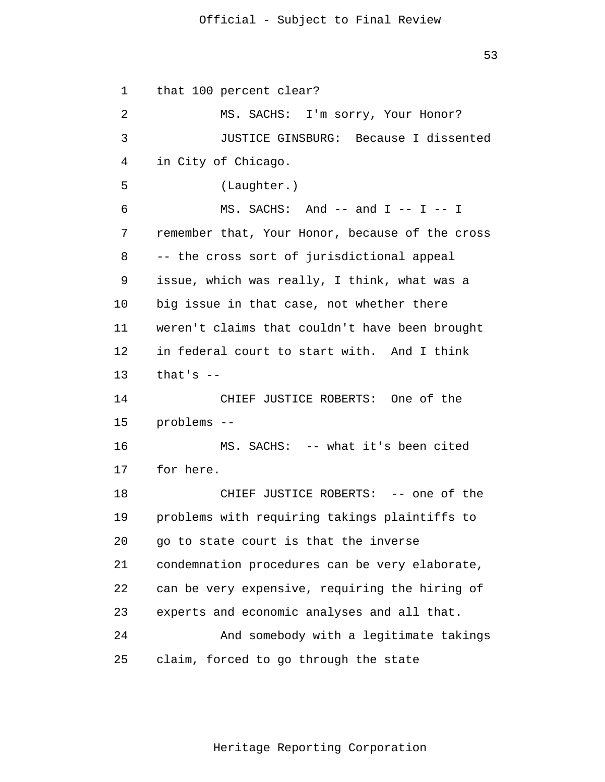53

 1 2 3 4 **5**  6 7 8 9 10 11 12 13 14 15 16 17 18 19 20 21 22 23 24 25 that 100 percent clear? MS. SACHS: I'm sorry, Your Honor? JUSTICE GINSBURG: Because I dissented in City of Chicago. (Laughter.)  $MS.$  SACHS: And  $--$  and  $I$   $- I$   $- I$ remember that, Your Honor, because of the cross -- the cross sort of jurisdictional appeal issue, which was really, I think, what was a big issue in that case, not whether there weren't claims that couldn't have been brought in federal court to start with. And I think that's  $-$ CHIEF JUSTICE ROBERTS: One of the problems - MS. SACHS: -- what it's been cited for here. CHIEF JUSTICE ROBERTS: -- one of the problems with requiring takings plaintiffs to go to state court is that the inverse condemnation procedures can be very elaborate, can be very expensive, requiring the hiring of experts and economic analyses and all that. And somebody with a legitimate takings claim, forced to go through the state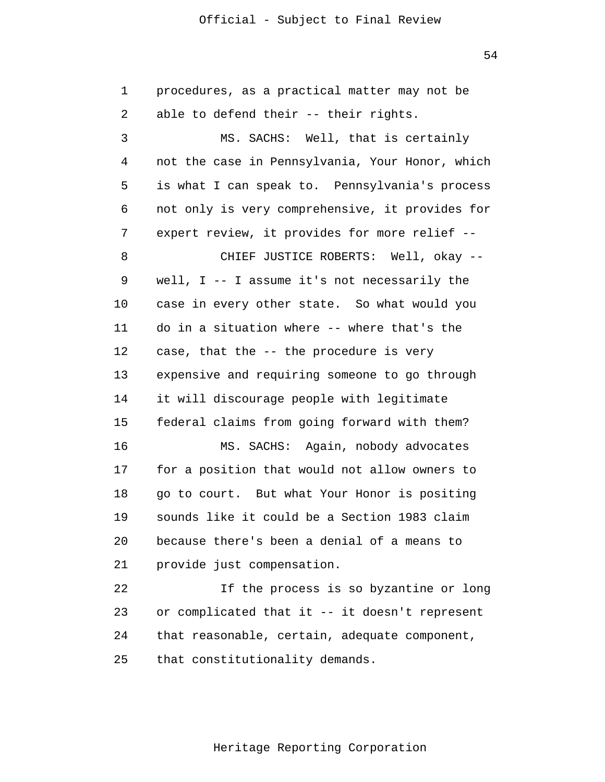54

 1 2 3 4 **5**  6 7 8 9 10 11 12 13 14 15 16 17 18 19 20 21 22 23 24 25 procedures, as a practical matter may not be able to defend their -- their rights. MS. SACHS: Well, that is certainly not the case in Pennsylvania, Your Honor, which is what I can speak to. Pennsylvania's process not only is very comprehensive, it provides for expert review, it provides for more relief --CHIEF JUSTICE ROBERTS: Well, okay well, I -- I assume it's not necessarily the case in every other state. So what would you do in a situation where -- where that's the case, that the -- the procedure is very expensive and requiring someone to go through it will discourage people with legitimate federal claims from going forward with them? MS. SACHS: Again, nobody advocates for a position that would not allow owners to go to court. But what Your Honor is positing sounds like it could be a Section 1983 claim because there's been a denial of a means to provide just compensation. If the process is so byzantine or long or complicated that it -- it doesn't represent that reasonable, certain, adequate component, that constitutionality demands.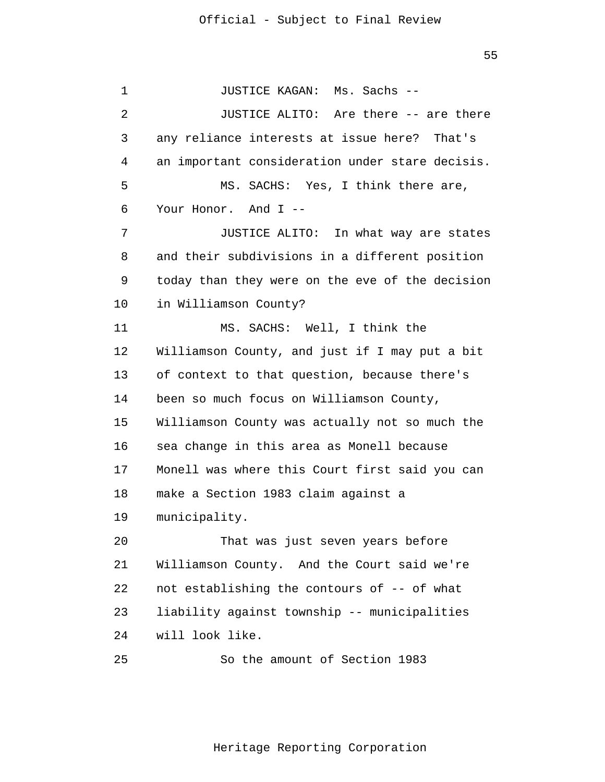$55$ 

 1 2 3 4 **5**  6 7 8 9 10 11 12 13 14 15 16 17 18 19 20 21 22 23 24 25 JUSTICE KAGAN: Ms. Sachs - JUSTICE ALITO: Are there -- are there any reliance interests at issue here? That's an important consideration under stare decisis. MS. SACHS: Yes, I think there are, Your Honor. And I --JUSTICE ALITO: In what way are states and their subdivisions in a different position today than they were on the eve of the decision in Williamson County? MS. SACHS: Well, I think the Williamson County, and just if I may put a bit of context to that question, because there's been so much focus on Williamson County, Williamson County was actually not so much the sea change in this area as Monell because Monell was where this Court first said you can make a Section 1983 claim against a municipality. That was just seven years before Williamson County. And the Court said we're not establishing the contours of -- of what liability against township -- municipalities will look like. So the amount of Section 1983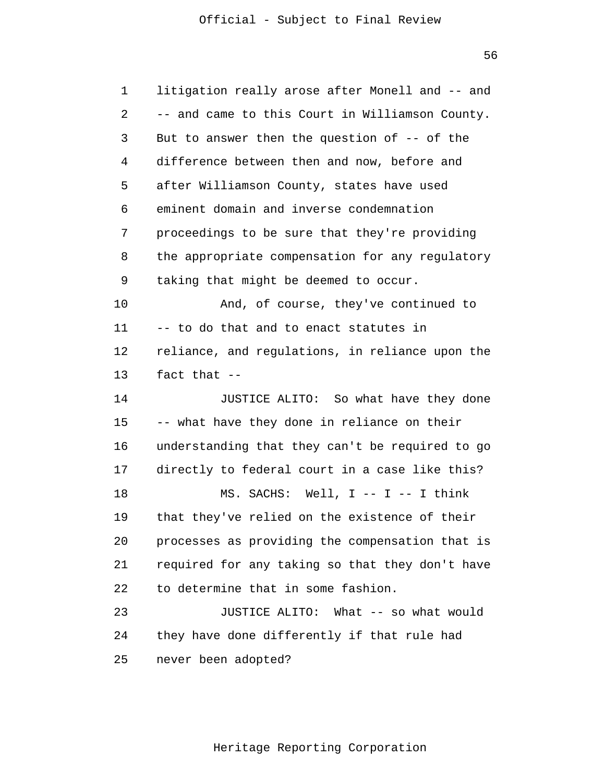$56$ 

| 1  | litigation really arose after Monell and -- and |
|----|-------------------------------------------------|
| 2  | -- and came to this Court in Williamson County. |
| 3  | But to answer then the question of $-$ - of the |
| 4  | difference between then and now, before and     |
| 5  | after Williamson County, states have used       |
| 6  | eminent domain and inverse condemnation         |
| 7  | proceedings to be sure that they're providing   |
| 8  | the appropriate compensation for any regulatory |
| 9  | taking that might be deemed to occur.           |
| 10 | And, of course, they've continued to            |
| 11 | -- to do that and to enact statutes in          |
| 12 | reliance, and regulations, in reliance upon the |
| 13 | fact that --                                    |
| 14 | JUSTICE ALITO: So what have they done           |
| 15 | -- what have they done in reliance on their     |
| 16 | understanding that they can't be required to go |
| 17 | directly to federal court in a case like this?  |
| 18 | MS. SACHS: Well, I -- I -- I think              |
| 19 | that they've relied on the existence of their   |
| 20 | processes as providing the compensation that is |
| 21 | required for any taking so that they don't have |
| 22 | to determine that in some fashion.              |
| 23 | JUSTICE ALITO:<br>What -- so what would         |
| 24 | they have done differently if that rule had     |
| 25 | never been adopted?                             |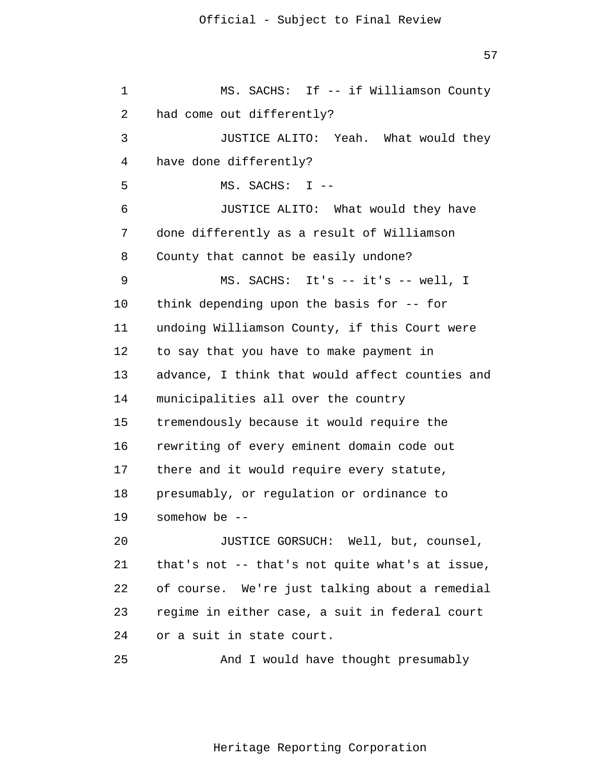57

 1 2 3 4 **5**  $\overline{6}$  7 8 9 10 11 12 13 14 15 16 17 18 19 20 21 22 23 24 25 MS. SACHS: If -- if Williamson County had come out differently? JUSTICE ALITO: Yeah. What would they have done differently? MS. SACHS: I - JUSTICE ALITO: What would they have done differently as a result of Williamson County that cannot be easily undone? MS. SACHS: It's -- it's -- well, I think depending upon the basis for -- for undoing Williamson County, if this Court were to say that you have to make payment in advance, I think that would affect counties and municipalities all over the country tremendously because it would require the rewriting of every eminent domain code out there and it would require every statute, presumably, or regulation or ordinance to somehow be  $--$ JUSTICE GORSUCH: Well, but, counsel, that's not -- that's not quite what's at issue, of course. We're just talking about a remedial regime in either case, a suit in federal court or a suit in state court. And I would have thought presumably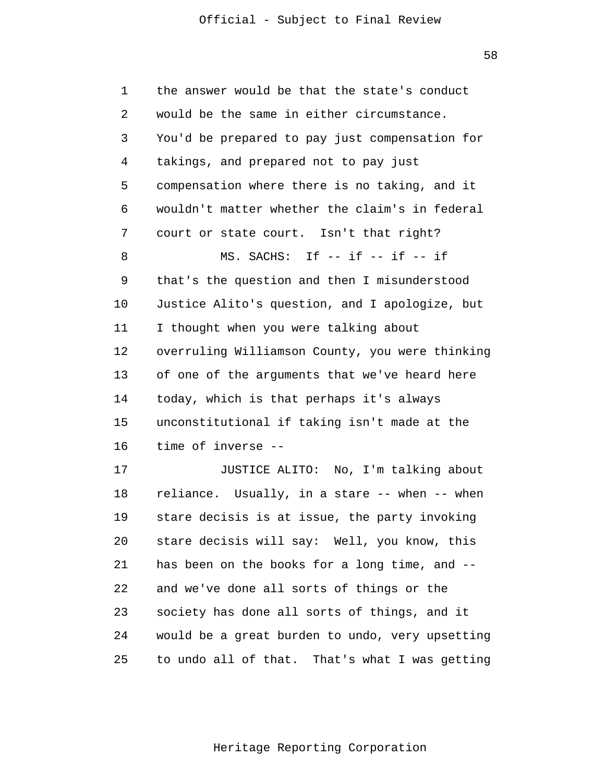58

 1 2 3 4 **5**  $\overline{6}$  7 8 9 10 11 12 13 14 15 16 17 18 19 20 21 22 23 24 the answer would be that the state's conduct would be the same in either circumstance. You'd be prepared to pay just compensation for takings, and prepared not to pay just compensation where there is no taking, and it wouldn't matter whether the claim's in federal court or state court. Isn't that right? MS. SACHS: If -- if -- if -- if that's the question and then I misunderstood Justice Alito's question, and I apologize, but I thought when you were talking about overruling Williamson County, you were thinking of one of the arguments that we've heard here today, which is that perhaps it's always unconstitutional if taking isn't made at the time of inverse - JUSTICE ALITO: No, I'm talking about reliance. Usually, in a stare -- when -- when stare decisis is at issue, the party invoking stare decisis will say: Well, you know, this has been on the books for a long time, and -and we've done all sorts of things or the society has done all sorts of things, and it would be a great burden to undo, very upsetting

> 25 to undo all of that. That's what I was getting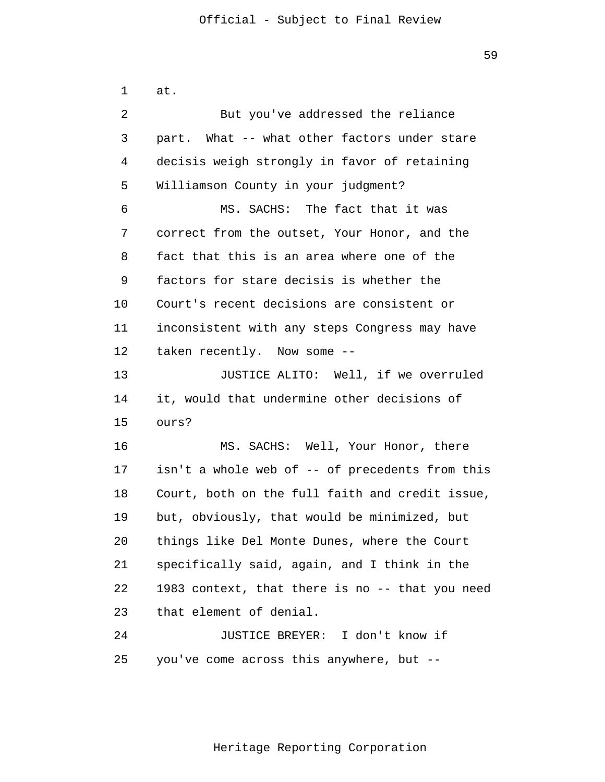1 2 3 4 **5**  $\overline{6}$  7 8 9 10 11 12 13 14 15 16 17 18 at. But you've addressed the reliance part. What -- what other factors under stare decisis weigh strongly in favor of retaining Williamson County in your judgment? MS. SACHS: The fact that it was correct from the outset, Your Honor, and the fact that this is an area where one of the factors for stare decisis is whether the Court's recent decisions are consistent or inconsistent with any steps Congress may have taken recently. Now some - JUSTICE ALITO: Well, if we overruled it, would that undermine other decisions of ours? MS. SACHS: Well, Your Honor, there isn't a whole web of -- of precedents from this Court, both on the full faith and credit issue,

> 21 22 23 24 specifically said, again, and I think in the 1983 context, that there is no -- that you need that element of denial. JUSTICE BREYER: I don't know if

but, obviously, that would be minimized, but

things like Del Monte Dunes, where the Court

 25 you've come across this anywhere, but -

19

20

59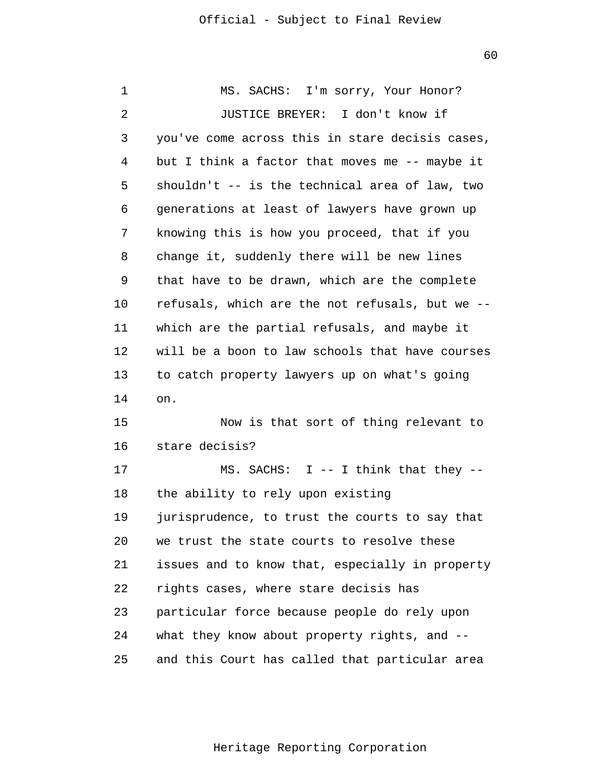60

| 1  | MS. SACHS: I'm sorry, Your Honor?               |
|----|-------------------------------------------------|
| 2  | JUSTICE BREYER: I don't know if                 |
| 3  | you've come across this in stare decisis cases, |
| 4  | but I think a factor that moves me -- maybe it  |
| 5  | shouldn't -- is the technical area of law, two  |
| 6  | generations at least of lawyers have grown up   |
| 7  | knowing this is how you proceed, that if you    |
| 8  | change it, suddenly there will be new lines     |
| 9  | that have to be drawn, which are the complete   |
| 10 | refusals, which are the not refusals, but we -- |
| 11 | which are the partial refusals, and maybe it    |
| 12 | will be a boon to law schools that have courses |
| 13 | to catch property lawyers up on what's going    |
| 14 | on.                                             |
| 15 | Now is that sort of thing relevant to           |
| 16 | stare decisis?                                  |
| 17 | MS. SACHS: $I$ -- I think that they --          |
| 18 | the ability to rely upon existing               |
| 19 | jurisprudence, to trust the courts to say that  |
| 20 | we trust the state courts to resolve these      |
| 21 | issues and to know that, especially in property |
| 22 | rights cases, where stare decisis has           |
| 23 | particular force because people do rely upon    |
| 24 | what they know about property rights, and --    |
| 25 | and this Court has called that particular area  |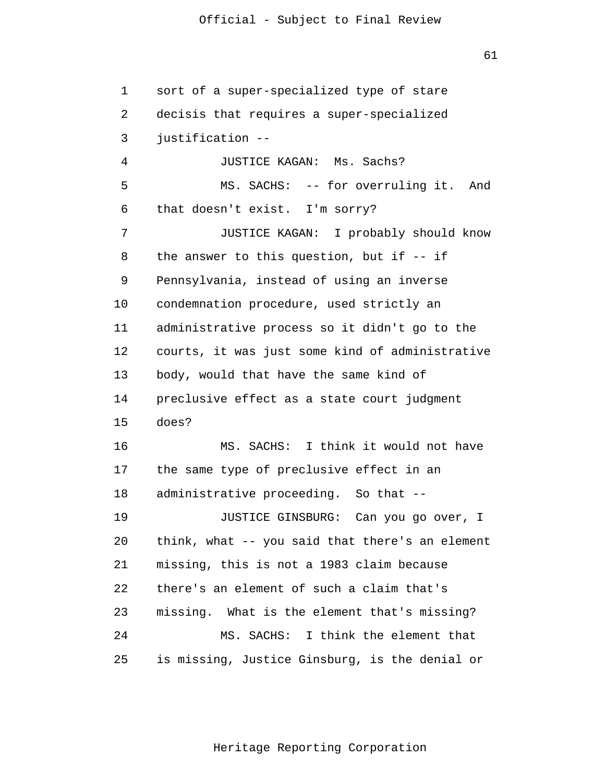61

 1 2 3 4 **5**  $\overline{6}$  7 8 9 10 11 12 13 14 15 16 17 18 19 20 21 22 23 24 25 sort of a super-specialized type of stare decisis that requires a super-specialized justification - JUSTICE KAGAN: Ms. Sachs? MS. SACHS: -- for overruling it. And that doesn't exist. I'm sorry? JUSTICE KAGAN: I probably should know the answer to this question, but if -- if Pennsylvania, instead of using an inverse condemnation procedure, used strictly an administrative process so it didn't go to the courts, it was just some kind of administrative body, would that have the same kind of preclusive effect as a state court judgment does? MS. SACHS: I think it would not have the same type of preclusive effect in an administrative proceeding. So that - JUSTICE GINSBURG: Can you go over, I think, what -- you said that there's an element missing, this is not a 1983 claim because there's an element of such a claim that's missing. What is the element that's missing? MS. SACHS: I think the element that is missing, Justice Ginsburg, is the denial or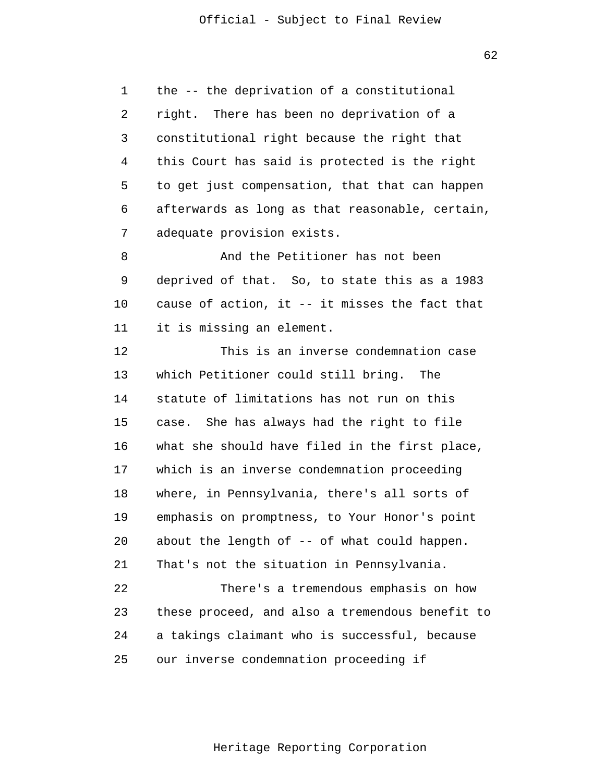$62$ 

 1 2 3 4 **5**  $\overline{6}$  7 the -- the deprivation of a constitutional right. There has been no deprivation of a constitutional right because the right that this Court has said is protected is the right to get just compensation, that that can happen afterwards as long as that reasonable, certain, adequate provision exists.

 8 9 10 11 And the Petitioner has not been deprived of that. So, to state this as a 1983 cause of action, it -- it misses the fact that it is missing an element.

> 12 13 14 15 16 17 18 19 20 21 22 23 24 This is an inverse condemnation case which Petitioner could still bring. The statute of limitations has not run on this case. She has always had the right to file what she should have filed in the first place, which is an inverse condemnation proceeding where, in Pennsylvania, there's all sorts of emphasis on promptness, to Your Honor's point about the length of -- of what could happen. That's not the situation in Pennsylvania. There's a tremendous emphasis on how these proceed, and also a tremendous benefit to a takings claimant who is successful, because

 25 our inverse condemnation proceeding if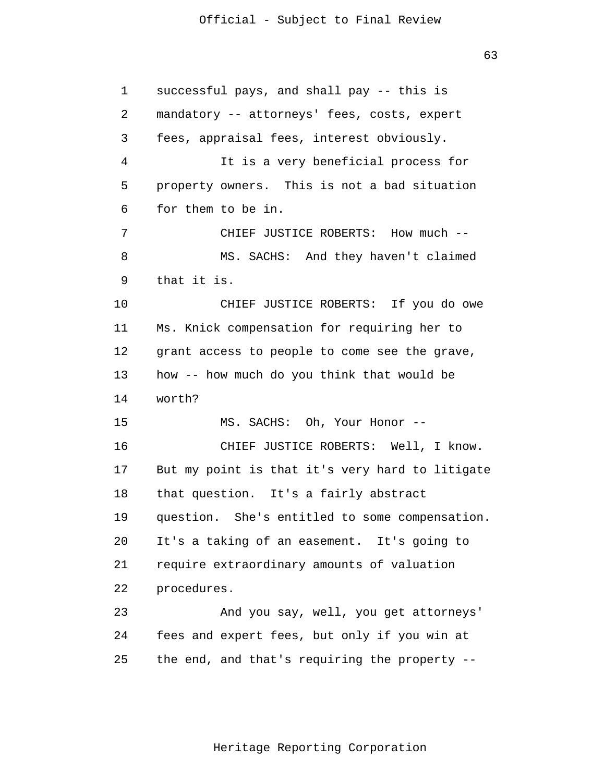$63$ 

| $\mathbf 1$ | successful pays, and shall pay -- this is       |
|-------------|-------------------------------------------------|
| 2           | mandatory -- attorneys' fees, costs, expert     |
| 3           | fees, appraisal fees, interest obviously.       |
| 4           | It is a very beneficial process for             |
| 5           | property owners. This is not a bad situation    |
| 6           | for them to be in.                              |
| 7           | CHIEF JUSTICE ROBERTS: How much --              |
| 8           | MS. SACHS: And they haven't claimed             |
| 9           | that it is.                                     |
| $10 \,$     | CHIEF JUSTICE ROBERTS: If you do owe            |
| 11          | Ms. Knick compensation for requiring her to     |
| 12          | grant access to people to come see the grave,   |
| 13          | how -- how much do you think that would be      |
| 14          | worth?                                          |
| 15          | MS. SACHS: Oh, Your Honor --                    |
| 16          | CHIEF JUSTICE ROBERTS: Well, I know.            |
| 17          | But my point is that it's very hard to litigate |
| 18          | that question. It's a fairly abstract           |
| 19          | question. She's entitled to some compensation.  |
| 20          | It's a taking of an easement. It's going to     |
| 21          | require extraordinary amounts of valuation      |
| 22          | procedures.                                     |
| 23          | And you say, well, you get attorneys'           |
| 24          | fees and expert fees, but only if you win at    |
| 25          | the end, and that's requiring the property --   |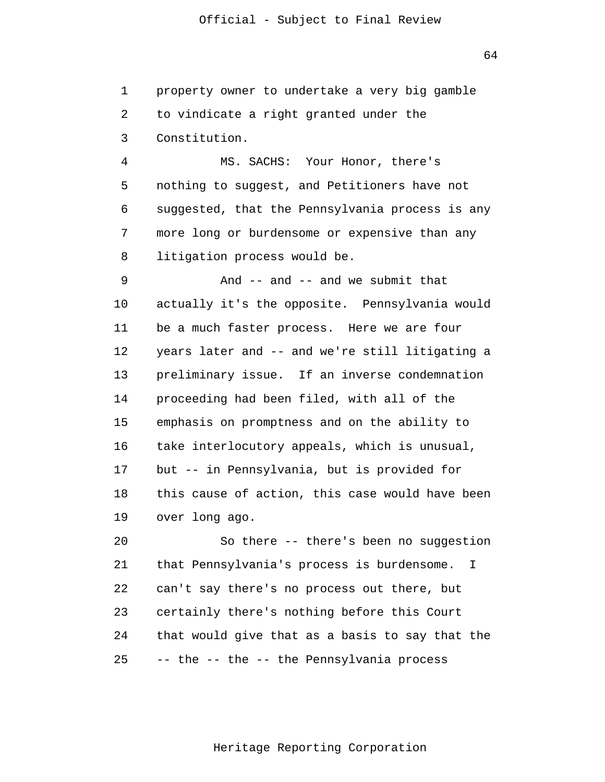1 2 3 property owner to undertake a very big gamble to vindicate a right granted under the Constitution.

 4 **5**  $\overline{6}$  7 8 MS. SACHS: Your Honor, there's nothing to suggest, and Petitioners have not suggested, that the Pennsylvania process is any more long or burdensome or expensive than any litigation process would be.

 9 10 11 12 13 14 15 16 17 18 19 And  $--$  and  $--$  and we submit that actually it's the opposite. Pennsylvania would be a much faster process. Here we are four years later and -- and we're still litigating a preliminary issue. If an inverse condemnation proceeding had been filed, with all of the emphasis on promptness and on the ability to take interlocutory appeals, which is unusual, but -- in Pennsylvania, but is provided for this cause of action, this case would have been over long ago.

> 20 21 22 23 24 25 So there -- there's been no suggestion that Pennsylvania's process is burdensome. I can't say there's no process out there, but certainly there's nothing before this Court that would give that as a basis to say that the -- the -- the -- the Pennsylvania process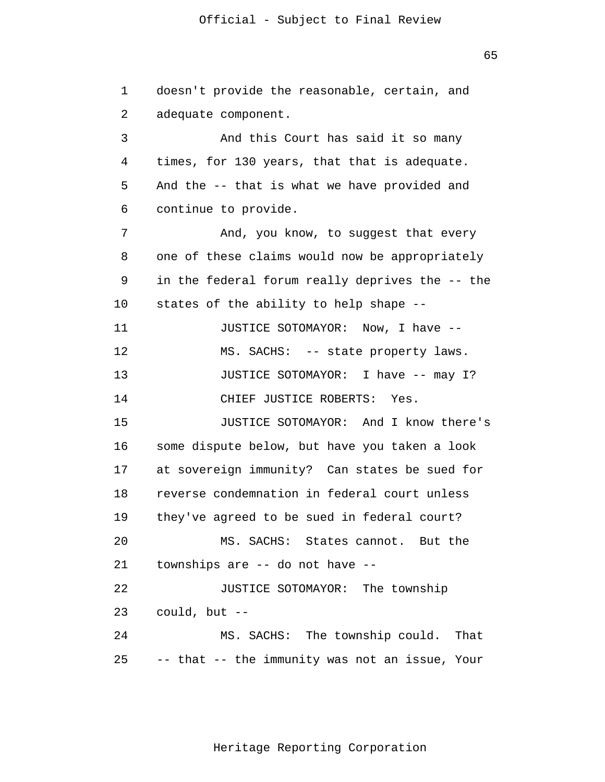$65$ 

 1 2 3 4 **5**  $\overline{6}$  7 8 9 10 11 12 13 14 15 16 17 18 19 20 21 22 23 24 25 doesn't provide the reasonable, certain, and adequate component. And this Court has said it so many times, for 130 years, that that is adequate. And the -- that is what we have provided and continue to provide. And, you know, to suggest that every one of these claims would now be appropriately in the federal forum really deprives the -- the states of the ability to help shape - JUSTICE SOTOMAYOR: Now, I have - MS. SACHS: -- state property laws. JUSTICE SOTOMAYOR: I have -- may I? CHIEF JUSTICE ROBERTS: Yes. JUSTICE SOTOMAYOR: And I know there's some dispute below, but have you taken a look at sovereign immunity? Can states be sued for reverse condemnation in federal court unless they've agreed to be sued in federal court? MS. SACHS: States cannot. But the townships are -- do not have - JUSTICE SOTOMAYOR: The township could, but - MS. SACHS: The township could. That -- that -- the immunity was not an issue, Your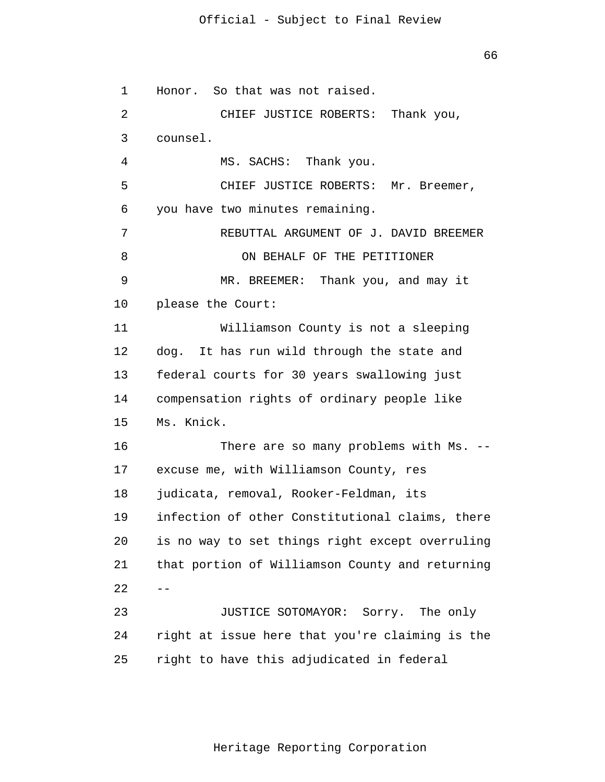$66$ 

 1 2 3 4 **5**  $\overline{6}$  7 8 9 10 11 12 13 14 15 16 17 18 19 20 21  $22 - -$  23 24 25 Honor. So that was not raised. CHIEF JUSTICE ROBERTS: Thank you, counsel. MS. SACHS: Thank you. CHIEF JUSTICE ROBERTS: Mr. Breemer, you have two minutes remaining. REBUTTAL ARGUMENT OF J. DAVID BREEMER ON BEHALF OF THE PETITIONER MR. BREEMER: Thank you, and may it please the Court: Williamson County is not a sleeping dog. It has run wild through the state and federal courts for 30 years swallowing just compensation rights of ordinary people like Ms. Knick. There are so many problems with Ms. -excuse me, with Williamson County, res judicata, removal, Rooker-Feldman, its infection of other Constitutional claims, there is no way to set things right except overruling that portion of Williamson County and returning JUSTICE SOTOMAYOR: Sorry. The only right at issue here that you're claiming is the right to have this adjudicated in federal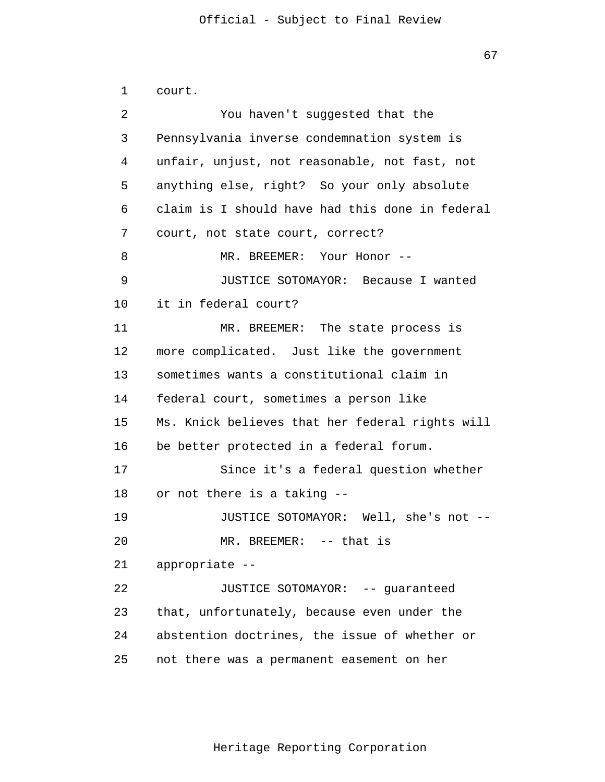67

```
 1 
 2 
 3 
 4 
5
\overline{6} 7 
 8 
 9 
            10 
            11 
            12 
            13 
            14 
            15 
            16 
            17 
            18 
            19 
            20 
            21 
            22 
            23 
            24 
            25 
                court.
                         You haven't suggested that the
                Pennsylvania inverse condemnation system is
                unfair, unjust, not reasonable, not fast, not
                anything else, right? So your only absolute
                claim is I should have had this done in federal
                court, not state court, correct?
                         MR. BREEMER: Your Honor --
                         JUSTICE SOTOMAYOR: Because I wanted
                it in federal court?
                         MR. BREEMER: The state process is
                more complicated. Just like the government
                sometimes wants a constitutional claim in
                federal court, sometimes a person like
                Ms. Knick believes that her federal rights will
                be better protected in a federal forum.
                         Since it's a federal question whether
                or not there is a taking -
                         JUSTICE SOTOMAYOR: Well, she's not -
                         MR. BREEMER: -- that is
                appropriate -
                         JUSTICE SOTOMAYOR: -- guaranteed
                that, unfortunately, because even under the
                abstention doctrines, the issue of whether or
                not there was a permanent easement on her
```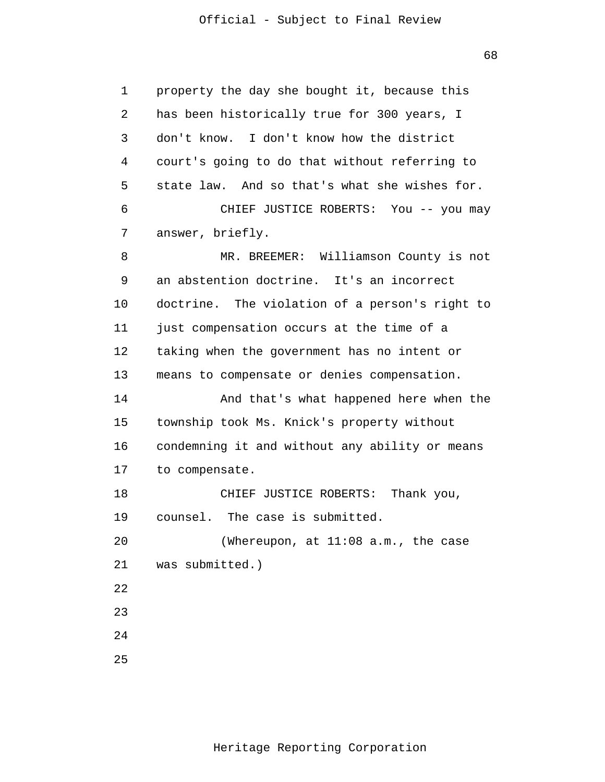$68<sup>th</sup>$ 

 1 2 3 4 **5**  $\overline{6}$  7 8 9 10 11 12 13 14 15 16 17 18 19 20 21 22 23 24 25 property the day she bought it, because this has been historically true for 300 years, I don't know. I don't know how the district court's going to do that without referring to state law. And so that's what she wishes for. CHIEF JUSTICE ROBERTS: You -- you may answer, briefly. MR. BREEMER: Williamson County is not an abstention doctrine. It's an incorrect doctrine. The violation of a person's right to just compensation occurs at the time of a taking when the government has no intent or means to compensate or denies compensation. And that's what happened here when the township took Ms. Knick's property without condemning it and without any ability or means to compensate. CHIEF JUSTICE ROBERTS: Thank you, counsel. The case is submitted. (Whereupon, at 11:08 a.m., the case was submitted.)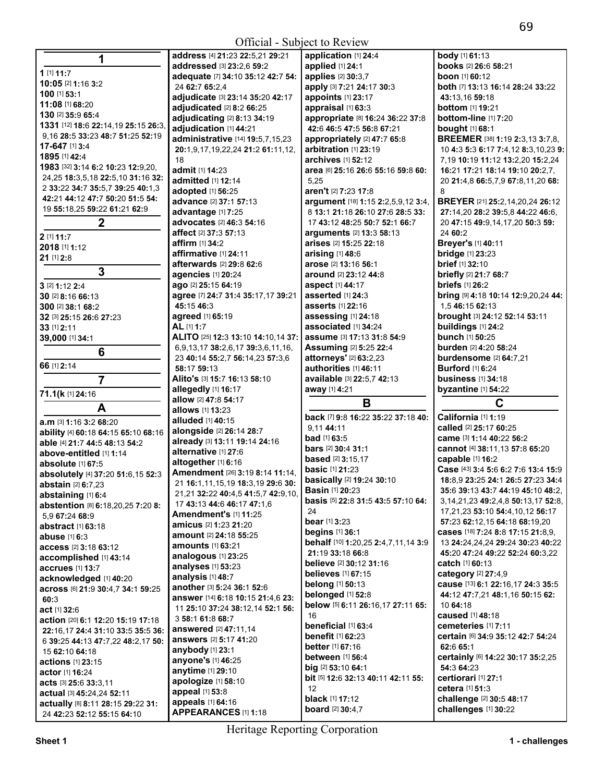| Official - Subject to Review                                                                     |                                                                  |                                                               |                                                                          |  |
|--------------------------------------------------------------------------------------------------|------------------------------------------------------------------|---------------------------------------------------------------|--------------------------------------------------------------------------|--|
| 1                                                                                                | address [4] 21:23 22:5,21 29:21                                  | application [1] 24:4                                          | body [1] 61:13                                                           |  |
| 1 [1] 11:7                                                                                       | addressed [3] 23:2.6 59:2                                        | applied [1] 24:1                                              | books [2] 26:6 58:21                                                     |  |
| 10:05 [2] 1:16 3:2                                                                               | adequate [7] 34:10 35:12 42:7 54:                                | applies [2] 30:3,7                                            | <b>boon</b> [1] <b>60:</b> 12                                            |  |
| 100 [1] 53:1                                                                                     | 24 62:7 65:2.4                                                   | apply [3] 7:21 24:17 30:3                                     | both [7] 13:13 16:14 28:24 33:22                                         |  |
| 11:08 [1] 68:20                                                                                  | adjudicate [3] 23:14 35:20 42:17                                 | appoints [1] 23:17                                            | 43:13,16 59:18                                                           |  |
| 130 [2] 35:9 65:4                                                                                | adjudicated [2] 8:2 66:25                                        | appraisal [1] 63:3                                            | bottom [1] 19:21<br>bottom-line [1] 7:20                                 |  |
| 1331 [12] 18:6 22:14,19 25:15 26:3,                                                              | adjudicating [2] 8:13 34:19<br>adjudication [1] 44:21            | appropriate [8] 16:24 36:22 37:8<br>42:6 46:5 47:5 56:8 67:21 | bought [1] 68:1                                                          |  |
| 9,16 28:5 33:23 48:7 51:25 52:19                                                                 | administrative [14] 19:5,7,15,23                                 | appropriately [2] 47:7 65:8                                   | <b>BREEMER</b> [38] <b>1:19 2:3,13 3:7,8,</b>                            |  |
| 17-647 [1] 3:4                                                                                   | 20:1,9,17,19,22,24 21:2 61:11,12,                                | arbitration [1] 23:19                                         | 10 4:3 5:3 6:17 7:4,12 8:3,10,23 9:                                      |  |
| 1895 [1] 42:4                                                                                    | 18                                                               | <b>archives</b> [1] <b>52:12</b>                              | 7,19 10:19 11:12 13:2,20 15:2,24                                         |  |
| 1983 [32] 3:14 6:2 10:23 12:9,20,                                                                | admit [1] 14:23                                                  | area [6] 25:16 26:6 55:16 59:8 60:                            | 16:21 17:21 18:14 19:10 20:2.7.                                          |  |
| 24, 25 18: 3, 5, 18 22: 5, 10 31: 16 32:                                                         | admitted [1] 12:14                                               | 5,25                                                          | 20 21:4,8 66:5,7,9 67:8,11,20 68:                                        |  |
| 2 33:22 34:7 35:5,7 39:25 40:1,3                                                                 | adopted [1] 56:25                                                | aren't [2] 7:23 17:8                                          | 8                                                                        |  |
| 42:21 44:12 47:7 50:20 51:5 54:                                                                  | advance [2] 37:1 57:13                                           | argument [18] 1:15 2:2,5,9,12 3:4,                            | BREYER [21] 25:2,14,20,24 26:12                                          |  |
| 19 55:18,25 59:22 61:21 62:9                                                                     | advantage [1] 7:25                                               | 8 13:1 21:18 26:10 27:6 28:5 33:                              | 27:14,20 28:2 39:5,8 44:22 46:6,                                         |  |
| $\mathbf 2$                                                                                      | advocates [2] 46:3 54:16                                         | 17 43:12 48:25 50:7 52:1 66:7                                 | 20 47:15 49:9,14,17,20 50:3 59:                                          |  |
| 2 [1] 11:7                                                                                       | affect [2] 37:3 57:13                                            | <b>arguments</b> [2] <b>13:3 58:13</b>                        | 24 60:2                                                                  |  |
| 2018 [1] 1:12                                                                                    | affirm [1] 34:2                                                  | arises [2] 15:25 22:18                                        | Breyer's [1] 40:11                                                       |  |
| 21 [1] 2:8                                                                                       | affirmative [1] 24:11                                            | arising [1] 48:6                                              | <b>bridge</b> [1] 23:23                                                  |  |
| 3                                                                                                | afterwards [2] 29:8 62:6                                         | arose [2] 13:16 56:1                                          | <b>brief</b> [1] 32:10                                                   |  |
|                                                                                                  | agencies [1] 20:24                                               | <b>around</b> [2] <b>23:</b> 12 <b>44:</b> 8                  | briefly [2] 21:7 68:7                                                    |  |
| 3 [2] 1:12 2:4                                                                                   | ago [2] 25:15 64:19                                              | aspect [1] 44:17                                              | <b>briefs</b> [1] 26:2                                                   |  |
| 30 [2] 8:16 66:13<br>300 [2] 38:1 68:2                                                           | agree [7] 24:7 31:4 35:17,17 39:21<br>45:15 46:3                 | asserted [1] 24:3<br><b>asserts</b> [1] 22:16                 | bring [9] 4:18 10:14 12:9,20,24 44:<br>1,5 46:15 62:13                   |  |
| 32 [3] 25:15 26:6 27:23                                                                          | agreed [1] 65:19                                                 | assessing [1] 24:18                                           | brought [3] 24:12 52:14 53:11                                            |  |
| 33 [1] 2:11                                                                                      | AL [1] 1:7                                                       | associated [1] 34:24                                          | buildings [1] 24:2                                                       |  |
| 39,000 [1] 34:1                                                                                  | ALITO [25] 12:3 13:10 14:10,14 37:                               | assume [3] 17:13 31:8 54:9                                    | bunch [1] 50:25                                                          |  |
|                                                                                                  | 6,9,13,17 38:2,6,17 39:3,6,11,16,                                | <b>Assuming [2] 5:25 22:4</b>                                 | burden [2] 4:20 58:24                                                    |  |
| 6                                                                                                | 23 40:14 55:2,7 56:14,23 57:3,6                                  | attorneys' [2] 63:2,23                                        | <b>burdensome</b> [2] 64:7,21                                            |  |
| 66 [1] 2:14                                                                                      | 58:17 59:13                                                      | authorities [1] 46:11                                         | <b>Burford</b> [1] 6:24                                                  |  |
| $\overline{7}$                                                                                   | Alito's [3] 15:7 16:13 58:10                                     | available [3] 22:5,7 42:13                                    | <b>business</b> [1] 34:18                                                |  |
| 71.1(k [1] 24:16                                                                                 | allegedly [1] 16:17                                              | away [1] 4:21                                                 | byzantine [1] 54:22                                                      |  |
| A                                                                                                | allow [2] 47:8 54:17<br><b>allows</b> [1] <b>13:23</b>           | B                                                             | C                                                                        |  |
| a.m [3] 1:16 3:2 68:20                                                                           | alluded [1] 40:15                                                | back [7] 9:8 16:22 35:22 37:18 40:                            | California [1] 1:19                                                      |  |
| ability [4] 60:18 64:15 65:10 68:16                                                              | alongside [2] 26:14 28:7                                         | 9,11 44:11                                                    | called [2] 25:17 60:25                                                   |  |
| able [4] 21:7 44:5 48:13 54:2                                                                    | already [3] 13:11 19:14 24:16                                    | bad [1] 63:5                                                  | came [3] 1:14 40:22 56:2                                                 |  |
| above-entitled [1] 1:14                                                                          | alternative [1] 27:6                                             | <b>bars</b> [2] <b>30:4 31:1</b>                              | cannot [4] 38:11,13 57:8 65:20                                           |  |
| absolute [1] 67:5                                                                                | altogether [1] 6:16                                              | <b>based</b> [2] 3:15,17                                      | capable [1] 16:2                                                         |  |
| absolutely [4] 37:20 51:6,15 52:3                                                                | Amendment [26] 3:19 8:14 11:14,                                  | <b>basic</b> [1] <b>21:</b> 23<br>basically [2] 19:24 30:10   | Case [43] 3:4 5:6 6:2 7:6 13:4 15:9<br>18:8,9 23:25 24:1 26:5 27:23 34:4 |  |
| abstain [2] 6:7,23                                                                               | 21 <b>16:</b> 1,11,15,19 <b>18:</b> 3,19 <b>29:</b> 6 <b>30:</b> | <b>Basin [1] 20:23</b>                                        | 35:6 39:13 43:7 44:19 45:10 48:2.                                        |  |
| abstaining [1] 6:4                                                                               | 21,21 32:22 40:4,5 41:5,7 42:9,10,                               | basis [5] 22:8 31:5 43:5 57:10 64:                            | 3, 14, 21, 23 49: 2, 4, 8 50: 13, 17 52: 8,                              |  |
| abstention [8] 6:18,20,25 7:20 8:                                                                | 17 43:13 44:6 46:17 47:1,6<br><b>Amendment's [1] 11:25</b>       | 24                                                            | 17,21,23 53:10 54:4,10,12 56:17                                          |  |
| 5,9 67:24 68:9                                                                                   | amicus [2] 1:23 21:20                                            | <b>bear</b> [1] <b>3</b> :23                                  | 57:23 62:12,15 64:18 68:19,20                                            |  |
| <b>abstract</b> [1] <b>63:</b> 18<br><b>abuse</b> [1] 6:3                                        | <b>amount</b> [2] <b>24:18 55:25</b>                             | <b>begins</b> [1] 36:1                                        | <b>cases</b> [18] <b>7:24 8:8 17:15 21:8,9,</b>                          |  |
| <b>access</b> [2] <b>3:</b> 18 <b>63:</b> 12                                                     | <b>amounts</b> [1] 63:21                                         | behalf [10] 1:20,25 2:4,7,11,14 3:9                           | 13 24:24,24,24 29:24 30:23 40:22                                         |  |
| accomplished [1] 43:14                                                                           | analogous [1] 23:25                                              | 21:19 33:18 66:8                                              | 45:20 47:24 49:22 52:24 60:3,22                                          |  |
| accrues [1] 13:7                                                                                 | analyses [1] 53:23                                               | believe [2] 30:12 31:16                                       | <b>catch</b> [1] <b>60:</b> 13                                           |  |
| acknowledged [1] 40:20                                                                           | analysis [1] 48:7                                                | <b>believes</b> [1] 67:15                                     | category [2] 27:4,9                                                      |  |
| across [6] 21:9 30:4,7 34:1 59:25                                                                | another [3] 5:24 36:1 52:6                                       | <b>belong</b> [1] 50:13                                       | cause [13] 6:1 22:16,17 24:3 35:5                                        |  |
| 60:3                                                                                             | answer [14] 6:18 10:15 21:4,6 23:                                | belonged [1] 52:8                                             | 44:12 47:7,21 48:1,16 50:15 62:<br>10 64:18                              |  |
| act [1] 32:6                                                                                     | 11 25:10 37:24 38:12,14 52:1 56:                                 | below [5] 6:11 26:16,17 27:11 65:<br>16                       | caused [1] 48:18                                                         |  |
| action [20] 6:1 12:20 15:19 17:18                                                                | 3 58:1 61:8 68:7                                                 | beneficial [1] 63:4                                           | cemeteries [1] 7:11                                                      |  |
| 22:16,17 24:4 31:10 33:5 35:5 36:                                                                | answered [2] 47:11,14                                            | <b>benefit</b> [1] 62:23                                      | certain [6] 34:9 35:12 42:7 54:24                                        |  |
| 6 39:25 44:13 47:7,22 48:2,17 50:                                                                | <b>answers</b> [2] 5:17 41:20                                    | <b>better</b> [1] <b>67:</b> 16                               | 62:6 65:1                                                                |  |
| 15 62:10 64:18                                                                                   | anybody $[1]$ 23:1                                               | <b>between</b> [1] 56:4                                       | certainly [6] 14:22 30:17 35:2,25                                        |  |
| <b>actions</b> [1] <b>23:</b> 15                                                                 | anyone's [1] 46:25<br>anytime [1] 29:10                          | big [2] 53:10 64:1                                            | 54:3 64:23                                                               |  |
| <b>actor</b> [1] <b>16:</b> 24                                                                   | apologize [1] 58:10                                              | bit [5] 12:6 32:13 40:11 42:11 55:                            | certiorari [1] 27:1                                                      |  |
| <b>acts</b> [3] <b>25:</b> 6 <b>33:</b> 3,11<br><b>actual</b> [3] <b>45:</b> 24,24 <b>52:</b> 11 | appeal [1] 53:8                                                  | 12                                                            | cetera [1] 51:3                                                          |  |
| actually [8] 8:11 28:15 29:22 31:                                                                | appeals [1] 64:16                                                | black [1] 17:12                                               | challenge [2] 30:5 48:17                                                 |  |
| 24 42:23 52:12 55:15 64:10                                                                       | APPEARANCES [1] 1:18                                             | <b>board</b> [2] 30:4,7                                       | challenges [1] 30:22                                                     |  |
|                                                                                                  |                                                                  |                                                               |                                                                          |  |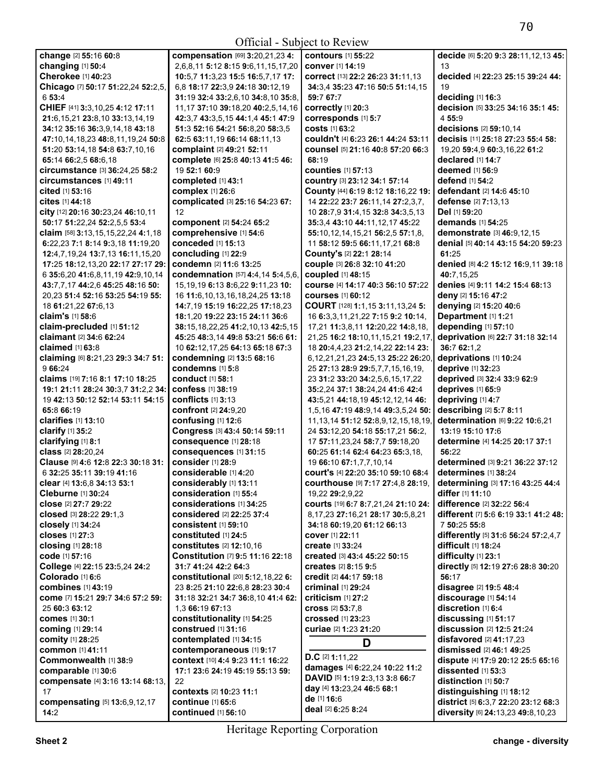| Official - Subject to Review                                                            |                                             |                                                                      |                                                         |
|-----------------------------------------------------------------------------------------|---------------------------------------------|----------------------------------------------------------------------|---------------------------------------------------------|
| change [2] 55:16 60:8                                                                   | compensation [69] 3:20,21,23 4:             | <b>contours</b> [1] 55:22                                            | decide [6] 5:20 9:3 28:11,12,13 45:                     |
| changing [1] 50:4                                                                       | 2,6,8,11 5:12 8:15 9:6,11,15,17,20          | conver [1] 14:19                                                     | 13                                                      |
| Cherokee [1] 40:23                                                                      | 10:5,7 11:3,23 15:5 16:5,7,17 17:           | correct [13] 22:2 26:23 31:11,13                                     | decided [4] 22:23 25:15 39:24 44:                       |
| Chicago [7] 50:17 51:22,24 52:2,5,                                                      | 6,8 18:17 22:3,9 24:18 30:12,19             | 34:3,4 35:23 47:16 50:5 51:14,15                                     | 19                                                      |
| 6 53:4                                                                                  | 31:19 32:4 33:2,6,10 34:8,10 35:8,          | 59:7 67:7                                                            | deciding [1] 16:3                                       |
| CHIEF [41] 3:3, 10, 25 4: 12 17: 11                                                     | 11,17 37:10 39:18,20 40:2,5,14,16           | correctly [1] 20:3                                                   | decision [5] 33:25 34:16 35:1 45:                       |
| 21:6, 15, 21 23:8, 10 33:13, 14, 19                                                     | 42:3,7 43:3,5,15 44:1,4 45:1 47:9           | corresponds [1] 5:7                                                  | 4 55:9                                                  |
| 34:12 35:16 36:3,9,14,18 43:18                                                          | 51:3 52:16 54:21 56:8,20 58:3,5             | <b>costs</b> [1] 63:2                                                | decisions [2] 59:10,14                                  |
| 47:10,14,18,23 48:8,11,19,24 50:8                                                       | 62:5 63:11.19 66:14 68:11.13                | couldn't [4] 6:23 26:1 44:24 53:11                                   | decisis [11] 25:18 27:23 55:4 58:                       |
| 51:20 53:14,18 54:8 63:7,10,16                                                          | complaint [2] 49:21 52:11                   | counsel [5] 21:16 40:8 57:20 66:3                                    | 19,20 59:4,9 60:3,16,22 61:2                            |
| 65:14 66:2,5 68:6,18                                                                    | complete [6] 25:8 40:13 41:5 46:            | 68:19                                                                | declared [1] 14:7                                       |
| circumstance [3] 36:24,25 58:2                                                          | 19 52:1 60:9                                | <b>counties</b> [1] 57:13                                            | <b>deemed</b> [1] <b>56:</b> 9                          |
| <b>circumstances</b> [1] 49:11                                                          | completed [1] 43:1                          | country [3] 23:12 34:1 57:14                                         | defend [1] 54:2                                         |
| <b>cited</b> [1] <b>53:16</b>                                                           | complex [1] 26:6                            | County [44] 6:19 8:12 18:16,22 19:                                   | <b>defendant</b> [2] <b>14:6 45:10</b>                  |
| <b>cites</b> [1] 44:18<br>city [12] 20:16 30:23,24 46:10,11                             | complicated [3] 25:16 54:23 67:<br>12       | 14 22:22 23:7 26:11,14 27:2,3,7,<br>10 28:7,9 31:4,15 32:8 34:3,5,13 | defense $[2]$ 7:13,13<br>Del [1] 59:20                  |
| 50:17 51:22,24 52:2,5,5 53:4                                                            | component [2] 54:24 65:2                    | 35:3,4 43:10 44:11,12,17 45:22                                       | demands [1] 54:25                                       |
| claim [58] 3:13,15,15,22,24 4:1,18                                                      | comprehensive [1] 54:6                      | 55:10,12,14,15,21 56:2,5 57:1,8,                                     | demonstrate [3] 46:9,12,15                              |
| 6:22,23 7:1 8:14 9:3,18 11:19,20                                                        | conceded [1] 15:13                          | 11 58:12 59:5 66:11,17,21 68:8                                       | denial [5] 40:14 43:15 54:20 59:23                      |
| 12:4,7,19,24 13:7,13 16:11,15,20                                                        | concluding [1] 22:9                         | County's [2] 22:1 28:14                                              | 61:25                                                   |
| 17:25 18:12,13,20 22:17 27:17 29:                                                       | condemn [2] 11:6 13:25                      | couple [3] 26:8 32:10 41:20                                          | denied [8] 4:2 15:12 16:9,11 39:18                      |
| 6 35:6,20 41:6,8,11,19 42:9,10,14                                                       | condemnation [57] 4:4,14 5:4,5,6,           | coupled [1] 48:15                                                    | 40:7,15,25                                              |
| 43:7,7,17 44:2,6 45:25 48:16 50:                                                        | 15, 19, 19 6: 13 8: 6, 22 9: 11, 23 10:     | course [4] 14:17 40:3 56:10 57:22                                    | denies [4] 9:11 14:2 15:4 68:13                         |
| 20,23 51:4 52:16 53:25 54:19 55:                                                        | 16 11:6,10,13,16,18,24,25 13:18             | <b>courses</b> [1] 60:12                                             | deny [2] 15:16 47:2                                     |
| 18 61:21,22 67:6,13                                                                     | 14:7.19 15:19 16:22.25 17:18.23             | COURT [128] 1:1,15 3:11,13,24 5:                                     | denying [2] 15:20 40:6                                  |
| claim's [1] 58:6                                                                        | 18:1,20 19:22 23:15 24:11 36:6              | 16 6:3,3,11,21,22 7:15 9:2 10:14,                                    | Department [1] 1:21                                     |
| claim-precluded [1] 51:12                                                               | 38:15,18,22,25 41:2,10,13 42:5,15           | 17,21 11:3,8,11 12:20,22 14:8,18,                                    | depending [1] 57:10                                     |
| claimant [2] 34:6 62:24                                                                 | 45:25 48:3,14 49:8 53:21 56:6 61:           | 21,25 16:2 18:10,11,15,21 19:2,17,                                   | deprivation [6] 22:7 31:18 32:14                        |
| claimed [1] 63:8                                                                        | 10 62:12,17,25 64:13 65:18 67:3             | 18 20:4,4,23 21:2,14,22 22:14 23:                                    | 36:7 62:1,2                                             |
| claiming [6] 8:21,23 29:3 34:7 51:                                                      | condemning [2] 13:5 68:16                   | 6, 12, 21, 21, 23 24: 5, 13 25: 22 26: 20,                           | deprivations [1] 10:24                                  |
| 9 66:24                                                                                 | condemns $[1]$ 5:8                          | 25 27:13 28:9 29:5,7,7,15,16,19,                                     | deprive [1] 32:23                                       |
| claims [19] 7:16 8:1 17:10 18:25                                                        | <b>conduct</b> [1] 58:1                     | 23 31:2 33:20 34:2,5,6,15,17,22                                      | deprived [3] 32:4 33:9 62:9                             |
| 19:1 21:11 28:24 30:3,7 31:2,2 34:                                                      | confess [1] 38:19                           | 35:2,24 37:1 38:24,24 41:6 42:4                                      | deprives [1] 65:9                                       |
| 19 42:13 50:12 52:14 53:11 54:15                                                        | conflicts [1] 3:13                          | 43:5,21 44:18,19 45:12,12,14 46:                                     | depriving [1] 4:7                                       |
| 65:8 66:19                                                                              | confront [2] 24:9,20                        | 1,5,16 47:19 48:9,14 49:3,5,24 50:                                   | describing [2] 5:7 8:11                                 |
| clarifies [1] 13:10                                                                     | confusing [1] 12:6                          | 11, 13, 14 51: 12 52: 8, 9, 12, 15, 18, 19,                          | determination [6] 9:22 10:6,21                          |
| clarify [1] 35:2                                                                        | Congress [3] 43:4 50:14 59:11               | 24 53:12,20 54:18 55:17,21 56:2,                                     | 13:19 15:10 17:6                                        |
| clarifying [1] 8:1                                                                      | consequence [1] 28:18                       | 17 57:11,23,24 58:7,7 59:18,20                                       | determine [4] 14:25 20:17 37:1                          |
| class [2] 28:20,24                                                                      | consequences [1] 31:15<br>consider [1] 28:9 | 60:25 61:14 62:4 64:23 65:3,18,                                      | 56:22                                                   |
| Clause [9] 4:6 12:8 22:3 30:18 31:                                                      | considerable [1] 4:20                       | 19 66:10 67:1.7.7.10.14<br>court's [4] 22:20 35:10 59:10 68:4        | determined [3] 9:21 36:22 37:12<br>determines [1] 38:24 |
| 6 32:25 35:11 39:19 41:16<br><b>clear</b> [4] <b>13:</b> 6.8 <b>34:</b> 13 <b>53:</b> 1 | <b>considerably</b> [1] <b>13:11</b>        |                                                                      | determining [3] 17:16 43:25 44:4                        |
| Cleburne [1] 30:24                                                                      | consideration [1] 55:4                      | COurthouse [9] 7:17 27:4,8 28:19,<br>19,22 29:2,9,22                 | differ [1] 11:10                                        |
| close [2] 27:7 29:22                                                                    | considerations [1] 34:25                    | courts [19] 6:7 8:7,21,24 21:10 24:                                  | difference [2] 32:22 56:4                               |
| closed [3] 28:22 29:1,3                                                                 | <b>considered</b> [2] 22:25 37:4            | 8,17,23 27:16,21 28:17 30:5,8,21                                     | different [7] 5:6 6:19 33:1 41:2 48:                    |
| closely [1] 34:24                                                                       | consistent [1] 59:10                        | 34:18 60:19,20 61:12 66:13                                           | 7 50:25 55:8                                            |
| closes [1] 27:3                                                                         | constituted [1] 24:5                        | cover [1] 22:11                                                      | differently [5] 31:6 56:24 57:2,4,7                     |
| closing [1] 28:18                                                                       | constitutes [2] 12:10.16                    | <b>create</b> [1] 33:24                                              | difficult [1] 18:24                                     |
| code [1] 57:16                                                                          | Constitution [7] 9:5 11:16 22:18            | created [3] 43:4 45:22 50:15                                         | difficulty [1] 23:1                                     |
| College [4] 22:15 23:5,24 24:2                                                          | 31:7 41:24 42:2 64:3                        | <b>creates</b> [2] 8:15 9:5                                          | directly [5] 12:19 27:6 28:8 30:20                      |
| Colorado [1] 6:6                                                                        | constitutional [20] 5:12,18,22 6:           | credit [2] 44:17 59:18                                               | 56:17                                                   |
| combines [1] 43:19                                                                      | 23 8:25 21:10 22:6,8 28:23 30:4             | <b>criminal</b> [1] 29:24                                            | disagree [2] 19:5 48:4                                  |
| come [7] 15:21 29:7 34:6 57:2 59:                                                       | 31:18 32:21 34:7 36:8,10 41:4 62:           | criticism $[1]$ 27:2                                                 | discourage [1] 54:14                                    |
| 25 60:3 63:12                                                                           | 1.3 66:19 67:13                             | <b>cross</b> [2] 53:7,8                                              | discretion [1] 6:4                                      |
| comes [1] 30:1                                                                          | constitutionality [1] 54:25                 | <b>crossed</b> [1] 23:23                                             | discussing [1] 51:17                                    |
| <b>coming</b> [1] 29:14                                                                 | construed [1] 31:16                         | curiae [2] 1:23 21:20                                                | discussion [2] 12:5 21:24                               |
| comity [1] 28:25                                                                        | contemplated [1] 34:15                      | D                                                                    | disfavored [2] 41:17,23                                 |
| common [1] 41:11                                                                        | contemporaneous [1] 9:17                    | $D.C$ [2] 1:11,22                                                    | dismissed [2] 46:1 49:25                                |
| Commonwealth [1] 38:9                                                                   | context [10] 4:4 9:23 11:1 16:22            | damages [4] 6:22,24 10:22 11:2                                       | dispute [4] 17:9 20:12 25:5 65:16                       |
| comparable [1] 30:6                                                                     | 17:1 23:6 24:19 45:19 55:13 59:             | DAVID [5] 1:19 2:3,13 3:8 66:7                                       | dissented [1] 53:3                                      |
| compensate [4] 3:16 13:14 68:13,                                                        | 22                                          | day [4] 13:23,24 46:5 68:1                                           | distinction [1] 50:7                                    |
| 17                                                                                      | contexts [2] 10:23 11:1                     | de [1] 16:6                                                          | distinguishing [1] 18:12                                |
| compensating [5] 13:6,9,12,17                                                           | <b>continue</b> [1] 65:6                    | deal [2] 6:25 8:24                                                   | district [5] 6:3,7 22:20 23:12 68:3                     |
| 14:2                                                                                    | continued [1] 56:10                         |                                                                      | diversity [6] 24:13,23 49:8,10,23                       |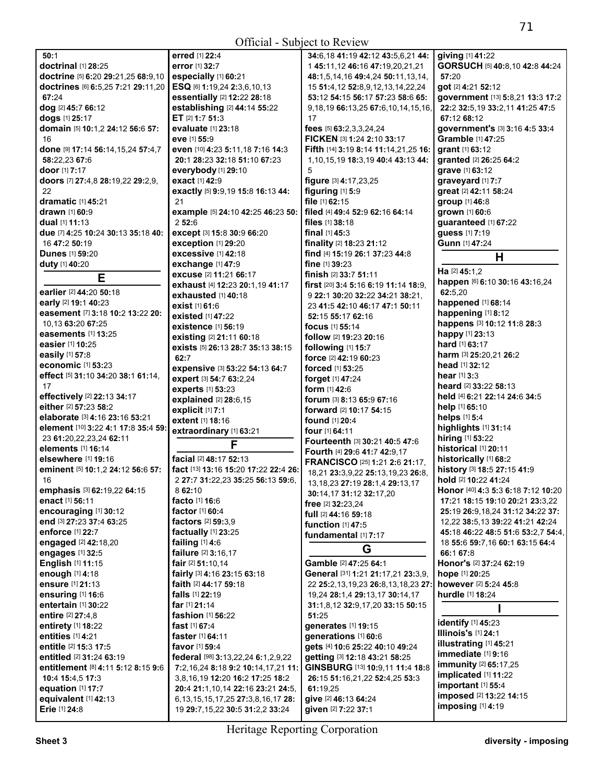| Official - Subject to Review                             |                                            |                                                                  |                                                             |  |
|----------------------------------------------------------|--------------------------------------------|------------------------------------------------------------------|-------------------------------------------------------------|--|
| 50:1                                                     | erred [1] 22:4                             | 34:6,18 41:19 42:12 43:5,6,21 44:                                | giving [1] 41:22                                            |  |
| <b>doctrinal</b> [1] 28:25                               | error [1] 32:7                             | 145:11,12 46:16 47:19,20,21,21                                   | GORSUCH [5] 40:8,10 42:8 44:24                              |  |
| doctrine [5] 6:20 29:21,25 68:9,10                       | especially [1] 60:21                       | 48:1,5,14,16 49:4,24 50:11,13,14,                                | 57:20                                                       |  |
| doctrines [6] 6:5,25 7:21 29:11,20                       | ESQ [6] 1:19,24 2:3,6,10,13                | 15 51:4,12 52:8,9,12,13,14,22,24                                 | got [2] 4:21 52:12                                          |  |
| 67:24                                                    | essentially [2] 12:22 28:18                | 53:12 54:15 56:17 57:23 58:6 65:                                 | government [13] 5:8,21 13:3 17:2                            |  |
| dog [2] 45:7 66:12                                       | establishing [2] 44:14 55:22               | 9, 18, 19 66: 13, 25 67: 6, 10, 14, 15, 16,                      | 22:2 32:5,19 33:2,11 41:25 47:5                             |  |
| dogs [1] 25:17                                           | ET [2] 1:7 51:3                            | 17                                                               | 67:12 68:12                                                 |  |
| domain [5] 10:1,2 24:12 56:6 57:                         | evaluate [1] 23:18                         | fees [5] 63:2,3,3,24,24                                          | government's [3] 3:16 4:5 33:4                              |  |
| 16                                                       | eve [1] 55:9                               | FICKEN [3] 1:24 2:10 33:17                                       | Gramble [1] 47:25                                           |  |
| done [9] 17:14 56:14,15,24 57:4,7                        | even [10] 4:23 5:11,18 7:16 14:3           | Fifth [14] 3:19 8:14 11:14,21,25 16:                             | <b>grant</b> [1] <b>63:12</b>                               |  |
| 58:22,23 67:6                                            | 20:1 28:23 32:18 51:10 67:23               | 1,10,15,19 18:3,19 40:4 43:13 44:                                | granted [2] 26:25 64:2                                      |  |
| <b>door</b> [1] <b>7:17</b>                              | everybody [1] 29:10                        | 5                                                                | grave [1] 63:12                                             |  |
| doors [7] 27:4,8 28:19,22 29:2,9,                        | exact [1] 42:9                             | figure [3] 4:17,23,25                                            | graveyard [1] 7:7                                           |  |
| 22                                                       | exactly [5] 9:9,19 15:8 16:13 44:          | figuring [1] 5:9                                                 | great [2] 42:11 58:24                                       |  |
| dramatic [1] 45:21                                       | 21                                         | file [1] 62:15                                                   | group [1] 46:8                                              |  |
| <b>drawn</b> [1] 60:9                                    | example [5] 24:10 42:25 46:23 50:          | filed [4] 49:4 52:9 62:16 64:14                                  | grown [1] 60:6                                              |  |
| dual $[1]$ 11:13                                         | 2 52:6                                     | files $[1]$ 38:18                                                | guaranteed [1] 67:22                                        |  |
| due [7] 4:25 10:24 30:13 35:18 40:                       | except [3] 15:8 30:9 66:20                 | final $[1]$ 45:3                                                 | guess [1] 7:19                                              |  |
| 16 47:2 50:19                                            | <b>exception [1] 29:20</b>                 | finality [2] 18:23 21:12                                         | <b>Gunn</b> [1] 47:24                                       |  |
| <b>Dunes</b> [1] 59:20                                   | <b>excessive</b> [1] 42:18                 | find [4] 15:19 26:1 37:23 44:8                                   | Н                                                           |  |
| duty [1] 40:20                                           | exchange [1] 47:9                          | fine $[1]$ 39:23                                                 | Ha [2] 45:1.2                                               |  |
| Е                                                        | excuse [2] 11:21 66:17                     | finish [2] 33:7 51:11                                            |                                                             |  |
| earlier [2] 44:20 50:18                                  | exhaust [4] 12:23 20:1,19 41:17            | first [20] 3:4 5:16 6:19 11:14 18:9,                             | happen [6] 6:10 30:16 43:16,24<br>62:5,20                   |  |
|                                                          | exhausted $[1]$ 40:18                      | 9 22:1 30:20 32:22 34:21 38:21.                                  | happened [1] 68:14                                          |  |
| early [2] 19:1 40:23<br>easement [7] 3:18 10:2 13:22 20: | exist [1] 61:6                             | 23 41:5 42:10 46:17 47:1 50:11                                   | happening [1] 8:12                                          |  |
| 10.13 63:20 67:25                                        | <b>existed</b> [1] 47:22                   | 52:15 55:17 62:16                                                | happens [3] 10:12 11:8 28:3                                 |  |
| <b>easements</b> [1] 13:25                               | <b>existence [1] 56:19</b>                 | <b>focus</b> [1] 55:14                                           | happy [1] 23:13                                             |  |
| easier [1] 10:25                                         | existing [2] 21:11 60:18                   | follow [2] 19:23 20:16                                           | <b>hard</b> [1] <b>63:17</b>                                |  |
| easily [1] 57:8                                          | exists [5] 26:13 28:7 35:13 38:15          | following [1] 15:7                                               | harm [3] 25:20,21 26:2                                      |  |
| economic [1] 53:23                                       | 62:7                                       | force [2] 42:19 60:23                                            | head [1] 32:12                                              |  |
| effect [5] 31:10 34:20 38:1 61:14,                       | expensive [3] 53:22 54:13 64:7             | forced [1] 53:25                                                 | <b>hear</b> [1] <b>3</b> :3                                 |  |
| 17                                                       | expert [3] 54:7 63:2,24                    | forget [1] 47:24                                                 | heard [2] 33:22 58:13                                       |  |
| effectively [2] 22:13 34:17                              | experts [1] 53:23                          | form $[1]$ 42:6                                                  | held [4] 6:21 22:14 24:6 34:5                               |  |
| either [2] 57:23 58:2                                    | explained [2] 28:6,15                      | forum [3] 8:13 65:9 67:16                                        | help [1] 65:10                                              |  |
| elaborate [3] 4:16 23:16 53:21                           | explicit [1] 7:1<br>extent [1] 18:16       | forward [2] 10:17 54:15                                          | helps [1] 5:4                                               |  |
| element [10] 3:22 4:1 17:8 35:4 59:                      |                                            | found [1] 20:4                                                   | highlights [1] 31:14                                        |  |
| 23 61:20, 22, 23, 24 62:11                               | extraordinary [1] 63:21                    | four [1] 64:11                                                   | hiring [1] 53:22                                            |  |
| elements [1] 16:14                                       | F                                          | Fourteenth [3] 30:21 40:5 47:6<br>Fourth [4] 29:6 41:7 42:9,17   | historical [1] 20:11                                        |  |
| elsewhere [1] 19:16                                      | facial [2] 48:17 52:13                     | <b>FRANCISCO</b> [25] 1:21 2:6 21:17,                            | historically [1] 68:2                                       |  |
| eminent [5] 10:1,2 24:12 56:6 57:                        | fact [13] 13:16 15:20 17:22 22:4 26:       |                                                                  | history [3] 18:5 27:15 41:9                                 |  |
| 16                                                       | 2 27:7 31:22,23 35:25 56:13 59:6           | 18,21 23:3,9,22 25:13,19,23 26:8,                                | hold [2] 10:22 41:24                                        |  |
| emphasis [3] 62:19,22 64:15                              | 8 62:10                                    | 13, 18, 23 27: 19 28: 1, 4 29: 13, 17<br>30:14,17 31:12 32:17,20 | Honor [40] 4:3 5:3 6:18 7:12 10:20                          |  |
| enact [1] 56:11                                          | facto [1] 16:6                             | free [2] 32:23,24                                                | 17:21 18:15 19:10 20:21 23:3,22                             |  |
| encouraging [1] 30:12                                    | factor $[1]$ 60:4                          | <b>full</b> [2] 44:16 59:18                                      | 25:19 26:9,18,24 31:12 34:22 37:                            |  |
| end [3] 27:23 37:4 63:25                                 | factors $[2]$ 59:3,9                       | function [1] 47:5                                                | 12,22 38:5,13 39:22 41:21 42:24                             |  |
| enforce [1] 22:7                                         | factually $[1]$ 23:25                      | fundamental [1] 7:17                                             | 45:18 46:22 48:5 51:6 53:2.7 54:4.                          |  |
| engaged [2] 42:18,20                                     | failing $[1]$ 4:6                          |                                                                  | 18 55:6 59:7,16 60:1 63:15 64:4                             |  |
| engages [1] 32:5                                         | <b>failure</b> [2] <b>3:16,17</b>          | G                                                                | 66:1 67:8                                                   |  |
| English [1] 11:15                                        | fair [2] 51:10,14                          | Gamble [2] 47:25 64:1                                            | Honor's [2] 37:24 62:19                                     |  |
| enough [1] 4:18                                          | fairly [3] 4:16 23:15 63:18                | General [31] 1:21 21:17,21 23:3,9,                               | hope [1] 20:25                                              |  |
| ensure [1] 21:13                                         | faith [2] 44:17 59:18                      | 22 25:2,13,19,23 26:8,13,18,23 27:                               | however [2] 5:24 45:8                                       |  |
| ensuring [1] 16:6                                        | falls [1] 22:19                            | 19,24 28:1.4 29:13.17 30:14.17                                   | hurdle [1] 18:24                                            |  |
| entertain [1] 30:22                                      | far $[1]$ 21:14                            | 31:1,8,12 32:9,17,20 33:15 50:15                                 |                                                             |  |
| <b>entire</b> [2] 27:4,8                                 | <b>fashion</b> $[1]$ 56:22                 | 51:25                                                            |                                                             |  |
| entirety [1] 18:22                                       | fast [1] 67:4                              | generates [1] 19:15                                              | identify [1] 45:23                                          |  |
| entities [1] 4:21                                        | faster [1] 64:11                           | generations [1] 60:6                                             | <b>Illinois's [1] 24:1</b>                                  |  |
| entitle [2] 15:3 17:5                                    | favor [1] 59:4                             | gets [4] 10:6 25:22 40:10 49:24                                  | illustrating [1] 45:21                                      |  |
| entitled [2] 31:24 63:19                                 | federal [98] 3:13,22,24 6:1,2,9,22         | getting [3] 12:18 43:21 58:25                                    | immediate [1] 9:16                                          |  |
| entitlement [8] 4:11 5:12 8:15 9:6                       | 7:2,16,24 8:18 9:2 10:14,17,21 11:         | GINSBURG [13] 10:9,11 11:4 18:8                                  | <b>immunity</b> [2] <b>65:17,25</b><br>implicated [1] 11:22 |  |
| 10:4 15:4,5 17:3                                         | 3,8,16,19 12:20 16:2 17:25 18:2            | 26:15 51:16,21,22 52:4,25 53:3                                   | important [1] 55:4                                          |  |
| equation [1] 17:7                                        | 20:4 21:1,10,14 22:16 23:21 24:5,          | 61:19,25                                                         | imposed [2] 13:22 14:15                                     |  |
| equivalent [1] 42:13                                     | 6, 13, 15, 15, 17, 25 27: 3, 8, 16, 17 28: | give [2] 46:13 64:24                                             | imposing [1] 4:19                                           |  |
| Erie [1] 24:8                                            | 19 29:7, 15, 22 30:5 31:2, 2 33:24         | given [2] 7:22 37:1                                              |                                                             |  |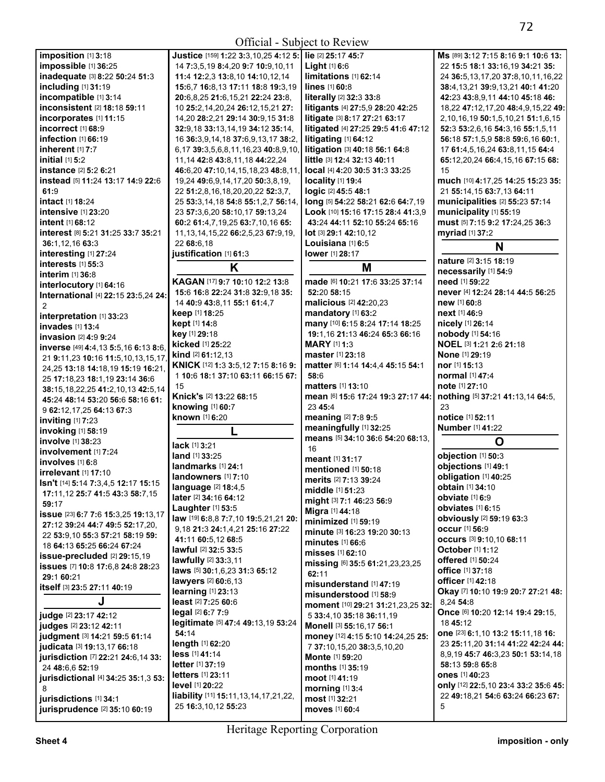Official - Subject to Review

| Official - Subject to Review                                           |                                                                                |                                                        |                                                    |
|------------------------------------------------------------------------|--------------------------------------------------------------------------------|--------------------------------------------------------|----------------------------------------------------|
| imposition [1] 3:18                                                    | Justice [159] 1:22 3:3,10,25 4:12 5: lie [2] 25:17 45:7                        |                                                        | Ms [89] 3:12 7:15 8:16 9:1 10:6 13:                |
| impossible [1] 36:25                                                   | 14 7:3,5,19 8:4,20 9:7 10:9,10,11                                              | <b>Light</b> $[1]$ 6:6                                 | 22 15:5 18:1 33:16,19 34:21 35:                    |
| inadequate [3] 8:22 50:24 51:3                                         | 11:4 12:2,3 13:8,10 14:10,12,14                                                | limitations [1] 62:14                                  | 24 36:5,13,17,20 37:8,10,11,16,22                  |
| including [1] 31:19                                                    | 15:6,7 16:8,13 17:11 18:8 19:3,19                                              | lines [1] 60:8                                         | 38:4, 13, 21 39:9, 13, 21 40:1 41: 20              |
| incompatible [1] 3:14                                                  | 20:6,8,25 21:6,15,21 22:24 23:8,                                               | literally [2] 32:3 33:8                                | 42:23 43:8,9,11 44:10 45:18 46:                    |
| inconsistent [2] 18:18 59:11                                           | 10 25:2,14,20,24 26:12,15,21 27:                                               | litigants [4] 27:5,9 28:20 42:25                       | 18,22 47:12,17,20 48:4,9,15,22 49:                 |
| incorporates [1] 11:15                                                 | 14,20 28:2,21 29:14 30:9,15 31:8                                               | litigate [3] 8:17 27:21 63:17                          | 2, 10, 16, 19 50: 1, 5, 10, 21 51: 1, 6, 15        |
| incorrect [1] 68:9                                                     | 32:9,18 33:13,14,19 34:12 35:14,                                               | litigated [4] 27:25 29:5 41:6 47:12                    | 52:3 53:2,6,16 54:3,16 55:1,5,11                   |
| infection [1] 66:19                                                    | 16 36:3,9,14,18 37:6,9,13,17 38:2,                                             | litigating [1] 64:12                                   | 56:18 57:1,5,9 58:8 59:6,16 60:1,                  |
| inherent [1] 7:7                                                       | 6,17 39:3,5,6,8,11,16,23 40:8,9,10,                                            | litigation [3] 40:18 56:1 64:8                         | 17 61:4,5,16,24 63:8,11,15 64:4                    |
| initial [1] 5:2                                                        | 11, 14 42:8 43:8, 11, 18 44: 22, 24                                            | little [3] 12:4 32:13 40:11                            | 65:12,20,24 66:4,15,16 67:15 68:                   |
| instance ⊠ 5:2 6:21                                                    | 46:6.20 47:10.14.15.18.23 48:8.11.                                             | local [4] 4:20 30:5 31:3 33:25                         | 15                                                 |
| instead [5] 11:24 13:17 14:9 22:6                                      | 19,24 49:6,9,14,17,20 50:3,8,19,                                               | $locality$ [1] 19:4                                    | much [10] 4:17,25 14:25 15:23 35:                  |
| 61:9                                                                   | 22 51:2,8,16,18,20,20,22 52:3,7,                                               | logic [2] 45:5 48:1                                    | 21 55:14,15 63:7,13 64:11                          |
| intact [1] 18:24                                                       | 25 53:3,14,18 54:8 55:1,2,7 56:14,                                             | long [5] 54:22 58:21 62:6 64:7,19                      | municipalities [2] 55:23 57:14                     |
| intensive [1] 23:20                                                    | 23 57:3,6,20 58:10,17 59:13,24                                                 | Look [10] 15:16 17:15 28:4 41:3,9                      | municipality [1] 55:19                             |
| intent [1] 68:12<br>interest [8] 5:21 31:25 33:7 35:21                 | 60:2 61:4,7,19,25 63:7,10,16 65:<br>11, 13, 14, 15, 22 66: 2, 5, 23 67: 9, 19, | 43:24 44:11 52:10 55:24 65:16<br>lot [3] 29:1 42:10,12 | must [5] 7:15 9:2 17:24,25 36:3<br>myriad [1] 37:2 |
| 36:1,12,16 63:3                                                        | 22 68:6.18                                                                     | Louisiana [1] 6:5                                      |                                                    |
| interesting [1] 27:24                                                  | justification [1] 61:3                                                         | lower [1] 28:17                                        | N                                                  |
| interests [1] 55:3                                                     |                                                                                |                                                        | nature [2] 3:15 18:19                              |
| interim [1] 36:8                                                       | K                                                                              | M                                                      | necessarily [1] 54:9                               |
| interlocutory [1] 64:16                                                | KAGAN [17] 9:7 10:10 12:2 13:8                                                 | made [6] 10:21 17:6 33:25 37:14                        | need [1] 59:22                                     |
| International [4] 22:15 23:5,24 24:                                    | 15:6 16:8 22:24 31:8 32:9,18 35:                                               | 52:20 58:15                                            | never [4] 12:24 28:14 44:5 56:25                   |
|                                                                        | 14 40:9 43:8,11 55:1 61:4,7                                                    | malicious [2] 42:20,23                                 | new [1] 60:8                                       |
| interpretation [1] 33:23                                               | keep [1] 18:25                                                                 | mandatory [1] 63:2                                     | <b>next</b> [1] 46:9                               |
| invades [1] 13:4                                                       | kept [1] 14:8                                                                  | many [10] 6:15 8:24 17:14 18:25                        | nicely [1] 26:14                                   |
| invasion [2] 4:9 9:24                                                  | key [1] 29:18                                                                  | 19:1,16 21:13 46:24 65:3 66:16                         | nobody [1] 54:16                                   |
| inverse [49] 4:4,13 5:5,16 6:13 8:6,                                   | kicked [1] 25:22                                                               | <b>MARY</b> [1] 1:3                                    | NOEL [3] 1:21 2:6 21:18                            |
| 21 9:11,23 10:16 11:5,10,13,15,17,                                     | <b>kind</b> $[2]$ 61:12,13                                                     | <b>master</b> [1] 23:18                                | None [1] 29:19                                     |
| 24,25 13:18 14:18,19 15:19 16:21,                                      | KNICK [12] 1:3 3:5,12 7:15 8:16 9:                                             | matter [6] 1:14 14:4,4 45:15 54:1                      | nor [1] 15:13                                      |
| 25 17:18,23 18:1,19 23:14 36:6                                         | 1 10:6 18:1 37:10 63:11 66:15 67:                                              | 58:6                                                   | <b>normal</b> [1] 47:4                             |
| 38:15, 18, 22, 25 41: 2, 10, 13 42: 5, 14                              | 15                                                                             | matters [1] 13:10                                      | note [1] 27:10                                     |
| 45:24 48:14 53:20 56:6 58:16 61:                                       | Knick's [2] 13:22 68:15                                                        | mean [6] 15:6 17:24 19:3 27:17 44:                     | nothing [5] 37:21 41:13,14 64:5,                   |
| 9 62:12,17,25 64:13 67:3                                               | knowing [1] 60:7                                                               | 23 45:4                                                | 23                                                 |
| inviting [1] 7:23                                                      | known [1] 6:20                                                                 | meaning [2] 7:8 9:5<br>meaningfully [1] 32:25          | notice [1] 52:11                                   |
| invoking [1] 58:19                                                     | L                                                                              | means [5] 34:10 36:6 54:20 68:13,                      | <b>Number</b> [1] 41:22                            |
| <b>involve</b> [1] 38:23                                               | lack [1] 3:21                                                                  | 16                                                     | O                                                  |
| involvement [1] 7:24                                                   | <b>land</b> [1] 33:25                                                          | meant [1] 31:17                                        | objection [1] 50:3                                 |
| involves [1] 6:8                                                       | landmarks [1] 24:1                                                             | mentioned [1] 50:18                                    | objections [1] 49:1                                |
| irrelevant [1] 17:10                                                   | landowners [1] 7:10                                                            | merits [2] 7:13 39:24                                  | obligation [1] 40:25                               |
| <b>Isn't</b> [14] <b>5:</b> 14 7:3,4,5 <b>12:</b> 17 <b>15:</b> 15     | language [2] 18:4,5                                                            | middle [1] 51:23                                       | obtain [1] 34:10                                   |
| 17:11,12 25:7 41:5 43:3 58:7,15                                        | later [2] 34:16 64:12                                                          | might [3] 7:1 46:23 56:9                               | obviate [1] 6:9                                    |
| 59:17                                                                  | Laughter [1] 53:5                                                              | Migra [1] 44:18                                        | obviates $[1]$ 6:15                                |
| issue [23] 6:7 7:6 15:3,25 19:13,17<br>27:12 39:24 44:7 49:5 52:17.20. | law [19] 6:8,8 7:7,10 19:5,21,21 20:                                           | minimized [1] 59:19                                    | obviously [2] 59:19 63:3                           |
| 22 53:9,10 55:3 57:21 58:19 59:                                        | 9,18 21:3 24:1,4,21 25:16 27:22                                                | minute [3] 16:23 19:20 30:13                           | <b>occur</b> [1] 56:9                              |
| 18 64:13 65:25 66:24 67:24                                             | 41:11 60:5,12 68:5                                                             | minutes $[1]$ 66:6                                     | <b>occurs</b> [3] 9:10,10 68:11                    |
| issue-precluded [2] 29:15,19                                           | lawful [2] 32:5 33:5                                                           | misses [1] 62:10                                       | <b>October</b> [1] 1:12                            |
| issues [7] 10:8 17:6,8 24:8 28:23                                      | lawfully [2] 33:3,11                                                           | missing [6] 35:5 61:21,23,23,25                        | <b>offered</b> [1] 50:24                           |
| 29:1 60:21                                                             | laws [5] 30:1,6,23 31:3 65:12                                                  | 62:11                                                  | <b>office</b> [1] 37:18                            |
| itself [3] 23:5 27:11 40:19                                            | lawyers [2] 60:6,13                                                            | misunderstand [1] 47:19                                | <b>officer</b> [1] 42:18                           |
|                                                                        | learning [1] 23:13                                                             | misunderstood [1] 58:9                                 | Okay [7] 10:10 19:9 20:7 27:21 48:                 |
| J                                                                      | least [2] 7:25 60:6                                                            | moment [10] 29:21 31:21,23,25 32:                      | 8,24 54:8                                          |
| <b>judge</b> [2] <b>23:17 42:12</b>                                    | legal [2] 6:7 7:9<br>legitimate [5] 47:4 49:13,19 53:24                        | 5 33:4, 10 35:18 36:11, 19                             | Once [6] 10:20 12:14 19:4 29:15,<br>18 45:12       |
| judges [2] 23:12 42:11                                                 | 54:14                                                                          | Monell [3] 55:16,17 56:1                               | one [23] 6:1, 10 13:2 15:11, 18 16:                |
| judgment [3] 14:21 59:5 61:14                                          | length [1] 62:20                                                               | money [12] 4:15 5:10 14:24,25 25:                      | 23 25:11,20 31:14 41:22 42:24 44:                  |
| <b>judicata</b> [3] <b>19:</b> 13,17 <b>66:</b> 18                     | less [1] 41:14                                                                 | 7 37:10,15,20 38:3,5,10,20                             | 8,9,19 45:7 46:3,23 50:1 53:14,18                  |
| jurisdiction [7] 22:21 24:6,14 33:                                     | <b>letter</b> $[1]$ 37:19                                                      | Monte [1] 59:20                                        | 58:13 59:8 65:8                                    |
| 24 48:6,6 52:19                                                        | <b>letters</b> [1] 23:11                                                       | <b>months</b> [1] 35:19                                | ones [1] 40:23                                     |
| jurisdictional [4] 34:25 35:1,3 53:                                    | level [1] 20:22                                                                | moot [1] 41:19                                         | only [12] 22:5, 10 23:4 33:2 35:6 45:              |
|                                                                        | liability [11] 15:11, 13, 14, 17, 21, 22,                                      | morning [1] 3:4                                        | 22 49:18,21 54:6 63:24 66:23 67:                   |
| jurisdictions [1] 34:1<br>jurisprudence [2] 35:10 60:19                | 25 16:3,10,12 55:23                                                            | most [1] 32:21                                         | 5                                                  |
|                                                                        |                                                                                | moves [1] 60:4                                         |                                                    |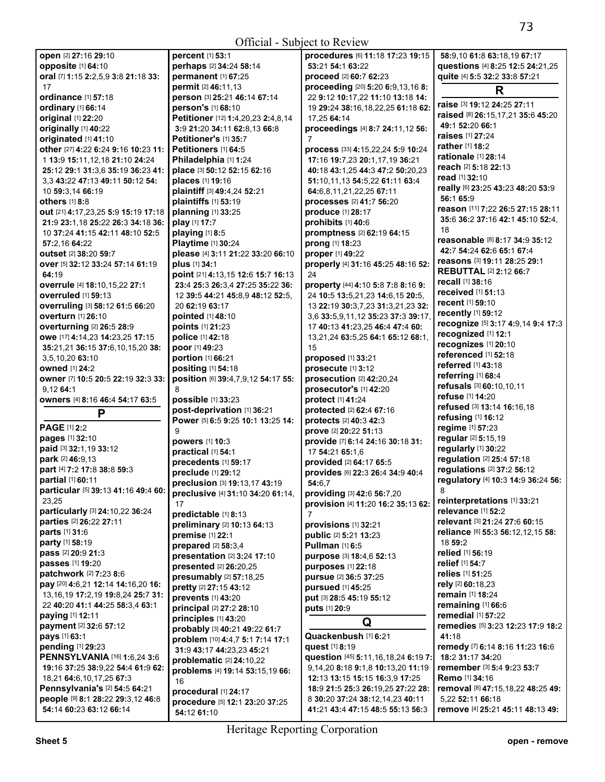Official - Subject to Review

| Official - Subject to Review                                 |                                                     |                                                                       |                                                      |  |
|--------------------------------------------------------------|-----------------------------------------------------|-----------------------------------------------------------------------|------------------------------------------------------|--|
| open [2] 27:16 29:10                                         | percent [1] 53:1                                    | procedures [6] 11:18 17:23 19:15                                      | 58:9,10 61:8 63:18,19 67:17                          |  |
| opposite [1] 64:10                                           | perhaps [2] 34:24 58:14                             | 53:21 54:1 63:22                                                      | questions [4] 8:25 12:5 24:21,25                     |  |
| oral [7] 1:15 2:2,5,9 3:8 21:18 33:                          | permanent [1] 67:25                                 | proceed [2] 60:7 62:23                                                | quite [4] 5:5 32:2 33:8 57:21                        |  |
| 17                                                           | permit [2] 46:11,13                                 | proceeding [20] 5:20 6:9,13,16 8:                                     | R                                                    |  |
| ordinance [1] 57:18                                          | person [3] 25:21 46:14 67:14                        | 22 9:12 10:17,22 11:10 13:18 14:                                      |                                                      |  |
| ordinary [1] 66:14                                           | person's [1] 68:10                                  | 19 29:24 38:16,18,22,25 61:18 62:                                     | raise [3] 19:12 24:25 27:11                          |  |
| original [1] 22:20                                           | Petitioner [12] 1:4,20,23 2:4,8,14                  | 17,25 64:14                                                           | raised [8] 26:15,17,21 35:6 45:20                    |  |
| originally [1] 40:22                                         | 3:9 21:20 34:11 62:8,13 66:8                        | proceedings [4] 8:7 24:11,12 56:                                      | 49:1 52:20 66:1                                      |  |
| originated [1] 41:10                                         | Petitioner's [1] 35:7                               | 7                                                                     | <b>raises</b> [1] 27:24                              |  |
| other [27] 4:22 6:24 9:16 10:23 11:                          | <b>Petitioners</b> [1] 64:5                         | process [33] 4:15,22,24 5:9 10:24                                     | rather [1] 18:2<br>rationale [1] 28:14               |  |
| 1 13:9 15:11,12,18 21:10 24:24                               | Philadelphia [1] 1:24                               | 17:16 19:7,23 20:1,17,19 36:21                                        |                                                      |  |
| 25:12 29:1 31:3,6 35:19 36:23 41:                            | place [3] 50:12 52:15 62:16                         | 40:18 43:1,25 44:3 47:2 50:20,23                                      | reach [2] 5:18 22:13                                 |  |
| 3,3 43:22 47:13 49:11 50:12 54:                              | places [1] 19:16                                    | 51:10,11,13 54:5,22 61:11 63:4                                        | read [1] 32:10                                       |  |
| 10 59:3,14 66:19                                             | plaintiff [3] 49:4,24 52:21                         | 64:6,8,11,21,22,25 67:11                                              | really [6] 23:25 43:23 48:20 53:9<br>56:1 65:9       |  |
| others $[1]$ 8:8                                             | plaintiffs [1] 53:19                                | processes [2] 41:7 56:20                                              | reason [11] 7:22 26:5 27:15 28:11                    |  |
| out [21] 4:17,23,25 5:9 15:19 17:18                          | planning [1] 33:25                                  | produce [1] 28:17                                                     | 35:6 36:2 37:16 42:1 45:10 52:4,                     |  |
| 21:9 23:1,18 25:22 26:3 34:18 36:                            | play [1] 17:7                                       | prohibits [1] 40:6                                                    | 18                                                   |  |
| 10 37:24 41:15 42:11 48:10 52:5                              | playing [1] 8:5                                     | promptness [2] 62:19 64:15                                            | reasonable [8] 8:17 34:9 35:12                       |  |
| 57:2,16 64:22                                                | Playtime [1] 30:24                                  | prong [1] 18:23                                                       | 42:7 54:24 62:6 65:1 67:4                            |  |
| <b>outset</b> [2] 38:20 59:7                                 | please [4] 3:11 21:22 33:20 66:10                   | proper [1] 49:22                                                      | reasons [3] 19:11 28:25 29:1                         |  |
| over [5] 32:12 33:24 57:14 61:19                             | plus [1] 34:1                                       | properly [4] 31:16 45:25 48:16 52:                                    | <b>REBUTTAL [2] 2:12 66:7</b>                        |  |
| 64:19                                                        | point [21] 4:13,15 12:6 15:7 16:13                  | 24                                                                    | recall [1] 38:16                                     |  |
| overrule [4] 18:10,15,22 27:1<br><b>overruled</b> [1] 59:13  | 23:4 25:3 26:3.4 27:25 35:22 36:                    | property [44] 4:10 5:8 7:8 8:16 9:                                    | <b>received</b> [1] 51:13                            |  |
| overruling [3] 58:12 61:5 66:20                              | 12 39:5 44:21 45:8.9 48:12 52:5.<br>20 62:19 63:17  | 24 10:5 13:5,21,23 14:6,15 20:5,<br>13 22:19 30:3.7.23 31:3.21.23 32: | recent [1] 59:10                                     |  |
| <b>overturn</b> [1] 26:10                                    | pointed [1] 48:10                                   | 3,6 33:5,9,11,12 35:23 37:3 39:17,                                    | recently [1] 59:12                                   |  |
|                                                              | points [1] 21:23                                    |                                                                       | recognize [5] 3:17 4:9,14 9:4 17:3                   |  |
| overturning [2] 26:5 28:9<br>owe [17] 4:14,23 14:23,25 17:15 | police [1] 42:18                                    | 17 40:13 41:23,25 46:4 47:4 60:                                       | recognized [1] 12:1                                  |  |
| 35:21,21 36:15 37:6,10,15,20 38:                             | poor [1] 49:23                                      | 13,21,24 63:5,25 64:1 65:12 68:1,<br>15                               | recognizes [1] 20:10                                 |  |
| 3,5,10,20 63:10                                              | portion [1] 66:21                                   | proposed [1] 33:21                                                    | referenced [1] 52:18                                 |  |
| <b>owned</b> [1] 24:2                                        | positing [1] 54:18                                  | prosecute [1] 3:12                                                    | referred [1] 43:18                                   |  |
| owner [7] 10:5 20:5 22:19 32:3 33:                           | position [6] 39:4,7,9,12 54:17 55:                  | prosecution [2] 42:20,24                                              | referring [1] 68:4                                   |  |
|                                                              |                                                     |                                                                       |                                                      |  |
|                                                              |                                                     |                                                                       | refusals [3] 60:10,10,11                             |  |
| 9.12 64:1                                                    |                                                     | prosecutor's [1] 42:20                                                | refuse [1] 14:20                                     |  |
| owners [4] 8:16 46:4 54:17 63:5                              | possible [1] 33:23                                  | protect [1] 41:24                                                     | refused [3] 13:14 16:16,18                           |  |
| P                                                            | post-deprivation [1] 36:21                          | protected [2] 62:4 67:16                                              | refusing [1] 16:12                                   |  |
| <b>PAGE [1] 2:2</b>                                          | Power [5] 6:5 9:25 10:1 13:25 14:                   | protects [2] 40:3 42:3                                                | regime [1] 57:23                                     |  |
| pages [1] 32:10                                              | 9                                                   | prove [2] 20:22 51:13                                                 | regular [2] 5:15,19                                  |  |
| paid [3] 32:1,19 33:12                                       | powers [1] 10:3                                     | provide [7] 6:14 24:16 30:18 31:                                      | regularly [1] 30:22                                  |  |
| park [2] 46:9,13                                             | practical [1] 54:1                                  | 17 54:21 65:1,6                                                       | regulation [2] 25:4 57:18                            |  |
| part [4] 7:2 17:8 38:8 59:3                                  | precedents [1] 59:17                                | provided [2] 64:17 65:5                                               | regulations [2] 37:2 56:12                           |  |
| partial [1] 60:11                                            | preclude [1] 29:12                                  | provides [6] 22:3 26:4 34:9 40:4                                      | regulatory [4] 10:3 14:9 36:24 56:                   |  |
| particular [5] 39:13 41:16 49:4 60:                          | preclusion $[3]$ 19:13,17 43:19                     | 54:6,7                                                                |                                                      |  |
| 23,25                                                        | preclusive [4] 31:10 34:20 61:14,<br>17             | providing [3] 42:6 56:7,20<br>provision [4] 11:20 16:2 35:13 62:      | reinterpretations [1] 33:21                          |  |
| particularly [3] 24:10,22 36:24                              |                                                     | 7                                                                     | relevance [1] 52:2                                   |  |
| parties [2] 26:22 27:11                                      | predictable [1] 8:13<br>preliminary [2] 10:13 64:13 | provisions [1] 32:21                                                  | relevant [3] 21:24 27:6 60:15                        |  |
| parts [1] 31:6                                               | premise [1] 22:1                                    | public [2] 5:21 13:23                                                 | reliance [6] 55:3 56:12,12,15 58:                    |  |
| party [1] 58:19                                              | prepared [2] 58:3,4                                 | <b>Pullman [1] 6:5</b>                                                | 18 59:2                                              |  |
| pass [2] 20:9 21:3                                           | presentation [2] 3:24 17:10                         | purpose [3] 18:4,6 52:13                                              | relied [1] 56:19                                     |  |
| passes [1] 19:20                                             | presented [2] 26:20,25                              | purposes [1] 22:18                                                    | relief [1] 54:7                                      |  |
| patchwork [2] 7:23 8:6                                       | presumably [2] 57:18,25                             | pursue [2] 36:5 37:25                                                 | relies [1] 51:25                                     |  |
| pay [20] 4:6,21 12:14 14:16,20 16:                           | pretty [2] 27:15 43:12                              | pursued [1] 45:25                                                     | rely [2] 60:18,23                                    |  |
| 13, 16, 19 17: 2, 19 19: 8, 24 25: 7 31:                     | prevents [1] 43:20                                  | put [3] 28:5 45:19 55:12                                              | remain [1] 18:24                                     |  |
| 22 40:20 41:1 44:25 58:3,4 63:1                              | principal [2] 27:2 28:10                            | puts [1] 20:9                                                         | remaining [1] 66:6                                   |  |
| paying [1] 12:11                                             | principles [1] 43:20                                |                                                                       | remedial [1] 57:22                                   |  |
| payment [2] 32:6 57:12                                       | probably [3] 40:21 49:22 61:7                       | Q                                                                     | remedies [5] 3:23 12:23 17:9 18:2                    |  |
| pays [1] 63:1                                                | problem [10] 4:4,7 5:1 7:14 17:1                    | Quackenbush [1] 6:21                                                  | 41:18                                                |  |
| pending [1] 29:23                                            | 31:9 43:17 44:23.23 45:21                           | quest [1] 8:19                                                        | remedy [7] 6:14 8:16 11:23 16:6                      |  |
| <b>PENNSYLVANIA</b> [16] 1:6,24 3:6                          | problematic [2] 24:10,22                            | question [45] 5:11,16,18,24 6:19 7:                                   | 18:2 31:17 34:20                                     |  |
| 19:16 37:25 38:9,22 54:4 61:9 62:                            | problems [4] 19:14 53:15,19 66:                     | 9,14,20 8:18 9:1,8 10:13,20 11:19                                     | remember [3] 5:4 9:23 53:7                           |  |
| 18,21 64:6,10,17,25 67:3                                     | 16                                                  | 12:13 13:15 15:15 16:3,9 17:25                                        | Remo [1] 34:16                                       |  |
| <b>Pennsylvania's [2] 54:5 64:21</b>                         | procedural [1] 24:17                                | 18:9 21:5 25:3 26:19,25 27:22 28:                                     | removal [8] 47:15,18,22 48:25 49:                    |  |
| people [9] 8:1 28:22 29:3,12 46:8<br>54:14 60:23 63:12 66:14 | procedure [5] 12:1 23:20 37:25<br>54:12 61:10       | 8 30:20 37:24 38:12,14,23 40:11<br>41:21 43:4 47:15 48:5 55:13 56:3   | 5,22 52:11 66:18<br>remove [4] 25:21 45:11 48:13 49: |  |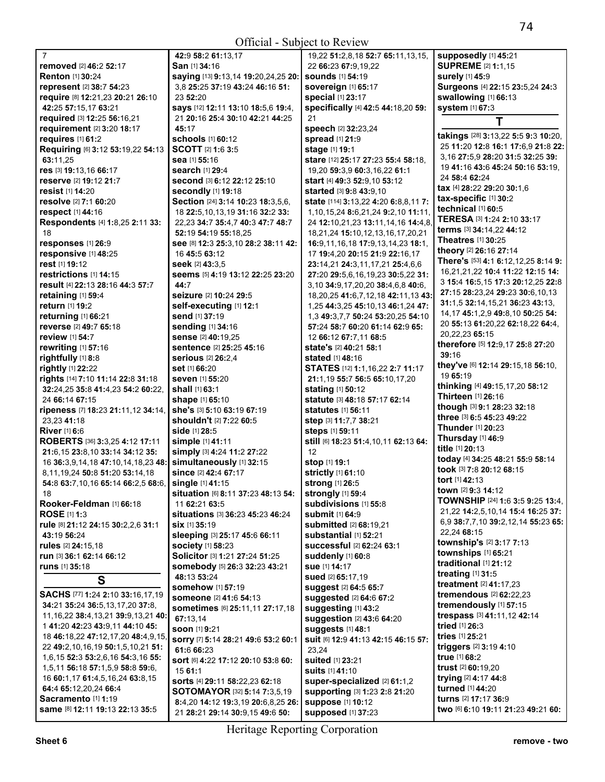Official - Subject to Review

| Official - Subject to Review                                          |                                            |                                                                |                                                       |  |
|-----------------------------------------------------------------------|--------------------------------------------|----------------------------------------------------------------|-------------------------------------------------------|--|
| $\overline{7}$                                                        | 42:9 58:2 61:13.17                         | 19,22 51:2,8,18 52:7 65:11,13,15,                              | supposedly [1] 45:21                                  |  |
| removed [2] 46:2 52:17                                                | San [1] 34:16                              | 22 66:23 67:9,19,22                                            | <b>SUPREME [2] 1:1,15</b>                             |  |
| <b>Renton</b> [1] 30:24                                               | saying [13] 9:13,14 19:20,24,25 20:        | <b>sounds</b> [1] 54:19                                        | surely [1] 45:9                                       |  |
| represent [2] 38:7 54:23                                              | 3,8 25:25 37:19 43:24 46:16 51:            | sovereign [1] 65:17                                            | Surgeons [4] 22:15 23:5,24 24:3                       |  |
| require [8] 12:21,23 20:21 26:10                                      | 23 52:20                                   | <b>special</b> [1] 23:17                                       | swallowing [1] 66:13                                  |  |
| 42:25 57:15,17 63:21                                                  | says [12] 12:11 13:10 18:5,6 19:4,         | specifically [4] 42:5 44:18,20 59:                             | system [1] 67:3                                       |  |
| required [3] 12:25 56:16,21                                           | 21 20:16 25:4 30:10 42:21 44:25            | 21                                                             |                                                       |  |
| requirement [2] 3:20 18:17                                            | 45:17                                      | speech [2] 32:23,24                                            |                                                       |  |
| requires [1] 61:2                                                     | <b>schools</b> [1] 60:12                   | spread [1] 21:9                                                | takings [28] 3:13,22 5:5 9:3 10:20,                   |  |
| Requiring [6] 3:12 53:19,22 54:13                                     | <b>SCOTT</b> [2] 1:6 3:5                   | stage [1] 19:1                                                 | 25 11:20 12:8 16:1 17:6,9 21:8 22:                    |  |
| 63:11,25                                                              | sea [1] 55:16                              | stare [12] 25:17 27:23 55:4 58:18,                             | 3,16 27:5,9 28:20 31:5 32:25 39:                      |  |
| res [3] 19:13,16 66:17                                                | search [1] 29:4                            | 19,20 59:3,9 60:3,16,22 61:1                                   | 19 41:16 43:6 45:24 50:16 53:19,                      |  |
| reserve [2] 19:12 21:7                                                | Second [3] 6:12 22:12 25:10                | start [4] 49:3 52:9,10 53:12                                   | 24 58:4 62:24                                         |  |
| resist [1] 14:20                                                      | <b>secondly</b> [1] 19:18                  | started [3] 9:8 43:9,10                                        | tax [4] 28:22 29:20 30:1.6                            |  |
| resolve [2] 7:1 60:20                                                 | Section [24] 3:14 10:23 18:3,5,6,          | state [114] 3:13,22 4:20 6:8,8,11 7:                           | tax-specific [1] 30:2                                 |  |
| respect [1] 44:16                                                     | 18 22:5, 10, 13, 19 31: 16 32: 2 33:       | 1,10,15,24 8:6,21,24 9:2,10 11:11,                             | technical [1] 60:5                                    |  |
| Respondents [4] 1:8,25 2:11 33:                                       | 22,23 34:7 35:4,7 40:3 47:7 48:7           | 24 12:10,21,23 13:11,14,16 14:4,8                              | TERESA [3] 1:24 2:10 33:17                            |  |
| 18                                                                    | 52:19 54:19 55:18,25                       | 18,21,24 15:10,12,13,16,17,20,21                               | terms [3] 34:14,22 44:12                              |  |
| responses [1] 26:9                                                    | See [8] 12:3 25:3,10 28:2 38:11 42:        | 16:9,11,16,18 17:9,13,14,23 18:1,                              | <b>Theatres</b> [1] <b>30:25</b>                      |  |
| responsive [1] 48:25                                                  | 16 45:5 63:12                              | 17 <b>19:</b> 4,20 <b>20:</b> 15 <b>21:</b> 9 <b>22:</b> 16,17 | theory [2] 26:16 27:14                                |  |
| rest [1] 19:12                                                        | seek [2] 43:3.5                            | 23:14,21 24:3,11,17,21 25:4,6,6                                | There's [53] 4:1 6:12,12,25 8:14 9:                   |  |
| restrictions [1] 14:15                                                | seems [5] 4:19 13:12 22:25 23:20           | 27:20 29:5,6,16,19,23 30:5,22 31:                              | 16,21,21,22 10:4 11:22 12:15 14:                      |  |
| result [4] 22:13 28:16 44:3 57:7                                      | 44:7                                       | 3,10 34:9,17,20,20 38:4,6,8 40:6,                              | 3 15:4 16:5,15 17:3 20:12,25 22:8                     |  |
| retaining [1] 59:4                                                    | seizure [2] 10:24 29:5                     |                                                                | 27:15 28:23,24 29:23 30:6,10,13                       |  |
| return [1] 19:2                                                       | self-executing [1] 12:1                    | 18,20,25 41:6,7,12,18 42:11,13 43:                             | 31:1,5 32:14,15,21 36:23 43:13,                       |  |
|                                                                       | send [1] 37:19                             | 1,25 44:3,25 45:10,13 46:1,24 47:                              | 14, 17 45: 1, 2, 9 49: 8, 10 50: 25 54:               |  |
| returning [1] 66:21                                                   |                                            | 1,3 49:3,7,7 50:24 53:20,25 54:10                              | 20 55:13 61:20,22 62:18,22 64:4,                      |  |
| reverse [2] 49:7 65:18                                                | sending [1] 34:16                          | 57:24 58:7 60:20 61:14 62:9 65:                                | 20,22,23 65:15                                        |  |
| review [1] 54:7                                                       | sense [2] 40:19,25                         | 12 66:12 67:7.11 68:5                                          | therefore [5] 12:9,17 25:8 27:20                      |  |
| rewriting [1] 57:16                                                   | sentence [2] 25:25 45:16                   | state's [2] 40:21 58:1                                         | 39:16                                                 |  |
| rightfully [1] 8:8                                                    | <b>serious</b> [2] 26:2,4                  | <b>stated</b> [1] <b>48:16</b>                                 | they've [6] 12:14 29:15,18 56:10,                     |  |
| rightly [1] 22:22                                                     | set [1] 66:20                              | STATES [12] 1:1,16,22 2:7 11:17                                | 19 65:19                                              |  |
| rights [14] 7:10 11:14 22:8 31:18                                     | seven [1] 55:20                            | 21:1,19 55:7 56:5 65:10,17,20                                  | thinking [4] 49:15,17,20 58:12                        |  |
| 32:24,25 35:8 41:4,23 54:2 60:22,                                     | shall [1] 63:1                             | stating [1] 50:12                                              | Thirteen [1] 26:16                                    |  |
| 24 66:14 67:15                                                        | shape [1] 65:10                            | statute [3] 48:18 57:17 62:14                                  | though [3] 9:1 28:23 32:18                            |  |
| ripeness [7] 18:23 21:11,12 34:14,                                    | she's [3] 5:10 63:19 67:19                 | <b>statutes</b> [1] <b>56:11</b>                               | three [3] 6:5 45:23 49:22                             |  |
| 23,23 41:18                                                           | shouldn't [2] 7:22 60:5                    | step [3] 11:7,7 38:21                                          | <b>Thunder</b> [1] <b>20:</b> 23                      |  |
| <b>River</b> [1] 6:6                                                  | <b>side</b> [1] 28:5                       | steps [1] 59:11                                                | Thursday [1] 46:9                                     |  |
| ROBERTS [36] 3:3,25 4:12 17:11                                        | simple [1] 41:11                           | still [6] 18:23 51:4, 10, 11 62:13 64:                         | title [1] 20:13                                       |  |
| 21:6,15 23:8,10 33:14 34:12 35:                                       | simply [3] 4:24 11:2 27:22                 | 12                                                             | today [4] 34:25 48:21 55:9 58:14                      |  |
| 16 36:3,9,14,18 47:10,14,18,23 48:                                    | simultaneously [1] 32:15                   | stop [1] 19:1                                                  | took [3] 7:8 20:12 68:15                              |  |
| 8,11,19,24 50:8 51:20 53:14,18                                        | since [2] 42:4 67:17                       | strictly [1] 61:10                                             | tort [1] 42:13                                        |  |
| 54:8 63:7,10,16 65:14 66:2,5 68:6,                                    | <b>single</b> [1] 41:15                    | <b>strong</b> [1] 26:5                                         | town [2] 9:3 14:12                                    |  |
| 18                                                                    | situation [6] 8:11 37:23 48:13 54:         | strongly [1] 59:4                                              | <b>TOWNSHIP</b> [24] 1:6 3:5 9:25 13:4,               |  |
| Rooker-Feldman [1] 66:18                                              | 11 62:21 63:5                              | Subdivisions [1] 55:8                                          | 21,22 14:2,5,10,14 15:4 16:25 37:                     |  |
| <b>ROSE</b> [1] 1:3                                                   | situations [3] 36:23 45:23 46:24           | <b>submit</b> [1] 64:9                                         | 6,9 38:7,7,10 39:2,12,14 55:23 65:                    |  |
| rule [8] 21:12 24:15 30:2,2,6 31:1                                    | Six [1] 35:19                              | submitted [2] 68:19.21                                         | 22,24 68:15                                           |  |
| 43:19 56:24                                                           | sleeping [3] 25:17 45:6 66:11              | substantial [1] 52:21                                          | township's [2] 3:17 7:13                              |  |
| rules [2] 24:15,18                                                    | <b>society</b> [1] 58:23                   | successful [2] 62:24 63:1                                      | townships [1] 65:21                                   |  |
| run [3] 36:1 62:14 66:12                                              | Solicitor [3] 1:21 27:24 51:25             | suddenly [1] 60:8                                              | traditional [1] 21:12                                 |  |
| <b>runs</b> [1] <b>35:18</b>                                          | somebody [5] 26:3 32:23 43:21              | <b>sue</b> [1] <b>14:17</b>                                    | treating [1] 31:5                                     |  |
| S                                                                     | 48:13 53:24                                | sued [2] 65:17,19                                              | treatment [2] 41:17,23                                |  |
| SACHS [77] 1:24 2:10 33:16,17,19                                      | somehow [1] 57:19                          | suggest [2] 64:5 65:7                                          | <b>tremendous</b> [2] 62:22,23                        |  |
|                                                                       | someone [2] 41:6 54:13                     | suggested [2] 64:6 67:2                                        |                                                       |  |
| 34:21 35:24 36:5,13,17,20 37:8,                                       | <b>sometimes</b> [6] 25:11,11 27:17,18     | suggesting [1] 43:2                                            | tremendously [1] 57:15<br>trespass [3] 41:11,12 42:14 |  |
| 11, 16, 22 38: 4, 13, 21 39: 9, 13, 21 40:                            | 67:13,14                                   | suggestion [2] 43:6 64:20                                      | tried [1] 26:3                                        |  |
| 1 41:20 42:23 43:9,11 44:10 45:<br>18 46:18,22 47:12,17,20 48:4,9,15, | SOON [1] 9:21                              | suggests [1] 48:1                                              | tries [1] 25:21                                       |  |
|                                                                       | sorry [7] 5:14 28:21 49:6 53:2 60:1        | Suit [6] 12:9 41:13 42:15 46:15 57:                            |                                                       |  |
| 22 49:2,10,16,19 50:1,5,10,21 51:                                     | 61:6 66:23                                 | 23,24                                                          | triggers [2] 3:19 4:10                                |  |
| 1,6,15 52:3 53:2,6,16 54:3,16 55:                                     | sort [6] 4:22 17:12 20:10 53:8 60:         | suited [1] 23:21                                               | true [1] 68:2                                         |  |
| 1,5,11 56:18 57:1,5,9 58:8 59:6,                                      | 15 61:1                                    | suits [1] 41:10                                                | <b>trust</b> [2] <b>60:19,20</b>                      |  |
| 16 60:1,17 61:4,5,16,24 63:8,15                                       | sorts [4] 29:11 58:22,23 62:18             | super-specialized [2] 61:1,2                                   | trying [2] 4:17 44:8                                  |  |
| 64:4 65:12,20,24 66:4                                                 | <b>SOTOMAYOR</b> [32] <b>5:14 7:3,5,19</b> | supporting [3] 1:23 2:8 21:20                                  | turned [1] 44:20                                      |  |
| Sacramento [1] 1:19                                                   | 8:4,20 14:12 19:3,19 20:6,8,25 26:         | <b>suppose [1] 10:12</b>                                       | turns [2] 17:17 36:9                                  |  |
| same [8] 12:11 19:13 22:13 35:5                                       | 21 28:21 29:14 30:9,15 49:6 50:            | supposed [1] 37:23                                             | two [6] 6:10 19:11 21:23 49:21 60:                    |  |

Heritage Reporting Corporation